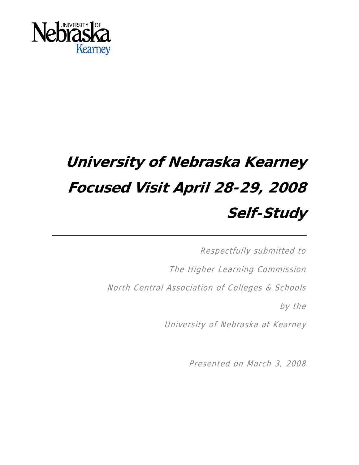

# **University of Nebraska Kearney Focused Visit April 28-29, 2008 Self-Study**

Respectfully submitted to The Higher Learning Commission North Central Association of Colleges & Schools by the University of Nebraska at Kearney

Presented on March 3, 2008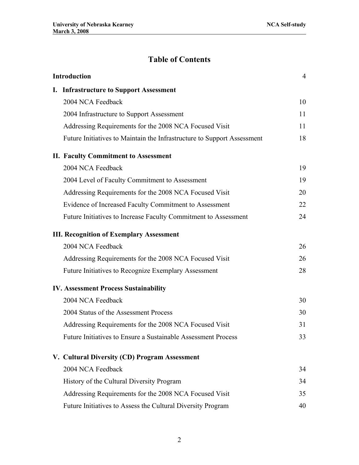# **Table of Contents**

| Introduction |                                                                         | 4  |
|--------------|-------------------------------------------------------------------------|----|
|              | I. Infrastructure to Support Assessment                                 |    |
|              | 2004 NCA Feedback                                                       | 10 |
|              | 2004 Infrastructure to Support Assessment                               | 11 |
|              | Addressing Requirements for the 2008 NCA Focused Visit                  | 11 |
|              | Future Initiatives to Maintain the Infrastructure to Support Assessment | 18 |
|              | <b>II. Faculty Commitment to Assessment</b>                             |    |
|              | 2004 NCA Feedback                                                       | 19 |
|              | 2004 Level of Faculty Commitment to Assessment                          | 19 |
|              | Addressing Requirements for the 2008 NCA Focused Visit                  | 20 |
|              | Evidence of Increased Faculty Commitment to Assessment                  | 22 |
|              | Future Initiatives to Increase Faculty Commitment to Assessment         | 24 |
|              | <b>III. Recognition of Exemplary Assessment</b>                         |    |
|              | 2004 NCA Feedback                                                       | 26 |
|              | Addressing Requirements for the 2008 NCA Focused Visit                  | 26 |
|              | Future Initiatives to Recognize Exemplary Assessment                    | 28 |
|              | <b>IV. Assessment Process Sustainability</b>                            |    |
|              | 2004 NCA Feedback                                                       | 30 |
|              | 2004 Status of the Assessment Process                                   | 30 |
|              | Addressing Requirements for the 2008 NCA Focused Visit                  | 31 |
|              | Future Initiatives to Ensure a Sustainable Assessment Process           | 33 |
|              | V. Cultural Diversity (CD) Program Assessment                           |    |
|              | 2004 NCA Feedback                                                       | 34 |
|              | History of the Cultural Diversity Program                               | 34 |
|              | Addressing Requirements for the 2008 NCA Focused Visit                  | 35 |
|              | Future Initiatives to Assess the Cultural Diversity Program             | 40 |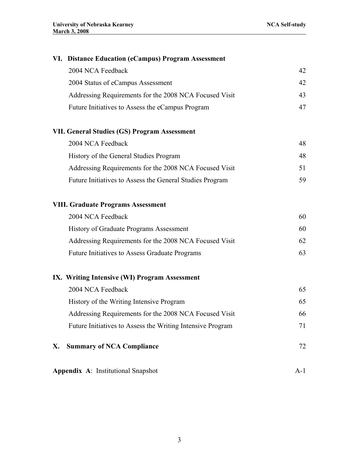# **VI. Distance Education (eCampus) Program Assessment**

| 2004 NCA Feedback                                      |     |
|--------------------------------------------------------|-----|
| 2004 Status of eCampus Assessment                      | 42. |
| Addressing Requirements for the 2008 NCA Focused Visit | 43. |
| Future Initiatives to Assess the eCampus Program       |     |

# **VII. General Studies (GS) Program Assessment**

| 2004 NCA Feedback                                        | 48  |
|----------------------------------------------------------|-----|
| History of the General Studies Program                   | 48. |
| Addressing Requirements for the 2008 NCA Focused Visit   | 51. |
| Future Initiatives to Assess the General Studies Program | 59. |

# **VIII. Graduate Programs Assessment**

| 2004 NCA Feedback                                      | 60  |
|--------------------------------------------------------|-----|
| History of Graduate Programs Assessment                | 60  |
| Addressing Requirements for the 2008 NCA Focused Visit | 62. |
| Future Initiatives to Assess Graduate Programs         | 63  |

# **IX. Writing Intensive (WI) Program Assessment**

| X. | <b>Summary of NCA Compliance</b>                           |    |
|----|------------------------------------------------------------|----|
|    | Future Initiatives to Assess the Writing Intensive Program | 71 |
|    | Addressing Requirements for the 2008 NCA Focused Visit     | 66 |
|    | History of the Writing Intensive Program                   | 65 |
|    | 2004 NCA Feedback                                          | 65 |

**Appendix A**: Institutional Snapshot A-1

3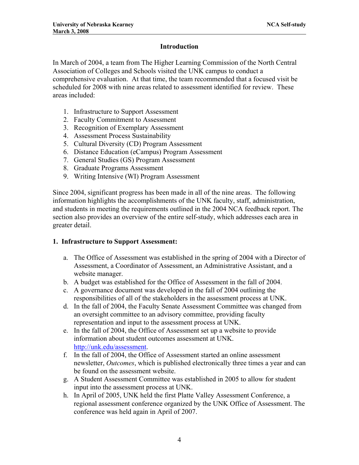# **Introduction**

In March of 2004, a team from The Higher Learning Commission of the North Central Association of Colleges and Schools visited the UNK campus to conduct a comprehensive evaluation. At that time, the team recommended that a focused visit be scheduled for 2008 with nine areas related to assessment identified for review. These areas included:

- 1. Infrastructure to Support Assessment
- 2. Faculty Commitment to Assessment
- 3. Recognition of Exemplary Assessment
- 4. Assessment Process Sustainability
- 5. Cultural Diversity (CD) Program Assessment
- 6. Distance Education (eCampus) Program Assessment
- 7. General Studies (GS) Program Assessment
- 8. Graduate Programs Assessment
- 9. Writing Intensive (WI) Program Assessment

Since 2004, significant progress has been made in all of the nine areas. The following information highlights the accomplishments of the UNK faculty, staff, administration, and students in meeting the requirements outlined in the 2004 NCA feedback report. The section also provides an overview of the entire self-study, which addresses each area in greater detail.

#### **1. Infrastructure to Support Assessment:**

- a. The Office of Assessment was established in the spring of 2004 with a Director of Assessment, a Coordinator of Assessment, an Administrative Assistant, and a website manager.
- b. A budget was established for the Office of Assessment in the fall of 2004.
- c. A governance document was developed in the fall of 2004 outlining the responsibilities of all of the stakeholders in the assessment process at UNK.
- d. In the fall of 2004, the Faculty Senate Assessment Committee was changed from an oversight committee to an advisory committee, providing faculty representation and input to the assessment process at UNK.
- e. In the fall of 2004, the Office of Assessment set up a website to provide information about student outcomes assessment at UNK. [http://unk.edu/assessment.](http://unk.edu/assessment)
- f. In the fall of 2004, the Office of Assessment started an online assessment newsletter, *Outcomes*, which is published electronically three times a year and can be found on the assessment website.
- g. A Student Assessment Committee was established in 2005 to allow for student input into the assessment process at UNK.
- h. In April of 2005, UNK held the first Platte Valley Assessment Conference, a regional assessment conference organized by the UNK Office of Assessment. The conference was held again in April of 2007.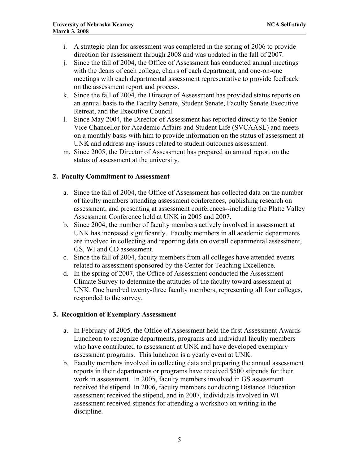- i. A strategic plan for assessment was completed in the spring of 2006 to provide direction for assessment through 2008 and was updated in the fall of 2007.
- j. Since the fall of 2004, the Office of Assessment has conducted annual meetings with the deans of each college, chairs of each department, and one-on-one meetings with each departmental assessment representative to provide feedback on the assessment report and process.
- k. Since the fall of 2004, the Director of Assessment has provided status reports on an annual basis to the Faculty Senate, Student Senate, Faculty Senate Executive Retreat, and the Executive Council.
- l. Since May 2004, the Director of Assessment has reported directly to the Senior Vice Chancellor for Academic Affairs and Student Life (SVCAASL) and meets on a monthly basis with him to provide information on the status of assessment at UNK and address any issues related to student outcomes assessment.
- m. Since 2005, the Director of Assessment has prepared an annual report on the status of assessment at the university.

# **2. Faculty Commitment to Assessment**

- a. Since the fall of 2004, the Office of Assessment has collected data on the number of faculty members attending assessment conferences, publishing research on assessment, and presenting at assessment conferences--including the Platte Valley Assessment Conference held at UNK in 2005 and 2007.
- b. Since 2004, the number of faculty members actively involved in assessment at UNK has increased significantly. Faculty members in all academic departments are involved in collecting and reporting data on overall departmental assessment, GS, WI and CD assessment.
- c. Since the fall of 2004, faculty members from all colleges have attended events related to assessment sponsored by the Center for Teaching Excellence.
- d. In the spring of 2007, the Office of Assessment conducted the Assessment Climate Survey to determine the attitudes of the faculty toward assessment at UNK. One hundred twenty-three faculty members, representing all four colleges, responded to the survey.

# **3. Recognition of Exemplary Assessment**

- a. In February of 2005, the Office of Assessment held the first Assessment Awards Luncheon to recognize departments, programs and individual faculty members who have contributed to assessment at UNK and have developed exemplary assessment programs. This luncheon is a yearly event at UNK.
- b. Faculty members involved in collecting data and preparing the annual assessment reports in their departments or programs have received \$500 stipends for their work in assessment. In 2005, faculty members involved in GS assessment received the stipend. In 2006, faculty members conducting Distance Education assessment received the stipend, and in 2007, individuals involved in WI assessment received stipends for attending a workshop on writing in the discipline.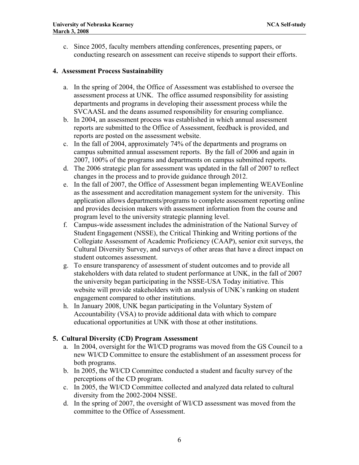c. Since 2005, faculty members attending conferences, presenting papers, or conducting research on assessment can receive stipends to support their efforts.

#### **4. Assessment Process Sustainability**

- a. In the spring of 2004, the Office of Assessment was established to oversee the assessment process at UNK. The office assumed responsibility for assisting departments and programs in developing their assessment process while the SVCAASL and the deans assumed responsibility for ensuring compliance.
- b. In 2004, an assessment process was established in which annual assessment reports are submitted to the Office of Assessment, feedback is provided, and reports are posted on the assessment website.
- c. In the fall of 2004, approximately 74% of the departments and programs on campus submitted annual assessment reports. By the fall of 2006 and again in 2007, 100% of the programs and departments on campus submitted reports.
- d. The 2006 strategic plan for assessment was updated in the fall of 2007 to reflect changes in the process and to provide guidance through 2012.
- e. In the fall of 2007, the Office of Assessment began implementing WEAVEonline as the assessment and accreditation management system for the university. This application allows departments/programs to complete assessment reporting online and provides decision makers with assessment information from the course and program level to the university strategic planning level.
- f. Campus-wide assessment includes the administration of the National Survey of Student Engagement (NSSE), the Critical Thinking and Writing portions of the Collegiate Assessment of Academic Proficiency (CAAP), senior exit surveys, the Cultural Diversity Survey, and surveys of other areas that have a direct impact on student outcomes assessment.
- g. To ensure transparency of assessment of student outcomes and to provide all stakeholders with data related to student performance at UNK, in the fall of 2007 the university began participating in the NSSE-USA Today initiative. This website will provide stakeholders with an analysis of UNK's ranking on student engagement compared to other institutions.
- h. In January 2008, UNK began participating in the Voluntary System of Accountability (VSA) to provide additional data with which to compare educational opportunities at UNK with those at other institutions.

#### **5. Cultural Diversity (CD) Program Assessment**

- a. In 2004, oversight for the WI/CD programs was moved from the GS Council to a new WI/CD Committee to ensure the establishment of an assessment process for both programs.
- b. In 2005, the WI/CD Committee conducted a student and faculty survey of the perceptions of the CD program.
- c. In 2005, the WI/CD Committee collected and analyzed data related to cultural diversity from the 2002-2004 NSSE.
- d. In the spring of 2007, the oversight of WI/CD assessment was moved from the committee to the Office of Assessment.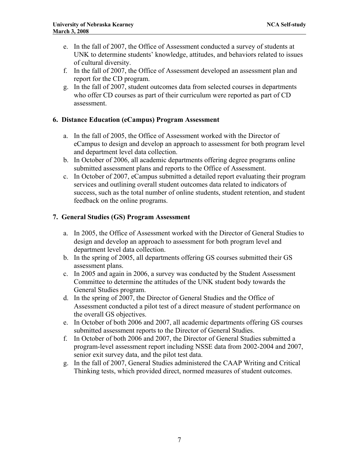- e. In the fall of 2007, the Office of Assessment conducted a survey of students at UNK to determine students' knowledge, attitudes, and behaviors related to issues of cultural diversity.
- f. In the fall of 2007, the Office of Assessment developed an assessment plan and report for the CD program.
- g. In the fall of 2007, student outcomes data from selected courses in departments who offer CD courses as part of their curriculum were reported as part of CD assessment.

#### **6. Distance Education (eCampus) Program Assessment**

- a. In the fall of 2005, the Office of Assessment worked with the Director of eCampus to design and develop an approach to assessment for both program level and department level data collection.
- b. In October of 2006, all academic departments offering degree programs online submitted assessment plans and reports to the Office of Assessment.
- c. In October of 2007, eCampus submitted a detailed report evaluating their program services and outlining overall student outcomes data related to indicators of success, such as the total number of online students, student retention, and student feedback on the online programs.

#### **7. General Studies (GS) Program Assessment**

- a. In 2005, the Office of Assessment worked with the Director of General Studies to design and develop an approach to assessment for both program level and department level data collection.
- b. In the spring of 2005, all departments offering GS courses submitted their GS assessment plans.
- c. In 2005 and again in 2006, a survey was conducted by the Student Assessment Committee to determine the attitudes of the UNK student body towards the General Studies program.
- d. In the spring of 2007, the Director of General Studies and the Office of Assessment conducted a pilot test of a direct measure of student performance on the overall GS objectives.
- e. In October of both 2006 and 2007, all academic departments offering GS courses submitted assessment reports to the Director of General Studies.
- f. In October of both 2006 and 2007, the Director of General Studies submitted a program-level assessment report including NSSE data from 2002-2004 and 2007, senior exit survey data, and the pilot test data.
- g. In the fall of 2007, General Studies administered the CAAP Writing and Critical Thinking tests, which provided direct, normed measures of student outcomes.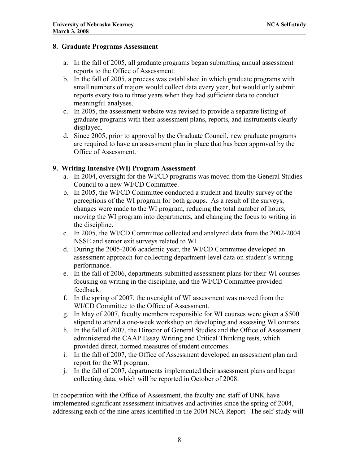#### **8. Graduate Programs Assessment**

- a. In the fall of 2005, all graduate programs began submitting annual assessment reports to the Office of Assessment.
- b. In the fall of 2005, a process was established in which graduate programs with small numbers of majors would collect data every year, but would only submit reports every two to three years when they had sufficient data to conduct meaningful analyses.
- c. In 2005, the assessment website was revised to provide a separate listing of graduate programs with their assessment plans, reports, and instruments clearly displayed.
- d. Since 2005, prior to approval by the Graduate Council, new graduate programs are required to have an assessment plan in place that has been approved by the Office of Assessment.

#### **9. Writing Intensive (WI) Program Assessment**

- a. In 2004, oversight for the WI/CD programs was moved from the General Studies Council to a new WI/CD Committee.
- b. In 2005, the WI/CD Committee conducted a student and faculty survey of the perceptions of the WI program for both groups. As a result of the surveys, changes were made to the WI program, reducing the total number of hours, moving the WI program into departments, and changing the focus to writing in the discipline.
- c. In 2005, the WI/CD Committee collected and analyzed data from the 2002-2004 NSSE and senior exit surveys related to WI.
- d. During the 2005-2006 academic year, the WI/CD Committee developed an assessment approach for collecting department-level data on student's writing performance.
- e. In the fall of 2006, departments submitted assessment plans for their WI courses focusing on writing in the discipline, and the WI/CD Committee provided feedback.
- f. In the spring of 2007, the oversight of WI assessment was moved from the WI/CD Committee to the Office of Assessment.
- g. In May of 2007, faculty members responsible for WI courses were given a \$500 stipend to attend a one-week workshop on developing and assessing WI courses.
- h. In the fall of 2007, the Director of General Studies and the Office of Assessment administered the CAAP Essay Writing and Critical Thinking tests, which provided direct, normed measures of student outcomes.
- i. In the fall of 2007, the Office of Assessment developed an assessment plan and report for the WI program.
- j. In the fall of 2007, departments implemented their assessment plans and began collecting data, which will be reported in October of 2008.

In cooperation with the Office of Assessment, the faculty and staff of UNK have implemented significant assessment initiatives and activities since the spring of 2004, addressing each of the nine areas identified in the 2004 NCA Report. The self-study will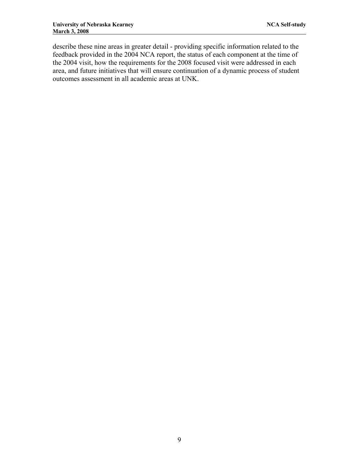describe these nine areas in greater detail - providing specific information related to the feedback provided in the 2004 NCA report, the status of each component at the time of the 2004 visit, how the requirements for the 2008 focused visit were addressed in each area, and future initiatives that will ensure continuation of a dynamic process of student outcomes assessment in all academic areas at UNK.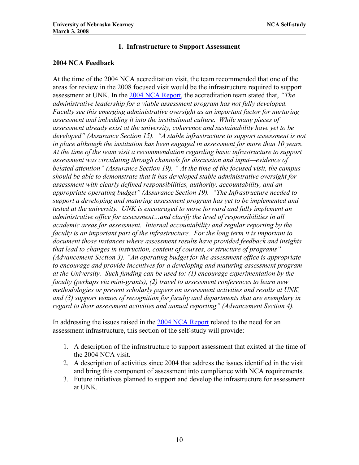#### **I. Infrastructure to Support Assessment**

#### **2004 NCA Feedback**

At the time of the 2004 NCA accreditation visit, the team recommended that one of the areas for review in the 2008 focused visit would be the infrastructure required to support assessment at UNK. In the [2004 NCA Report,](http://www.unk.edu/uploadedFiles/ncac_report.pdf) the accreditation team stated that, *"The administrative leadership for a viable assessment program has not fully developed. Faculty see this emerging administrative oversight as an important factor for nurturing assessment and imbedding it into the institutional culture. While many pieces of assessment already exist at the university, coherence and sustainability have yet to be developed" (Assurance Section 15). "A stable infrastructure to support assessment is not in place although the institution has been engaged in assessment for more than 10 years. At the time of the team visit a recommendation regarding basic infrastructure to support assessment was circulating through channels for discussion and input—evidence of belated attention" (Assurance Section 19). " At the time of the focused visit, the campus should be able to demonstrate that it has developed stable administrative oversight for assessment with clearly defined responsibilities, authority, accountability, and an appropriate operating budget" (Assurance Section 19). "The Infrastructure needed to support a developing and maturing assessment program has yet to be implemented and tested at the university. UNK is encouraged to move forward and fully implement an administrative office for assessment…and clarify the level of responsibilities in all academic areas for assessment. Internal accountability and regular reporting by the faculty is an important part of the infrastructure. For the long term it is important to document those instances where assessment results have provided feedback and insights that lead to changes in instruction, content of courses, or structure of programs" (Advancement Section 3). "An operating budget for the assessment office is appropriate to encourage and provide incentives for a developing and maturing assessment program at the University. Such funding can be used to: (1) encourage experimentation by the faculty (perhaps via mini-grants), (2) travel to assessment conferences to learn new methodologies or present scholarly papers on assessment activities and results at UNK, and (3) support venues of recognition for faculty and departments that are exemplary in regard to their assessment activities and annual reporting" (Advancement Section 4).* 

In addressing the issues raised in the [2004 NCA Report](http://www.unk.edu/uploadedFiles/ncac_report.pdf) related to the need for an assessment infrastructure, this section of the self-study will provide:

- 1. A description of the infrastructure to support assessment that existed at the time of the 2004 NCA visit.
- 2. A description of activities since 2004 that address the issues identified in the visit and bring this component of assessment into compliance with NCA requirements.
- 3. Future initiatives planned to support and develop the infrastructure for assessment at UNK.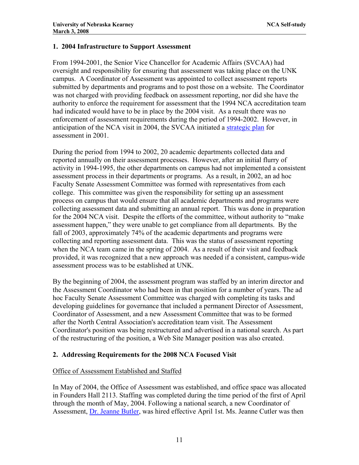#### **1. 2004 Infrastructure to Support Assessment**

From 1994-2001, the Senior Vice Chancellor for Academic Affairs (SVCAA) had oversight and responsibility for ensuring that assessment was taking place on the UNK campus. A Coordinator of Assessment was appointed to collect assessment reports submitted by departments and programs and to post those on a website. The Coordinator was not charged with providing feedback on assessment reporting, nor did she have the authority to enforce the requirement for assessment that the 1994 NCA accreditation team had indicated would have to be in place by the 2004 visit. As a result there was no enforcement of assessment requirements during the period of 1994-2002. However, in anticipation of the NCA visit in 2004, the SVCAA initiated a [strategic plan](http://www.unk.edu/academicaffairs/assessment/about/index.php?id=4340) for assessment in 2001.

During the period from 1994 to 2002, 20 academic departments collected data and reported annually on their assessment processes. However, after an initial flurry of activity in 1994-1995, the other departments on campus had not implemented a consistent assessment process in their departments or programs. As a result, in 2002, an ad hoc Faculty Senate Assessment Committee was formed with representatives from each college. This committee was given the responsibility for setting up an assessment process on campus that would ensure that all academic departments and programs were collecting assessment data and submitting an annual report. This was done in preparation for the 2004 NCA visit. Despite the efforts of the committee, without authority to "make assessment happen," they were unable to get compliance from all departments. By the fall of 2003, approximately 74% of the academic departments and programs were collecting and reporting assessment data. This was the status of assessment reporting when the NCA team came in the spring of 2004. As a result of their visit and feedback provided, it was recognized that a new approach was needed if a consistent, campus-wide assessment process was to be established at UNK.

By the beginning of 2004, the assessment program was staffed by an interim director and the Assessment Coordinator who had been in that position for a number of years. The ad hoc Faculty Senate Assessment Committee was charged with completing its tasks and developing guidelines for governance that included a permanent Director of Assessment, Coordinator of Assessment, and a new Assessment Committee that was to be formed after the North Central Association's accreditation team visit. The Assessment Coordinator's position was being restructured and advertised in a national search. As part of the restructuring of the position, a Web Site Manager position was also created.

# **2. Addressing Requirements for the 2008 NCA Focused Visit**

# Office of Assessment Established and Staffed

In May of 2004, the Office of Assessment was established, and office space was allocated in Founders Hall 2113. Staffing was completed during the time period of the first of April through the month of May, 2004. Following a national search, a new Coordinator of Assessment, [Dr. Jeanne Butler,](http://www.unk.edu/uploadedFiles/academicaffairs/assessment/about/JEANNE%20BUTLER%20CV2005.pdf) was hired effective April 1st. Ms. Jeanne Cutler was then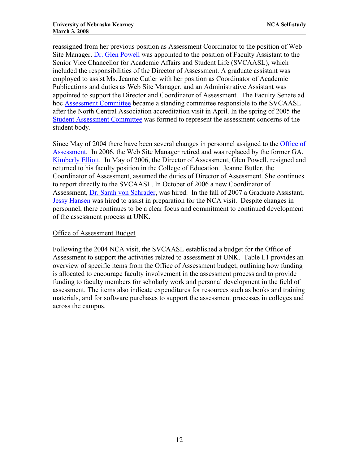reassigned from her previous position as Assessment Coordinator to the position of Web Site Manager. [Dr. Glen Powell](http://www.unk.edu/uploadedFiles/academicaffairs/assessment/about/Glen) was appointed to the position of Faculty Assistant to the Senior Vice Chancellor for Academic Affairs and Student Life (SVCAASL), which included the responsibilities of the Director of Assessment. A graduate assistant was employed to assist Ms. Jeanne Cutler with her position as Coordinator of Academic Publications and duties as Web Site Manager, and an Administrative Assistant was appointed to support the Director and Coordinator of Assessment. The Faculty Senate ad hoc [Assessment Committee](http://www.unk.edu/academicaffairs/assessment/about/index.php?id=4338) became a standing committee responsible to the SVCAASL after the North Central Association accreditation visit in April. In the spring of 2005 the [Student Assessment Committee](http://www.unk.edu/academicaffairs/assessment/about/index.php?id=4327) was formed to represent the assessment concerns of the student body.

Since May of 2004 there have been several changes in personnel assigned to the [Office of](http://www.unk.edu/academicaffairs/assessment/about/index.php?id=4345)  [Assessment.](http://www.unk.edu/academicaffairs/assessment/about/index.php?id=4345) In 2006, the Web Site Manager retired and was replaced by the former GA, [Kimberly Elliott.](http://www.unk.edu/academicaffairs/assessment/about/index.php?id=4345) In May of 2006, the Director of Assessment, Glen Powell, resigned and returned to his faculty position in the College of Education. Jeanne Butler, the Coordinator of Assessment, assumed the duties of Director of Assessment. She continues to report directly to the SVCAASL. In October of 2006 a new Coordinator of Assessment, [Dr. Sarah von Schrader](http://www.unk.edu/uploadedFiles/academicaffairs/assessment/about/cv%20svs.pdf), was hired. In the fall of 2007 a Graduate Assistant, [Jessy Hansen](http://www.unk.edu/academicaffairs/assessment/about/index.php?id=4345) was hired to assist in preparation for the NCA visit. Despite changes in personnel, there continues to be a clear focus and commitment to continued development of the assessment process at UNK.

#### Office of Assessment Budget

Following the 2004 NCA visit, the SVCAASL established a budget for the Office of Assessment to support the activities related to assessment at UNK. Table I.1 provides an overview of specific items from the Office of Assessment budget, outlining how funding is allocated to encourage faculty involvement in the assessment process and to provide funding to faculty members for scholarly work and personal development in the field of assessment. The items also indicate expenditures for resources such as books and training materials, and for software purchases to support the assessment processes in colleges and across the campus.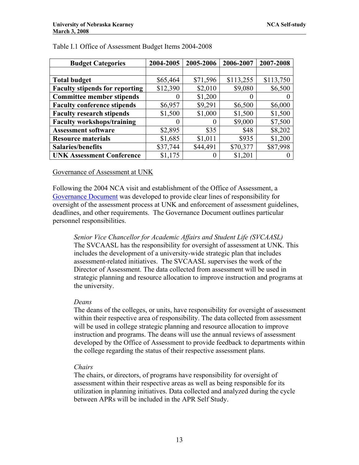| <b>Budget Categories</b>              | 2004-2005 | 2005-2006 | 2006-2007 | 2007-2008 |
|---------------------------------------|-----------|-----------|-----------|-----------|
|                                       |           |           |           |           |
| <b>Total budget</b>                   | \$65,464  | \$71,596  | \$113,255 | \$113,750 |
| <b>Faculty stipends for reporting</b> | \$12,390  | \$2,010   | \$9,080   | \$6,500   |
| <b>Committee member stipends</b>      |           | \$1,200   | $\theta$  |           |
| <b>Faculty conference stipends</b>    | \$6,957   | \$9,291   | \$6,500   | \$6,000   |
| <b>Faculty research stipends</b>      | \$1,500   | \$1,000   | \$1,500   | \$1,500   |
| <b>Faculty workshops/training</b>     |           | $\theta$  | \$9,000   | \$7,500   |
| <b>Assessment software</b>            | \$2,895   | \$35      | \$48      | \$8,202   |
| <b>Resource materials</b>             | \$1,685   | \$1,011   | \$935     | \$1,200   |
| <b>Salaries/benefits</b>              | \$37,744  | \$44,491  | \$70,377  | \$87,998  |
| <b>UNK Assessment Conference</b>      | \$1,175   |           | \$1,201   |           |

#### Table I.1 Office of Assessment Budget Items 2004-2008

#### Governance of Assessment at UNK

Following the 2004 NCA visit and establishment of the Office of Assessment, a [Governance Document](http://www.unk.edu/academicaffairs/assessment/about/index.php?id=4339) was developed to provide clear lines of responsibility for oversight of the assessment process at UNK and enforcement of assessment guidelines, deadlines, and other requirements. The Governance Document outlines particular personnel responsibilities.

*Senior Vice Chancellor for Academic Affairs and Student Life (SVCAASL)*  The SVCAASL has the responsibility for oversight of assessment at UNK. This includes the development of a university-wide strategic plan that includes assessment-related initiatives. The SVCAASL supervises the work of the Director of Assessment. The data collected from assessment will be used in strategic planning and resource allocation to improve instruction and programs at the university.

#### *Deans*

The deans of the colleges, or units, have responsibility for oversight of assessment within their respective area of responsibility. The data collected from assessment will be used in college strategic planning and resource allocation to improve instruction and programs. The deans will use the annual reviews of assessment developed by the Office of Assessment to provide feedback to departments within the college regarding the status of their respective assessment plans.

#### *Chairs*

The chairs, or directors, of programs have responsibility for oversight of assessment within their respective areas as well as being responsible for its utilization in planning initiatives. Data collected and analyzed during the cycle between APRs will be included in the APR Self Study.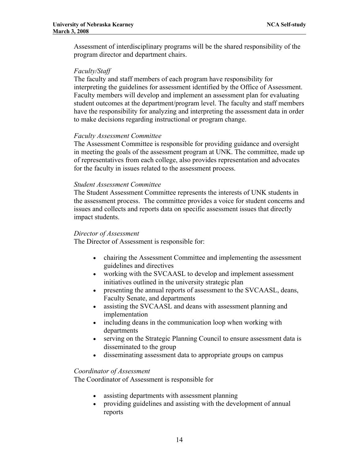Assessment of interdisciplinary programs will be the shared responsibility of the program director and department chairs.

#### *Faculty/Staff*

The faculty and staff members of each program have responsibility for interpreting the guidelines for assessment identified by the Office of Assessment. Faculty members will develop and implement an assessment plan for evaluating student outcomes at the department/program level. The faculty and staff members have the responsibility for analyzing and interpreting the assessment data in order to make decisions regarding instructional or program change.

#### *Faculty Assessment Committee*

The Assessment Committee is responsible for providing guidance and oversight in meeting the goals of the assessment program at UNK. The committee, made up of representatives from each college, also provides representation and advocates for the faculty in issues related to the assessment process.

#### *Student Assessment Committee*

The Student Assessment Committee represents the interests of UNK students in the assessment process. The committee provides a voice for student concerns and issues and collects and reports data on specific assessment issues that directly impact students.

#### *Director of Assessment*

The Director of Assessment is responsible for:

- chairing the Assessment Committee and implementing the assessment guidelines and directives
- working with the SVCAASL to develop and implement assessment initiatives outlined in the university strategic plan
- presenting the annual reports of assessment to the SVCAASL, deans, Faculty Senate, and departments
- assisting the SVCAASL and deans with assessment planning and implementation
- including deans in the communication loop when working with departments
- serving on the Strategic Planning Council to ensure assessment data is disseminated to the group
- disseminating assessment data to appropriate groups on campus

#### *Coordinator of Assessment*

The Coordinator of Assessment is responsible for

- assisting departments with assessment planning
- providing guidelines and assisting with the development of annual reports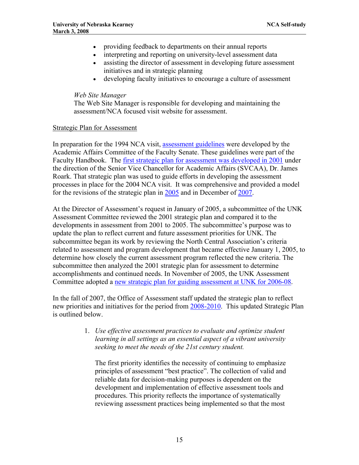- providing feedback to departments on their annual reports
- interpreting and reporting on university-level assessment data
- assisting the director of assessment in developing future assessment initiatives and in strategic planning
- developing faculty initiatives to encourage a culture of assessment

#### *Web Site Manager*

The Web Site Manager is responsible for developing and maintaining the assessment/NCA focused visit website for assessment.

#### Strategic Plan for Assessment

In preparation for the 1994 NCA visit, [assessment guidelines](http://www.unk.edu/academicaffairs/assessment/Assessment_Program_Evaluation/index.php?id=4342) were developed by the Academic Affairs Committee of the Faculty Senate. These guidelines were part of the Faculty Handbook. The [first strategic plan for assessment was developed in 2001](http://www.unk.edu/academicaffairs/assessment/about/index.php?id=4340) under the direction of the Senior Vice Chancellor for Academic Affairs (SVCAA), Dr. James Roark. That strategic plan was used to guide efforts in developing the assessment processes in place for the 2004 NCA visit. It was comprehensive and provided a model for the revisions of the strategic plan in  $\frac{2005}{200}$  and in December of [2007](http://www.unk.edu/academicaffairs/assessment/Assessment_Program_Evaluation/index.php?id=32266).

At the Director of Assessment's request in January of 2005, a subcommittee of the UNK Assessment Committee reviewed the 2001 strategic plan and compared it to the developments in assessment from 2001 to 2005. The subcommittee's purpose was to update the plan to reflect current and future assessment priorities for UNK. The subcommittee began its work by reviewing the North Central Association's criteria related to assessment and program development that became effective January 1, 2005, to determine how closely the current assessment program reflected the new criteria. The subcommittee then analyzed the 2001 strategic plan for assessment to determine accomplishments and continued needs. In November of 2005, the UNK Assessment Committee adopted a [new strategic plan for guiding assessment at UNK for 2006-08.](http://www.unk.edu/academicaffairs/assessment/Assessment_Program_Evaluation/index.php?id=15846)

In the fall of 2007, the Office of Assessment staff updated the strategic plan to reflect new priorities and initiatives for the period from [2008-2010.](http://www.unk.edu/academicaffairs/assessment/Assessment_Program_Evaluation/index.php?id=32266) This updated Strategic Plan is outlined below.

> 1. *Use effective assessment practices to evaluate and optimize student learning in all settings as an essential aspect of a vibrant university seeking to meet the needs of the 21st century student.*

The first priority identifies the necessity of continuing to emphasize principles of assessment "best practice". The collection of valid and reliable data for decision-making purposes is dependent on the development and implementation of effective assessment tools and procedures. This priority reflects the importance of systematically reviewing assessment practices being implemented so that the most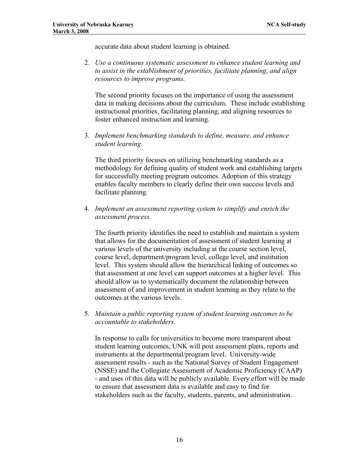accurate data about student learning is obtained.

2. *Use a continuous systematic assessment to enhance student learning and to assist in the establishment of priorities, facilitate planning, and align resources to improve programs.* 

The second priority focuses on the importance of using the assessment data in making decisions about the curriculum. These include establishing instructional priorities, facilitating planning, and aligning resources to foster enhanced instruction and learning.

3. *Implement benchmarking standards to define, measure, and enhance student learning.* 

The third priority focuses on utilizing benchmarking standards as a methodology for defining quality of student work and establishing targets for successfully meeting program outcomes. Adoption of this strategy enables faculty members to clearly define their own success levels and facilitate planning.

4. *Implement an assessment reporting system to simplify and enrich the assessment process.* 

The fourth priority identifies the need to establish and maintain a system that allows for the documentation of assessment of student learning at various levels of the university including at the course section level, course level, department/program level, college level, and institution level. This system should allow the hierarchical linking of outcomes so that assessment at one level can support outcomes at a higher level. This should allow us to systematically document the relationship between assessment of and improvement in student learning as they relate to the outcomes at the various levels.

5. *Maintain a public reporting system of student learning outcomes to be accountable to stakeholders.* 

In response to calls for universities to become more transparent about student learning outcomes, UNK will post assessment plans, reports and instruments at the departmental/program level. University-wide assessment results - such as the National Survey of Student Engagement (NSSE) and the Collegiate Assessment of Academic Proficiency (CAAP) - and uses of this data will be publicly available. Every effort will be made to ensure that assessment data is available and easy to find for stakeholders such as the faculty, students, parents, and administration.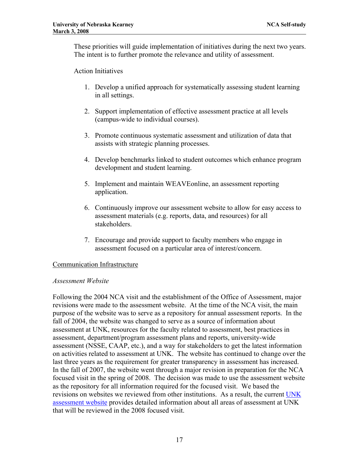These priorities will guide implementation of initiatives during the next two years. The intent is to further promote the relevance and utility of assessment.

#### Action Initiatives

- 1. Develop a unified approach for systematically assessing student learning in all settings.
- 2. Support implementation of effective assessment practice at all levels (campus-wide to individual courses).
- 3. Promote continuous systematic assessment and utilization of data that assists with strategic planning processes.
- 4. Develop benchmarks linked to student outcomes which enhance program development and student learning.
- 5. Implement and maintain WEAVEonline, an assessment reporting application.
- 6. Continuously improve our assessment website to allow for easy access to assessment materials (e.g. reports, data, and resources) for all stakeholders.
- 7. Encourage and provide support to faculty members who engage in assessment focused on a particular area of interest/concern.

#### Communication Infrastructure

#### *Assessment Website*

Following the 2004 NCA visit and the establishment of the Office of Assessment, major revisions were made to the assessment website. At the time of the NCA visit, the main purpose of the website was to serve as a repository for annual assessment reports. In the fall of 2004, the website was changed to serve as a source of information about assessment at UNK, resources for the faculty related to assessment, best practices in assessment, department/program assessment plans and reports, university-wide assessment (NSSE, CAAP, etc.), and a way for stakeholders to get the latest information on activities related to assessment at UNK. The website has continued to change over the last three years as the requirement for greater transparency in assessment has increased. In the fall of 2007, the website went through a major revision in preparation for the NCA focused visit in the spring of 2008. The decision was made to use the assessment website as the repository for all information required for the focused visit. We based the revisions on websites we reviewed from other institutions. As a result, the current UNK [assessment website](http://www.unk.edu/academicaffairs/assessment/) provides detailed information about all areas of assessment at UNK that will be reviewed in the 2008 focused visit.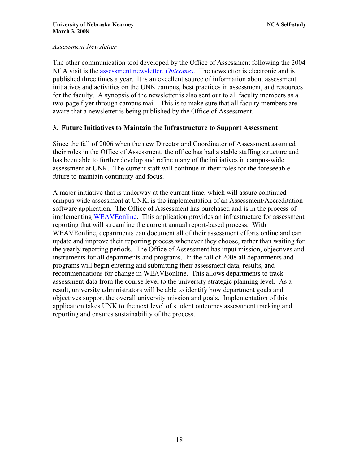#### *Assessment Newsletter*

The other communication tool developed by the Office of Assessment following the 2004 NCA visit is the [assessment newsletter,](http://www.unk.edu/academicaffairs/assessment/Resources/index.php?id=16888) *Outcomes*. The newsletter is electronic and is published three times a year. It is an excellent source of information about assessment initiatives and activities on the UNK campus, best practices in assessment, and resources for the faculty. A synopsis of the newsletter is also sent out to all faculty members as a two-page flyer through campus mail. This is to make sure that all faculty members are aware that a newsletter is being published by the Office of Assessment.

# **3. Future Initiatives to Maintain the Infrastructure to Support Assessment**

Since the fall of 2006 when the new Director and Coordinator of Assessment assumed their roles in the Office of Assessment, the office has had a stable staffing structure and has been able to further develop and refine many of the initiatives in campus-wide assessment at UNK. The current staff will continue in their roles for the foreseeable future to maintain continuity and focus.

A major initiative that is underway at the current time, which will assure continued campus-wide assessment at UNK, is the implementation of an Assessment/Accreditation software application. The Office of Assessment has purchased and is in the process of implementing [WEAVEonline.](http://www.weaveonline.com/) This application provides an infrastructure for assessment reporting that will streamline the current annual report-based process. With WEAVEonline, departments can document all of their assessment efforts online and can update and improve their reporting process whenever they choose, rather than waiting for the yearly reporting periods. The Office of Assessment has input mission, objectives and instruments for all departments and programs. In the fall of 2008 all departments and programs will begin entering and submitting their assessment data, results, and recommendations for change in WEAVEonline. This allows departments to track assessment data from the course level to the university strategic planning level. As a result, university administrators will be able to identify how department goals and objectives support the overall university mission and goals. Implementation of this application takes UNK to the next level of student outcomes assessment tracking and reporting and ensures sustainability of the process.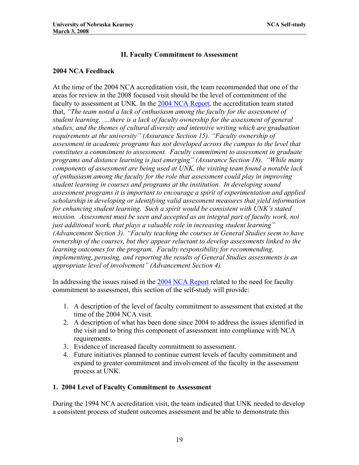#### **II. Faculty Commitment to Assessment**

#### **2004 NCA Feedback**

At the time of the 2004 NCA accreditation visit, the team recommended that one of the areas for review in the 2008 focused visit should be the level of commitment of the faculty to assessment at UNK. In the [2004 NCA Report](http://www.unk.edu/uploadedFiles/ncac_report.pdf), the accreditation team stated that, *"The team noted a lack of enthusiasm among the faculty for the assessment of student learning. …there is a lack of faculty ownership for the assessment of general studies, and the themes of cultural diversity and intensive writing which are graduation requirements at the university" (Assurance Section 15). "Faculty ownership of assessment in academic programs has not developed across the campus to the level that constitutes a commitment to assessment. Faculty commitment to assessment in graduate programs and distance learning is just emerging" (Assurance Section 18). "While many components of assessment are being used at UNK, the visiting team found a notable lack of enthusiasm among the faculty for the role that assessment could play in improving student learning in courses and programs at the institution. In developing sound assessment programs it is important to encourage a spirit of experimentation and applied scholarship in developing or identifying valid assessment measures that yield information for enhancing student learning. Such a spirit would be consistent with UNK's stated*  mission. Assessment must be seen and accepted as an integral part of faculty work, not *just additional work, that plays a valuable role in increasing student learning" (Advancement Section 3). "Faculty teaching the courses in General Studies seem to have ownership of the courses, but they appear reluctant to develop assessments linked to the learning outcomes for the program. Faculty responsibility for recommending, implementing, perusing, and reporting the results of General Studies assessments is an appropriate level of involvement" (Advancement Section 4).* 

In addressing the issues raised in the [2004 NCA Report](http://www.unk.edu/uploadedFiles/ncac_report.pdf) related to the need for faculty commitment to assessment, this section of the self-study will provide:

- 1. A description of the level of faculty commitment to assessment that existed at the time of the 2004 NCA visit.
- 2. A description of what has been done since 2004 to address the issues identified in the visit and to bring this component of assessment into compliance with NCA requirements.
- 3. Evidence of increased faculty commitment to assessment.
- 4. Future initiatives planned to continue current levels of faculty commitment and expand to greater commitment and involvement of the faculty in the assessment process at UNK.

# **1. 2004 Level of Faculty Commitment to Assessment**

During the 1994 NCA accreditation visit, the team indicated that UNK needed to develop a consistent process of student outcomes assessment and be able to demonstrate this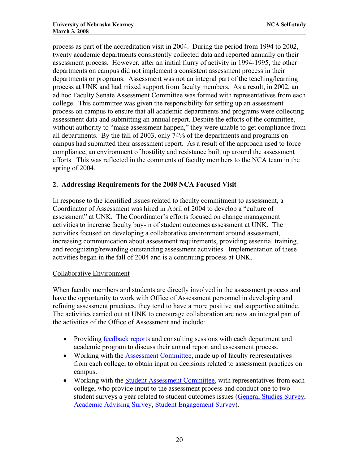process as part of the accreditation visit in 2004. During the period from 1994 to 2002, twenty academic departments consistently collected data and reported annually on their assessment process. However, after an initial flurry of activity in 1994-1995, the other departments on campus did not implement a consistent assessment process in their departments or programs. Assessment was not an integral part of the teaching/learning process at UNK and had mixed support from faculty members. As a result, in 2002, an ad hoc Faculty Senate Assessment Committee was formed with representatives from each college. This committee was given the responsibility for setting up an assessment process on campus to ensure that all academic departments and programs were collecting assessment data and submitting an annual report. Despite the efforts of the committee, without authority to "make assessment happen," they were unable to get compliance from all departments. By the fall of 2003, only 74% of the departments and programs on campus had submitted their assessment report. As a result of the approach used to force compliance, an environment of hostility and resistance built up around the assessment efforts. This was reflected in the comments of faculty members to the NCA team in the spring of 2004.

# **2. Addressing Requirements for the 2008 NCA Focused Visit**

In response to the identified issues related to faculty commitment to assessment, a Coordinator of Assessment was hired in April of 2004 to develop a "culture of assessment" at UNK. The Coordinator's efforts focused on change management activities to increase faculty buy-in of student outcomes assessment at UNK. The activities focused on developing a collaborative environment around assessment, increasing communication about assessment requirements, providing essential training, and recognizing/rewarding outstanding assessment activities. Implementation of these activities began in the fall of 2004 and is a continuing process at UNK.

# Collaborative Environment

When faculty members and students are directly involved in the assessment process and have the opportunity to work with Office of Assessment personnel in developing and refining assessment practices, they tend to have a more positive and supportive attitude. The activities carried out at UNK to encourage collaboration are now an integral part of the activities of the Office of Assessment and include:

- Providing [feedback reports](http://www.unk.edu/uploadedFiles/academicaffairs/assessment/about/feedback%20form%20_revised%20March%2007_.pdf) and consulting sessions with each department and academic program to discuss their annual report and assessment process.
- Working with the [Assessment Committee,](http://www.unk.edu/academicaffairs/assessment/about/index.php?id=4338) made up of faculty representatives from each college, to obtain input on decisions related to assessment practices on campus.
- Working with the [Student Assessment Committee](http://www.unk.edu/academicaffairs/assessment/about/index.php?id=4327), with representatives from each college, who provide input to the assessment process and conduct one to two student surveys a year related to student outcomes issues ([General Studies Survey,](http://www.unk.edu/academicaffairs/assessment/Assessment_Program_Evaluation/index.php?id=17478#fall06gs) [Academic Advising Survey,](http://www.unk.edu/academicaffairs/assessment/Assessment_Program_Evaluation/index.php?id=17478#fall06gs) [Student Engagement Survey](http://www.unk.edu/academicaffairs/assessment/Assessment_Program_Evaluation/index.php?id=17478#fall06gs)).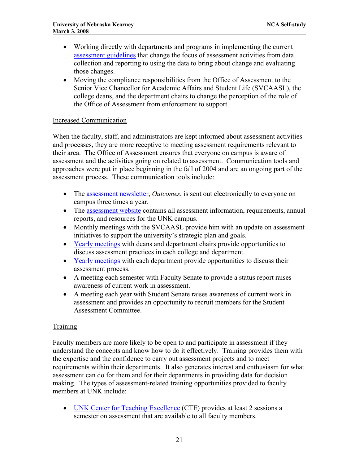- Working directly with departments and programs in implementing the current [assessment guidelines](http://www.unk.edu/uploadedFiles/academicaffairs/assessment/Assessment%20report%20guidelines%20and%20feedback%20form.pdf) that change the focus of assessment activities from data collection and reporting to using the data to bring about change and evaluating those changes.
- Moving the compliance responsibilities from the Office of Assessment to the Senior Vice Chancellor for Academic Affairs and Student Life (SVCAASL), the college deans, and the department chairs to change the perception of the role of the Office of Assessment from enforcement to support.

#### Increased Communication

When the faculty, staff, and administrators are kept informed about assessment activities and processes, they are more receptive to meeting assessment requirements relevant to their area. The Office of Assessment ensures that everyone on campus is aware of assessment and the activities going on related to assessment. Communication tools and approaches were put in place beginning in the fall of 2004 and are an ongoing part of the assessment process. These communication tools include:

- The [assessment newsletter](http://www.unk.edu/academicaffairs/assessment/Resources/index.php?id=16888), *Outcomes*, is sent out electronically to everyone on campus three times a year.
- The [assessment website](http://www.unk.edu/academicaffairs/assessment/) contains all assessment information, requirements, annual reports, and resources for the UNK campus.
- Monthly meetings with the SVCAASL provide him with an update on assessment initiatives to support the university's strategic plan and goals.
- [Yearly meetings](http://www.unk.edu/academicaffairs/assessment/about/index.php?id=32584) with deans and department chairs provide opportunities to discuss assessment practices in each college and department.
- [Yearly meetings](http://www.unk.edu/academicaffairs/assessment/about/index.php?id=32584) with each department provide opportunities to discuss their assessment process.
- A meeting each semester with Faculty Senate to provide a status report raises awareness of current work in assessment.
- A meeting each year with Student Senate raises awareness of current work in assessment and provides an opportunity to recruit members for the Student Assessment Committee.

#### **Training**

Faculty members are more likely to be open to and participate in assessment if they understand the concepts and know how to do it effectively. Training provides them with the expertise and the confidence to carry out assessment projects and to meet requirements within their departments. It also generates interest and enthusiasm for what assessment can do for them and for their departments in providing data for decision making. The types of assessment-related training opportunities provided to faculty members at UNK include:

• [UNK Center for Teaching Excellence](http://www.unk.edu/acad/cte/) (CTE) provides at least 2 sessions a semester on assessment that are available to all faculty members.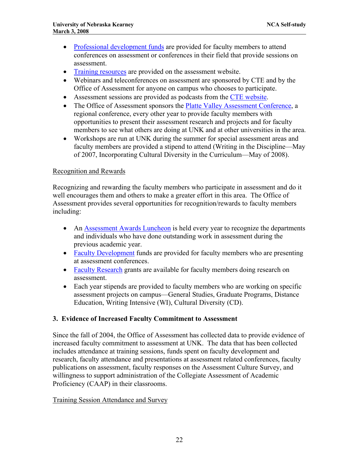- [Professional development funds](http://www.unk.edu/academicaffairs/assessment/Resources/index.php?id=32306) are provided for faculty members to attend conferences on assessment or conferences in their field that provide sessions on assessment.
- [Training resources](http://www.unk.edu/academicaffairs/assessment/Resources/index.php?id=16926) are provided on the assessment website.
- Webinars and teleconferences on assessment are sponsored by CTE and by the Office of Assessment for anyone on campus who chooses to participate.
- Assessment sessions are provided as podcasts from the [CTE website.](http://www.lopers.net/weblog/cte/)
- The Office of Assessment sponsors the [Platte Valley Assessment Conference,](http://www.unk.edu/acad/cte/assessmentconference/index.php) a regional conference, every other year to provide faculty members with opportunities to present their assessment research and projects and for faculty members to see what others are doing at UNK and at other universities in the area.
- Workshops are run at UNK during the summer for special assessment areas and faculty members are provided a stipend to attend (Writing in the Discipline—May of 2007, Incorporating Cultural Diversity in the Curriculum—May of 2008).

#### Recognition and Rewards

Recognizing and rewarding the faculty members who participate in assessment and do it well encourages them and others to make a greater effort in this area. The Office of Assessment provides several opportunities for recognition/rewards to faculty members including:

- An [Assessment Awards Luncheon](http://www.unk.edu/academicaffairs/assessment/about/index.php?id=33260) is held every year to recognize the departments and individuals who have done outstanding work in assessment during the previous academic year.
- [Faculty Development](http://www.unk.edu/academicaffairs/assessment/Resources/index.php?id=32306) funds are provided for faculty members who are presenting at assessment conferences.
- [Faculty Research](http://www.unk.edu/academicaffairs/assessment/Resources/index.php?id=32306) grants are available for faculty members doing research on assessment.
- Each year stipends are provided to faculty members who are working on specific assessment projects on campus—General Studies, Graduate Programs, Distance Education, Writing Intensive (WI), Cultural Diversity (CD).

#### **3. Evidence of Increased Faculty Commitment to Assessment**

Since the fall of 2004, the Office of Assessment has collected data to provide evidence of increased faculty commitment to assessment at UNK. The data that has been collected includes attendance at training sessions, funds spent on faculty development and research, faculty attendance and presentations at assessment related conferences, faculty publications on assessment, faculty responses on the Assessment Culture Survey, and willingness to support administration of the Collegiate Assessment of Academic Proficiency (CAAP) in their classrooms.

#### Training Session Attendance and Survey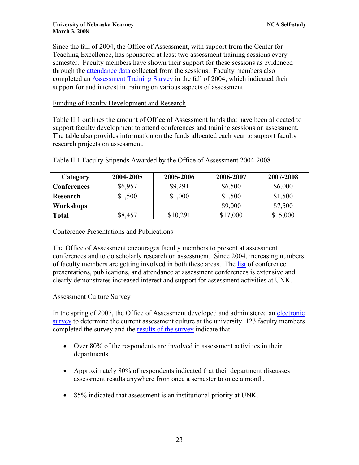Since the fall of 2004, the Office of Assessment, with support from the Center for Teaching Excellence, has sponsored at least two assessment training sessions every semester. Faculty members have shown their support for these sessions as evidenced through the [attendance data](http://www.unk.edu/academicaffairs/assessment/about/index.php?id=22388) collected from the sessions. Faculty members also completed an [Assessment Training Survey](http://www.unk.edu/uploadedFiles/academicaffairs/assessment/assessment%20training%20survey%20summary.pdf) in the fall of 2004, which indicated their support for and interest in training on various aspects of assessment.

#### Funding of Faculty Development and Research

Table II.1 outlines the amount of Office of Assessment funds that have been allocated to support faculty development to attend conferences and training sessions on assessment. The table also provides information on the funds allocated each year to support faculty research projects on assessment.

| Category           | 2004-2005 | 2005-2006 | 2006-2007 | 2007-2008 |
|--------------------|-----------|-----------|-----------|-----------|
| <b>Conferences</b> | \$6,957   | \$9,291   | \$6,500   | \$6,000   |
| Research           | \$1,500   | \$1,000   | \$1,500   | \$1,500   |
| Workshops          |           |           | \$9,000   | \$7,500   |
| <b>Total</b>       | \$8,457   | \$10,291  | \$17,000  | \$15,000  |

Table II.1 Faculty Stipends Awarded by the Office of Assessment 2004-2008

#### Conference Presentations and Publications

The Office of Assessment encourages faculty members to present at assessment conferences and to do scholarly research on assessment. Since 2004, increasing numbers of faculty members are getting involved in both these areas. The [list](http://www.unk.edu/academicaffairs/assessment/about/index.php?id=32576) of conference presentations, publications, and attendance at assessment conferences is extensive and clearly demonstrates increased interest and support for assessment activities at UNK.

#### Assessment Culture Survey

In the spring of 2007, the Office of Assessment developed and administered an [electronic](http://www.unk.edu/uploadedFiles/academicaffairs/assessment/about/assessment%20climate%20survey.pdf)  [survey](http://www.unk.edu/uploadedFiles/academicaffairs/assessment/about/assessment%20climate%20survey.pdf) to determine the current assessment culture at the university. 123 faculty members completed the survey and the [results of the survey](http://www.unk.edu/uploadedFiles/academicaffairs/assessment/about/Report%20on%20Assessment%20Climate%20Survey%20_for%20website_.pdf) indicate that:

- Over 80% of the respondents are involved in assessment activities in their departments.
- Approximately 80% of respondents indicated that their department discusses assessment results anywhere from once a semester to once a month.
- 85% indicated that assessment is an institutional priority at UNK.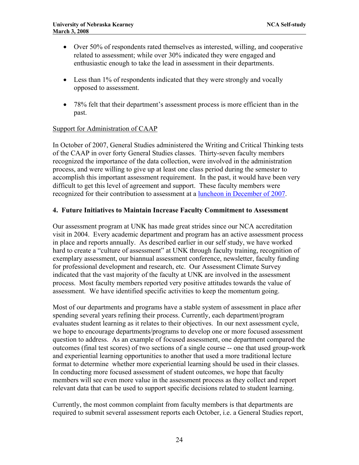- Over 50% of respondents rated themselves as interested, willing, and cooperative related to assessment; while over 30% indicated they were engaged and enthusiastic enough to take the lead in assessment in their departments.
- Less than 1% of respondents indicated that they were strongly and vocally opposed to assessment.
- 78% felt that their department's assessment process is more efficient than in the past.

#### Support for Administration of CAAP

In October of 2007, General Studies administered the Writing and Critical Thinking tests of the CAAP in over forty General Studies classes. Thirty-seven faculty members recognized the importance of the data collection, were involved in the administration process, and were willing to give up at least one class period during the semester to accomplish this important assessment requirement. In the past, it would have been very difficult to get this level of agreement and support. These faculty members were recognized for their contribution to assessment at a [luncheon in December of 2007.](http://www.unk.edu/academicaffairs/assessment/Assessment_Events/index.php?id=33062)

#### **4. Future Initiatives to Maintain Increase Faculty Commitment to Assessment**

Our assessment program at UNK has made great strides since our NCA accreditation visit in 2004. Every academic department and program has an active assessment process in place and reports annually. As described earlier in our self study, we have worked hard to create a "culture of assessment" at UNK through faculty training, recognition of exemplary assessment, our biannual assessment conference, newsletter, faculty funding for professional development and research, etc. Our Assessment Climate Survey indicated that the vast majority of the faculty at UNK are involved in the assessment process. Most faculty members reported very positive attitudes towards the value of assessment. We have identified specific activities to keep the momentum going.

Most of our departments and programs have a stable system of assessment in place after spending several years refining their process. Currently, each department/program evaluates student learning as it relates to their objectives. In our next assessment cycle, we hope to encourage departments/programs to develop one or more focused assessment question to address. As an example of focused assessment, one department compared the outcomes (final test scores) of two sections of a single course -- one that used group-work and experiential learning opportunities to another that used a more traditional lecture format to determine whether more experiential learning should be used in their classes. In conducting more focused assessment of student outcomes, we hope that faculty members will see even more value in the assessment process as they collect and report relevant data that can be used to support specific decisions related to student learning.

Currently, the most common complaint from faculty members is that departments are required to submit several assessment reports each October, i.e. a General Studies report,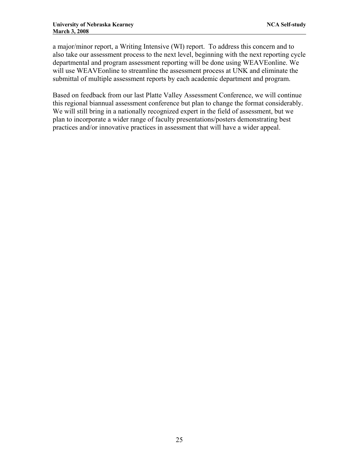a major/minor report, a Writing Intensive (WI) report. To address this concern and to also take our assessment process to the next level, beginning with the next reporting cycle departmental and program assessment reporting will be done using WEAVEonline. We will use WEAVEonline to streamline the assessment process at UNK and eliminate the submittal of multiple assessment reports by each academic department and program.

Based on feedback from our last Platte Valley Assessment Conference, we will continue this regional biannual assessment conference but plan to change the format considerably. We will still bring in a nationally recognized expert in the field of assessment, but we plan to incorporate a wider range of faculty presentations/posters demonstrating best practices and/or innovative practices in assessment that will have a wider appeal.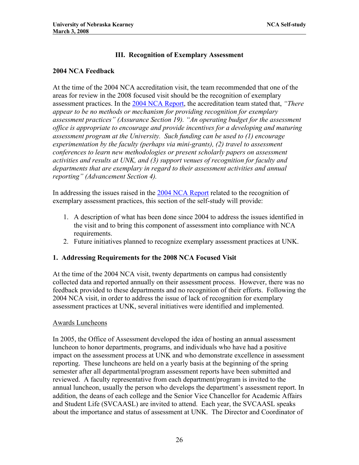# **III. Recognition of Exemplary Assessment**

#### **2004 NCA Feedback**

At the time of the 2004 NCA accreditation visit, the team recommended that one of the areas for review in the 2008 focused visit should be the recognition of exemplary assessment practices. In the [2004 NCA Report,](http://www.unk.edu/uploadedFiles/ncac_report.pdf) the accreditation team stated that, *"There appear to be no methods or mechanism for providing recognition for exemplary assessment practices" (Assurance Section 19). "An operating budget for the assessment office is appropriate to encourage and provide incentives for a developing and maturing assessment program at the University. Such funding can be used to (1) encourage experimentation by the faculty (perhaps via mini-grants), (2) travel to assessment conferences to learn new methodologies or present scholarly papers on assessment activities and results at UNK, and (3) support venues of recognition for faculty and departments that are exemplary in regard to their assessment activities and annual reporting" (Advancement Section 4).* 

In addressing the issues raised in the [2004 NCA Report](http://www.unk.edu/uploadedFiles/ncac_report.pdf) related to the recognition of exemplary assessment practices, this section of the self-study will provide:

- 1. A description of what has been done since 2004 to address the issues identified in the visit and to bring this component of assessment into compliance with NCA requirements.
- 2. Future initiatives planned to recognize exemplary assessment practices at UNK.

# **1. Addressing Requirements for the 2008 NCA Focused Visit**

At the time of the 2004 NCA visit, twenty departments on campus had consistently collected data and reported annually on their assessment process. However, there was no feedback provided to these departments and no recognition of their efforts. Following the 2004 NCA visit, in order to address the issue of lack of recognition for exemplary assessment practices at UNK, several initiatives were identified and implemented.

# Awards Luncheons

In 2005, the Office of Assessment developed the idea of hosting an annual assessment luncheon to honor departments, programs, and individuals who have had a positive impact on the assessment process at UNK and who demonstrate excellence in assessment reporting. These luncheons are held on a yearly basis at the beginning of the spring semester after all departmental/program assessment reports have been submitted and reviewed. A faculty representative from each department/program is invited to the annual luncheon, usually the person who develops the department's assessment report. In addition, the deans of each college and the Senior Vice Chancellor for Academic Affairs and Student Life (SVCAASL) are invited to attend. Each year, the SVCAASL speaks about the importance and status of assessment at UNK. The Director and Coordinator of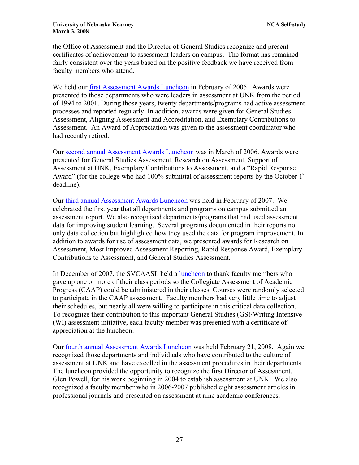the Office of Assessment and the Director of General Studies recognize and present certificates of achievement to assessment leaders on campus. The format has remained fairly consistent over the years based on the positive feedback we have received from faculty members who attend.

We held our **first Assessment Awards Luncheon** in February of 2005. Awards were presented to those departments who were leaders in assessment at UNK from the period of 1994 to 2001. During those years, twenty departments/programs had active assessment processes and reported regularly. In addition, awards were given for General Studies Assessment, Aligning Assessment and Accreditation, and Exemplary Contributions to Assessment. An Award of Appreciation was given to the assessment coordinator who had recently retired.

Our [second annual Assessment Awards Luncheon](http://www.unk.edu/academicaffairs/assessment/Assessment_Events/index.php?id=16318) was in March of 2006. Awards were presented for General Studies Assessment, Research on Assessment, Support of Assessment at UNK, Exemplary Contributions to Assessment, and a "Rapid Response Award" (for the college who had 100% submittal of assessment reports by the October 1<sup>st</sup> deadline).

Our [third annual Assessment Awards Luncheon](http://www.unk.edu/academicaffairs/assessment/Assessment_Events/index.php?id=20886) was held in February of 2007. We celebrated the first year that all departments and programs on campus submitted an assessment report. We also recognized departments/programs that had used assessment data for improving student learning. Several programs documented in their reports not only data collection but highlighted how they used the data for program improvement. In addition to awards for use of assessment data, we presented awards for Research on Assessment, Most Improved Assessment Reporting, Rapid Response Award, Exemplary Contributions to Assessment, and General Studies Assessment.

In December of 2007, the SVCAASL held a [luncheon](http://www.unk.edu/academicaffairs/assessment/Assessment_Events/index.php?id=33062) to thank faculty members who gave up one or more of their class periods so the Collegiate Assessment of Academic Progress (CAAP) could be administered in their classes. Courses were randomly selected to participate in the CAAP assessment. Faculty members had very little time to adjust their schedules, but nearly all were willing to participate in this critical data collection. To recognize their contribution to this important General Studies (GS)/Writing Intensive (WI) assessment initiative, each faculty member was presented with a certificate of appreciation at the luncheon.

Our [fourth annual Assessment Awards Luncheon](http://www.unk.edu/academicaffairs/assessment/Assessment_Events/index.php?id=34466) was held February 21, 2008. Again we recognized those departments and individuals who have contributed to the culture of assessment at UNK and have excelled in the assessment procedures in their departments. The luncheon provided the opportunity to recognize the first Director of Assessment, Glen Powell, for his work beginning in 2004 to establish assessment at UNK. We also recognized a faculty member who in 2006-2007 published eight assessment articles in professional journals and presented on assessment at nine academic conferences.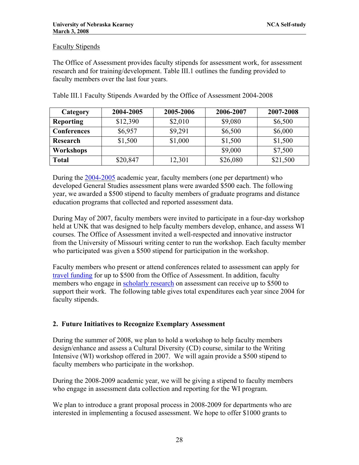#### Faculty Stipends

The Office of Assessment provides faculty stipends for assessment work, for assessment research and for training/development. Table III.1 outlines the funding provided to faculty members over the last four years.

| Category           | 2004-2005 | 2005-2006 | 2006-2007 | 2007-2008 |
|--------------------|-----------|-----------|-----------|-----------|
| <b>Reporting</b>   | \$12,390  | \$2,010   | \$9,080   | \$6,500   |
| <b>Conferences</b> | \$6,957   | \$9,291   | \$6,500   | \$6,000   |
| Research           | \$1,500   | \$1,000   | \$1,500   | \$1,500   |
| Workshops          |           |           | \$9,000   | \$7,500   |
| <b>Total</b>       | \$20,847  | 12,301    | \$26,080  | \$21,500  |

Table III.1 Faculty Stipends Awarded by the Office of Assessment 2004-2008

During the [2004-2005](http://www.unk.edu/academicaffairs/assessment/about/index.php?id=22386) academic year, faculty members (one per department) who developed General Studies assessment plans were awarded \$500 each. The following year, we awarded a \$500 stipend to faculty members of graduate programs and distance education programs that collected and reported assessment data.

During May of 2007, faculty members were invited to participate in a four-day workshop held at UNK that was designed to help faculty members develop, enhance, and assess WI courses. The Office of Assessment invited a well-respected and innovative instructor from the University of Missouri writing center to run the workshop. Each faculty member who participated was given a \$500 stipend for participation in the workshop.

Faculty members who present or attend conferences related to assessment can apply for [travel funding](http://www.unk.edu/academicaffairs/assessment/Resources/index.php?id=32306) for up to \$500 from the Office of Assessment. In addition, faculty members who engage in [scholarly research](http://www.unk.edu/academicaffairs/assessment/Resources/index.php?id=32306) on assessment can receive up to \$500 to support their work. The following table gives total expenditures each year since 2004 for faculty stipends.

# **2. Future Initiatives to Recognize Exemplary Assessment**

During the summer of 2008, we plan to hold a workshop to help faculty members design/enhance and assess a Cultural Diversity (CD) course, similar to the Writing Intensive (WI) workshop offered in 2007. We will again provide a \$500 stipend to faculty members who participate in the workshop.

During the 2008-2009 academic year, we will be giving a stipend to faculty members who engage in assessment data collection and reporting for the WI program.

We plan to introduce a grant proposal process in 2008-2009 for departments who are interested in implementing a focused assessment. We hope to offer \$1000 grants to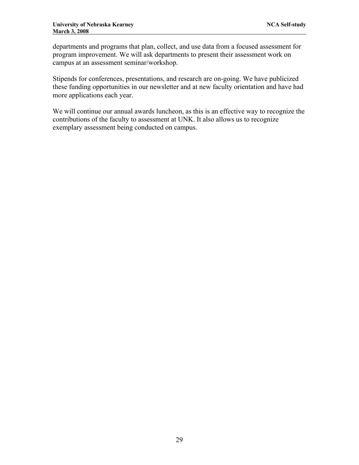departments and programs that plan, collect, and use data from a focused assessment for program improvement. We will ask departments to present their assessment work on campus at an assessment seminar/workshop.

Stipends for conferences, presentations, and research are on-going. We have publicized these funding opportunities in our newsletter and at new faculty orientation and have had more applications each year.

We will continue our annual awards luncheon, as this is an effective way to recognize the contributions of the faculty to assessment at UNK. It also allows us to recognize exemplary assessment being conducted on campus.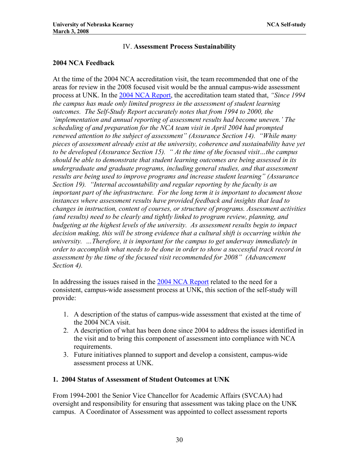# IV. **Assessment Process Sustainability**

# **2004 NCA Feedback**

At the time of the 2004 NCA accreditation visit, the team recommended that one of the areas for review in the 2008 focused visit would be the annual campus-wide assessment process at UNK. In the [2004 NCA Report](http://www.unk.edu/uploadedFiles/ncac_report.pdf), the accreditation team stated that, *"Since 1994 the campus has made only limited progress in the assessment of student learning outcomes. The Self-Study Report accurately notes that from 1994 to 2000, the 'implementation and annual reporting of assessment results had become uneven.' The scheduling of and preparation for the NCA team visit in April 2004 had prompted renewed attention to the subject of assessment" (Assurance Section 14). "While many pieces of assessment already exist at the university, coherence and sustainability have yet to be developed (Assurance Section 15). " At the time of the focused visit…the campus should be able to demonstrate that student learning outcomes are being assessed in its undergraduate and graduate programs, including general studies, and that assessment results are being used to improve programs and increase student learning" (Assurance Section 19). "Internal accountability and regular reporting by the faculty is an important part of the infrastructure. For the long term it is important to document those instances where assessment results have provided feedback and insights that lead to changes in instruction, content of courses, or structure of programs. Assessment activities (and results) need to be clearly and tightly linked to program review, planning, and budgeting at the highest levels of the university. As assessment results begin to impact decision making, this will be strong evidence that a cultural shift is occurring within the university. …Therefore, it is important for the campus to get underway immediately in order to accomplish what needs to be done in order to show a successful track record in assessment by the time of the focused visit recommended for 2008" (Advancement Section 4).* 

In addressing the issues raised in the [2004 NCA Report](http://www.unk.edu/uploadedFiles/ncac_report.pdf) related to the need for a consistent, campus-wide assessment process at UNK, this section of the self-study will provide:

- 1. A description of the status of campus-wide assessment that existed at the time of the 2004 NCA visit.
- 2. A description of what has been done since 2004 to address the issues identified in the visit and to bring this component of assessment into compliance with NCA requirements.
- 3. Future initiatives planned to support and develop a consistent, campus-wide assessment process at UNK.

# **1. 2004 Status of Assessment of Student Outcomes at UNK**

From 1994-2001 the Senior Vice Chancellor for Academic Affairs (SVCAA) had oversight and responsibility for ensuring that assessment was taking place on the UNK campus. A Coordinator of Assessment was appointed to collect assessment reports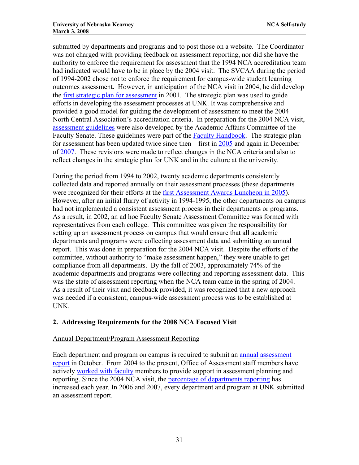submitted by departments and programs and to post those on a website. The Coordinator was not charged with providing feedback on assessment reporting, nor did she have the authority to enforce the requirement for assessment that the 1994 NCA accreditation team had indicated would have to be in place by the 2004 visit. The SVCAA during the period of 1994-2002 chose not to enforce the requirement for campus-wide student learning outcomes assessment. However, in anticipation of the NCA visit in 2004, he did develop the [first strategic plan for assessment](http://www.unk.edu/academicaffairs/assessment/about/index.php?id=4340) in 2001. The strategic plan was used to guide efforts in developing the assessment processes at UNK. It was comprehensive and provided a good model for guiding the development of assessment to meet the 2004 North Central Association's accreditation criteria. In preparation for the 2004 NCA visit, [assessment guidelines](http://www.unk.edu/academicaffairs/assessment/Assessment_Program_Evaluation/index.php?id=4342) were also developed by the Academic Affairs Committee of the Faculty Senate. These guidelines were part of the [Faculty Handbook.](http://www.unk.edu/academicaffairs/facultyhandbook/index.php?id=2937) The strategic plan for assessment has been updated twice since then—first in [2005](http://www.unk.edu/academicaffairs/assessment/Assessment_Program_Evaluation/index.php?id=15846) and again in December of [2007.](http://www.unk.edu/academicaffairs/assessment/Assessment_Program_Evaluation/index.php?id=32266) These revisions were made to reflect changes in the NCA criteria and also to reflect changes in the strategic plan for UNK and in the culture at the university.

During the period from 1994 to 2002, twenty academic departments consistently collected data and reported annually on their assessment processes (these departments were recognized for their efforts at the [first Assessment Awards Luncheon in 2005](http://www.unk.edu/academicaffairs/assessment/Assessment_Events/index.php?id=16210)). However, after an initial flurry of activity in 1994-1995, the other departments on campus had not implemented a consistent assessment process in their departments or programs. As a result, in 2002, an ad hoc Faculty Senate Assessment Committee was formed with representatives from each college. This committee was given the responsibility for setting up an assessment process on campus that would ensure that all academic departments and programs were collecting assessment data and submitting an annual report. This was done in preparation for the 2004 NCA visit. Despite the efforts of the committee, without authority to "make assessment happen," they were unable to get compliance from all departments. By the fall of 2003, approximately 74% of the academic departments and programs were collecting and reporting assessment data. This was the state of assessment reporting when the NCA team came in the spring of 2004. As a result of their visit and feedback provided, it was recognized that a new approach was needed if a consistent, campus-wide assessment process was to be established at UNK.

# **2. Addressing Requirements for the 2008 NCA Focused Visit**

# Annual Department/Program Assessment Reporting

Each department and program on campus is required to submit an [annual assessment](http://www.unk.edu/academicaffairs/assessment/Academic/index.php?id=4605)  [report](http://www.unk.edu/academicaffairs/assessment/Academic/index.php?id=4605) in October. From 2004 to the present, Office of Assessment staff members have actively [worked with faculty](http://www.unk.edu/academicaffairs/assessment/about/index.php?id=32584) members to provide support in assessment planning and reporting. Since the 2004 NCA visit, the [percentage of departments reporting](http://www.unk.edu/academicaffairs/assessment/about/index.php?id=32586) has increased each year. In 2006 and 2007, every department and program at UNK submitted an assessment report.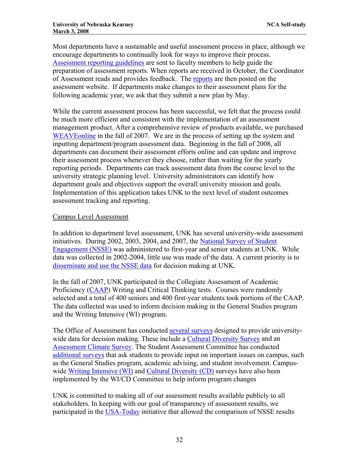Most departments have a sustainable and useful assessment process in place, although we encourage departments to continually look for ways to improve their process. [Assessment reporting guidelines](http://www.unk.edu/uploadedFiles/academicaffairs/assessment/Assessment%20report%20guidelines%20and%20feedback%20form.pdf) are sent to faculty members to help guide the preparation of assessment reports. When reports are received in October, the Coordinator of Assessment reads and provides feedback. The [reports](http://www.unk.edu/academicaffairs/assessment/Academic/index.php?id=4350) are then posted on the assessment website. If departments make changes to their assessment plans for the following academic year, we ask that they submit a new plan by May.

While the current assessment process has been successful, we felt that the process could be much more efficient and consistent with the implementation of an assessment management product. After a comprehensive review of products available, we purchased WEAVE online in the fall of 2007. We are in the process of setting up the system and inputting department/program assessment data. Beginning in the fall of 2008, all departments can document their assessment efforts online and can update and improve their assessment process whenever they choose, rather than waiting for the yearly reporting periods. Departments can track assessment data from the course level to the university strategic planning level. University administrators can identify how department goals and objectives support the overall university mission and goals. Implementation of this application takes UNK to the next level of student outcomes assessment tracking and reporting.

#### Campus Level Assessment

In addition to department level assessment, UNK has several university-wide assessment initiatives. During 2002, 2003, 2004, and 2007, the [National Survey of Student](http://www.unk.edu/academicaffairs/assessment/University-Wide/index.php?id=4466)  [Engagement \(NSSE\)](http://www.unk.edu/academicaffairs/assessment/University-Wide/index.php?id=4466) was administered to first-year and senior students at UNK. While data was collected in 2002-2004, little use was made of the data. A current priority is to [disseminate and use the NSSE data](http://www.unk.edu/academicaffairs/assessment/University-Wide/index.php?id=27334) for decision making at UNK.

In the fall of 2007, UNK participated in the Collegiate Assessment of Academic Proficiency [\(CAAP](http://www.act.org/caap/)) Writing and Critical Thinking tests. Courses were randomly selected and a total of 400 seniors and 400 first-year students took portions of the CAAP. The data collected was used to inform decision making in the General Studies program and the Writing Intensive (WI) program.

The Office of Assessment has conducted [several surveys](http://www.unk.edu/academicaffairs/assessment/Assessment_Program_Evaluation/index.php?id=17478) designed to provide university-wide data for decision making. These include a [Cultural Diversity Survey](http://www.unk.edu/uploadedFiles/academicaffairs/Assessment/Department_Assessment/Reports/WICD/CD%20Survey%20analyses%20for%20website.pdf) and an [Assessment Climate Survey.](http://www.unk.edu/uploadedFiles/academicaffairs/assessment/about/Report%20on%20Assessment%20Climate%20Survey%20_for%20website_.pdf) The Student Assessment Committee has conducted [additional surveys](http://www.unk.edu/academicaffairs/assessment/Assessment_Program_Evaluation/index.php?id=17478) that ask students to provide input on important issues on campus, such as the General Studies program, academic advising, and student involvement. Campuswide [Writing Intensive \(WI\)](http://www.unk.edu/academicaffairs/assessment/Academic/index.php?id=21988) and [Cultural Diversity \(CD\)](http://www.unk.edu/academicaffairs/assessment/Academic/index.php?id=21978) surveys have also been implemented by the WI/CD Committee to help inform program changes

UNK is committed to making all of our assessment results available publicly to all stakeholders. In keeping with our goal of transparency of assessment results, we participated in the [USA-Today](http://www.usatoday.com/news/education/2007-11-04-nsse-how-to_N.htm) initiative that allowed the comparison of NSSE results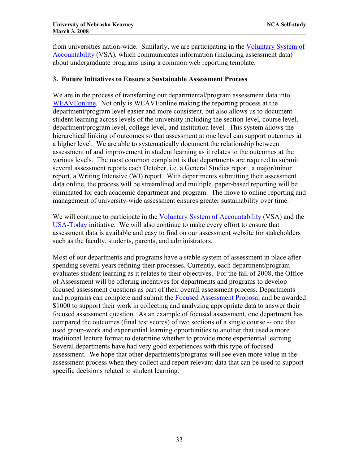from universities nation-wide. Similarly, we are participating in the [Voluntary System of](http://www.voluntarysystem.org/)  [Accountability](http://www.voluntarysystem.org/) (VSA), which communicates information (including assessment data) about undergraduate programs using a common web reporting template.

# **3. Future Initiatives to Ensure a Sustainable Assessment Process**

We are in the process of transferring our departmental/program assessment data into [WEAVEonline](http://weaveonline.com/). Not only is WEAVEonline making the reporting process at the department/program level easier and more consistent, but also allows us to document student learning across levels of the university including the section level, course level, department/program level, college level, and institution level. This system allows the hierarchical linking of outcomes so that assessment at one level can support outcomes at a higher level. We are able to systematically document the relationship between assessment of and improvement in student learning as it relates to the outcomes at the various levels. The most common complaint is that departments are required to submit several assessment reports each October, i.e. a General Studies report, a major/minor report, a Writing Intensive (WI) report. With departments submitting their assessment data online, the process will be streamlined and multiple, paper-based reporting will be eliminated for each academic department and program. The move to online reporting and management of university-wide assessment ensures greater sustainability over time.

We will continue to participate in the [Voluntary System of Accountability](http://www.voluntarysystem.org/) (VSA) and the [USA-Today](http://www.usatoday.com/news/education/2007-11-04-nsse-how-to_N.htm) initiative. We will also continue to make every effort to ensure that assessment data is available and easy to find on our assessment website for stakeholders such as the faculty, students, parents, and administrators.

Most of our departments and programs have a stable system of assessment in place after spending several years refining their processes. Currently, each department/program evaluates student learning as it relates to their objectives. For the fall of 2008, the Office of Assessment will be offering incentives for departments and programs to develop focused assessment questions as part of their overall assessment process. Departments and programs can complete and submit the [Focused Assessment Proposal](http://www.unk.edu/uploadedFiles/academicaffairs/assessment/Focused%20Assessment%20Funding%20Application.pdf) and be awarded \$1000 to support their work in collecting and analyzing appropriate data to answer their focused assessment question. As an example of focused assessment, one department has compared the outcomes (final test scores) of two sections of a single course -- one that used group-work and experiential learning opportunities to another that used a more traditional lecture format to determine whether to provide more experiential learning. Several departments have had very good experiences with this type of focused assessment. We hope that other departments/programs will see even more value in the assessment process when they collect and report relevant data that can be used to support specific decisions related to student learning.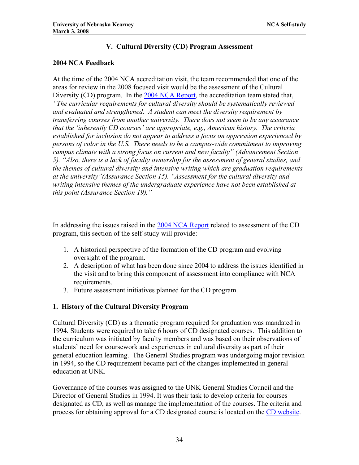# **V. Cultural Diversity (CD) Program Assessment**

# **2004 NCA Feedback**

At the time of the 2004 NCA accreditation visit, the team recommended that one of the areas for review in the 2008 focused visit would be the assessment of the Cultural Diversity (CD) program. In the [2004 NCA Report,](http://www.unk.edu/uploadedFiles/ncac_report.pdf) the accreditation team stated that, *"The curricular requirements for cultural diversity should be systematically reviewed and evaluated and strengthened. A student can meet the diversity requirement by transferring courses from another university. There does not seem to be any assurance that the 'inherently CD courses' are appropriate, e.g., American history. The criteria established for inclusion do not appear to address a focus on oppression experienced by persons of color in the U.S. There needs to be a campus-wide commitment to improving campus climate with a strong focus on current and new faculty" (Advancement Section 5). "Also, there is a lack of faculty ownership for the assessment of general studies, and the themes of cultural diversity and intensive writing which are graduation requirements at the university"(Assurance Section 15). "Assessment for the cultural diversity and writing intensive themes of the undergraduate experience have not been established at this point (Assurance Section 19)."* 

In addressing the issues raised in the [2004 NCA Report](http://www.unk.edu/uploadedFiles/ncac_report.pdf) related to assessment of the CD program, this section of the self-study will provide:

- 1. A historical perspective of the formation of the CD program and evolving oversight of the program.
- 2. A description of what has been done since 2004 to address the issues identified in the visit and to bring this component of assessment into compliance with NCA requirements.
- 3. Future assessment initiatives planned for the CD program.

# **1. History of the Cultural Diversity Program**

Cultural Diversity (CD) as a thematic program required for graduation was mandated in 1994. Students were required to take 6 hours of CD designated courses. This addition to the curriculum was initiated by faculty members and was based on their observations of students' need for coursework and experiences in cultural diversity as part of their general education learning. The General Studies program was undergoing major revision in 1994, so the CD requirement became part of the changes implemented in general education at UNK.

Governance of the courses was assigned to the UNK General Studies Council and the Director of General Studies in 1994. It was their task to develop criteria for courses designated as CD, as well as manage the implementation of the courses. The criteria and process for obtaining approval for a CD designated course is located on the [CD website.](http://www.unk.edu/academicaffairs/CD/index.php?id=2964)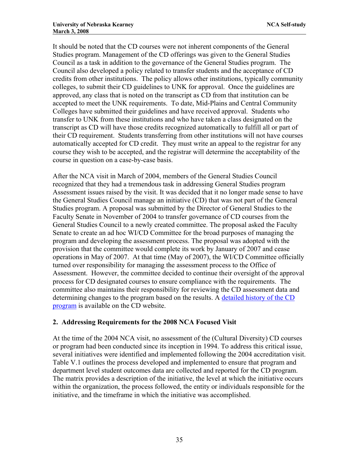It should be noted that the CD courses were not inherent components of the General Studies program. Management of the CD offerings was given to the General Studies Council as a task in addition to the governance of the General Studies program. The Council also developed a policy related to transfer students and the acceptance of CD credits from other institutions. The policy allows other institutions, typically community colleges, to submit their CD guidelines to UNK for approval. Once the guidelines are approved, any class that is noted on the transcript as CD from that institution can be accepted to meet the UNK requirements. To date, Mid-Plains and Central Community Colleges have submitted their guidelines and have received approval. Students who transfer to UNK from these institutions and who have taken a class designated on the transcript as CD will have those credits recognized automatically to fulfill all or part of their CD requirement. Students transferring from other institutions will not have courses automatically accepted for CD credit. They must write an appeal to the registrar for any course they wish to be accepted, and the registrar will determine the acceptability of the course in question on a case-by-case basis.

After the NCA visit in March of 2004, members of the General Studies Council recognized that they had a tremendous task in addressing General Studies program Assessment issues raised by the visit. It was decided that it no longer made sense to have the General Studies Council manage an initiative (CD) that was not part of the General Studies program. A proposal was submitted by the Director of General Studies to the Faculty Senate in November of 2004 to transfer governance of CD courses from the General Studies Council to a newly created committee. The proposal asked the Faculty Senate to create an ad hoc WI/CD Committee for the broad purposes of managing the program and developing the assessment process. The proposal was adopted with the provision that the committee would complete its work by January of 2007 and cease operations in May of 2007. At that time (May of 2007), the WI/CD Committee officially turned over responsibility for managing the assessment process to the Office of Assessment. However, the committee decided to continue their oversight of the approval process for CD designated courses to ensure compliance with the requirements. The committee also maintains their responsibility for reviewing the CD assessment data and determining changes to the program based on the results. A [detailed history of the CD](http://www.unk.edu/academicaffairs/CD/index.php?id=32144)  [program](http://www.unk.edu/academicaffairs/CD/index.php?id=32144) is available on the CD website.

# **2. Addressing Requirements for the 2008 NCA Focused Visit**

At the time of the 2004 NCA visit, no assessment of the (Cultural Diversity) CD courses or program had been conducted since its inception in 1994. To address this critical issue, several initiatives were identified and implemented following the 2004 accreditation visit. Table V.1 outlines the process developed and implemented to ensure that program and department level student outcomes data are collected and reported for the CD program. The matrix provides a description of the initiative, the level at which the initiative occurs within the organization, the process followed, the entity or individuals responsible for the initiative, and the timeframe in which the initiative was accomplished.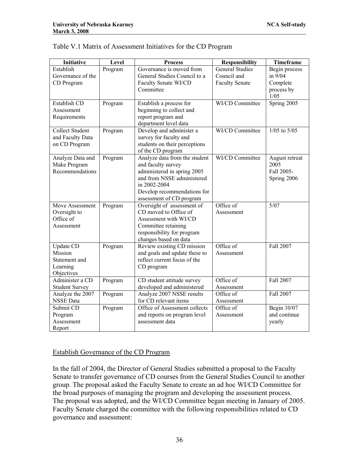| <b>Initiative</b>      | Level   | <b>Process</b>                                     | <b>Responsibility</b>  | <b>Timeframe</b>        |
|------------------------|---------|----------------------------------------------------|------------------------|-------------------------|
| Establish              | Program | Governance is moved from                           | <b>General Studies</b> | Begin process           |
| Governance of the      |         | General Studies Council to a                       | Council and            | in 9/04                 |
| CD Program             |         | Faculty Senate WI/CD                               | <b>Faculty Senate</b>  | Complete                |
|                        |         | Committee                                          |                        | process by              |
|                        |         |                                                    |                        | 1/05                    |
| Establish CD           | Program | Establish a process for                            | WI/CD Committee        | Spring 2005             |
| Assessment             |         | beginning to collect and                           |                        |                         |
| Requirements           |         | report program and                                 |                        |                         |
|                        |         | department level data                              |                        |                         |
| <b>Collect Student</b> | Program | Develop and administer a                           | WI/CD Committee        | $1/05$ to $5/05$        |
| and Faculty Data       |         | survey for faculty and                             |                        |                         |
| on CD Program          |         | students on their perceptions                      |                        |                         |
| Analyze Data and       | Program | of the CD program<br>Analyze data from the student | WI/CD Committee        | August retreat          |
| Make Program           |         | and faculty survey                                 |                        | 2005                    |
| Recommendations        |         | administered in spring 2005                        |                        | Fall 2005-              |
|                        |         | and from NSSE administered                         |                        | Spring 2006             |
|                        |         | in 2002-2004                                       |                        |                         |
|                        |         | Develop recommendations for                        |                        |                         |
|                        |         | assessment of CD program                           |                        |                         |
| Move Assessment        | Program | Oversight of assessment of                         | Office of              | $\overline{5/07}$       |
| Oversight to           |         | CD moved to Office of                              | Assessment             |                         |
| Office of              |         | Assessment with WI/CD                              |                        |                         |
| Assessment             |         | Committee retaining                                |                        |                         |
|                        |         | responsibility for program                         |                        |                         |
|                        |         | changes based on data                              |                        |                         |
| Update CD              | Program | Review existing CD mission                         | Office of              | Fall 2007               |
| Mission                |         | and goals and update these to                      | Assessment             |                         |
| Statement and          |         | reflect current focus of the                       |                        |                         |
| Learning               |         | CD program                                         |                        |                         |
| Objectives             |         |                                                    |                        |                         |
| Administer a CD        | Program | CD student attitude survey                         | Office of              | Fall 2007               |
| <b>Student Survey</b>  |         | developed and administered                         | Assessment             |                         |
| Analyze the 2007       | Program | Analyze 2007 NSSE results                          | Office of              | Fall 2007               |
| <b>NSSE</b> Data       |         | for CD relevant items                              | Assessment             |                         |
| Submit CD              | Program | Office of Assessment collects                      | Office of              | Begin $10\overline{07}$ |
| Program                |         | and reports on program level                       | Assessment             | and continue            |
| Assessment             |         | assessment data                                    |                        | yearly                  |
| Report                 |         |                                                    |                        |                         |

|  | Table V.1 Matrix of Assessment Initiatives for the CD Program |
|--|---------------------------------------------------------------|
|--|---------------------------------------------------------------|

#### Establish Governance of the CD Program

In the fall of 2004, the Director of General Studies submitted a proposal to the Faculty Senate to transfer governance of CD courses from the General Studies Council to another group. The proposal asked the Faculty Senate to create an ad hoc WI/CD Committee for the broad purposes of managing the program and developing the assessment process. The proposal was adopted, and the WI/CD Committee began meeting in January of 2005. Faculty Senate charged the committee with the following responsibilities related to CD governance and assessment: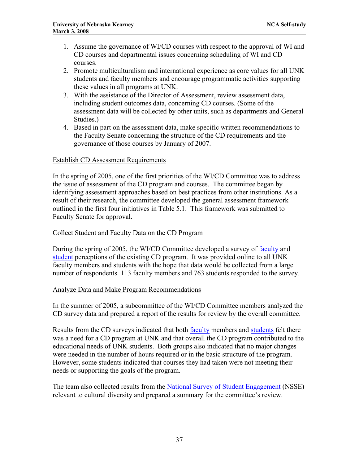- 1. Assume the governance of WI/CD courses with respect to the approval of WI and CD courses and departmental issues concerning scheduling of WI and CD courses.
- 2. Promote multiculturalism and international experience as core values for all UNK students and faculty members and encourage programmatic activities supporting these values in all programs at UNK.
- 3. With the assistance of the Director of Assessment, review assessment data, including student outcomes data, concerning CD courses. (Some of the assessment data will be collected by other units, such as departments and General Studies.)
- 4. Based in part on the assessment data, make specific written recommendations to the Faculty Senate concerning the structure of the CD requirements and the governance of those courses by January of 2007.

## Establish CD Assessment Requirements

In the spring of 2005, one of the first priorities of the WI/CD Committee was to address the issue of assessment of the CD program and courses. The committee began by identifying assessment approaches based on best practices from other institutions. As a result of their research, the committee developed the general assessment framework outlined in the first four initiatives in Table 5.1. This framework was submitted to Faculty Senate for approval.

### Collect Student and Faculty Data on the CD Program

During the spring of 2005, the WI/CD Committee developed a survey of [faculty](http://www.unk.edu/uploadedFiles/academicaffairs/Assessment/Department_Assessment/MissionsPlansInstruments/WICD/Faculty%20WI&CD%20sp05%20-%20CD.pdf) and [student](http://www.unk.edu/uploadedFiles/academicaffairs/Assessment/Department_Assessment/MissionsPlansInstruments/WICD/Student%20WI&CD%20sp05%20-%20CD.pdf) perceptions of the existing CD program. It was provided online to all UNK faculty members and students with the hope that data would be collected from a large number of respondents. 113 faculty members and 763 students responded to the survey.

### Analyze Data and Make Program Recommendations

In the summer of 2005, a subcommittee of the WI/CD Committee members analyzed the CD survey data and prepared a report of the results for review by the overall committee.

Results from the CD surveys indicated that both [faculty](http://www.unk.edu/uploadedFiles/academicaffairs/Assessment/Department_Assessment/Reports/WICD/CD%20Faculty%20Survey%20Results.pdf) members and [students](http://www.unk.edu/uploadedFiles/academicaffairs/Assessment/Department_Assessment/Reports/WICD/CD%20Student%20Survey%20Results.pdf) felt there was a need for a CD program at UNK and that overall the CD program contributed to the educational needs of UNK students. Both groups also indicated that no major changes were needed in the number of hours required or in the basic structure of the program. However, some students indicated that courses they had taken were not meeting their needs or supporting the goals of the program.

The team also collected results from the [National Survey of Student Engagement](http://nsse.iub.edu/pdf/NSSE2007_US_English_paper.pdf) (NSSE) relevant to cultural diversity and prepared a summary for the committee's review.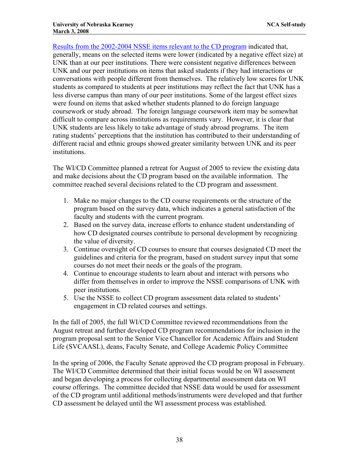[Results from the 2002-2004 NSSE items relevant to the CD program](http://www.unk.edu/uploadedFiles/academicaffairs/Assessment/Department_Assessment/Reports/WICD/CD%20NSSE%20Data.pdf) indicated that, generally, means on the selected items were lower (indicated by a negative effect size) at UNK than at our peer institutions. There were consistent negative differences between UNK and our peer institutions on items that asked students if they had interactions or conversations with people different from themselves. The relatively low scores for UNK students as compared to students at peer institutions may reflect the fact that UNK has a less diverse campus than many of our peer institutions. Some of the largest effect sizes were found on items that asked whether students planned to do foreign language coursework or study abroad. The foreign language coursework item may be somewhat difficult to compare across institutions as requirements vary. However, it is clear that UNK students are less likely to take advantage of study abroad programs. The item rating students' perceptions that the institution has contributed to their understanding of different racial and ethnic groups showed greater similarity between UNK and its peer institutions.

The WI/CD Committee planned a retreat for August of 2005 to review the existing data and make decisions about the CD program based on the available information. The committee reached several decisions related to the CD program and assessment.

- 1. Make no major changes to the CD course requirements or the structure of the program based on the survey data, which indicates a general satisfaction of the faculty and students with the current program.
- 2. Based on the survey data, increase efforts to enhance student understanding of how CD designated courses contribute to personal development by recognizing the value of diversity.
- 3. Continue oversight of CD courses to ensure that courses designated CD meet the guidelines and criteria for the program, based on student survey input that some courses do not meet their needs or the goals of the program.
- 4. Continue to encourage students to learn about and interact with persons who differ from themselves in order to improve the NSSE comparisons of UNK with peer institutions.
- 5. Use the NSSE to collect CD program assessment data related to students' engagement in CD related courses and settings.

In the fall of 2005, the full WI/CD Committee reviewed recommendations from the August retreat and further developed CD program recommendations for inclusion in the program proposal sent to the Senior Vice Chancellor for Academic Affairs and Student Life (SVCAASL), deans, Faculty Senate, and College Academic Policy Committee

In the spring of 2006, the Faculty Senate approved the CD program proposal in February. The WI/CD Committee determined that their initial focus would be on WI assessment and began developing a process for collecting departmental assessment data on WI course offerings. The committee decided that NSSE data would be used for assessment of the CD program until additional methods/instruments were developed and that further CD assessment be delayed until the WI assessment process was established.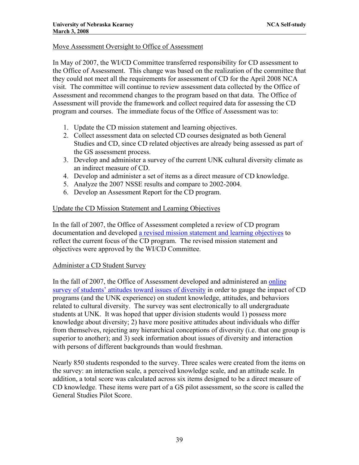## Move Assessment Oversight to Office of Assessment

In May of 2007, the WI/CD Committee transferred responsibility for CD assessment to the Office of Assessment. This change was based on the realization of the committee that they could not meet all the requirements for assessment of CD for the April 2008 NCA visit. The committee will continue to review assessment data collected by the Office of Assessment and recommend changes to the program based on that data. The Office of Assessment will provide the framework and collect required data for assessing the CD program and courses. The immediate focus of the Office of Assessment was to:

- 1. Update the CD mission statement and learning objectives.
- 2. Collect assessment data on selected CD courses designated as both General Studies and CD, since CD related objectives are already being assessed as part of the GS assessment process.
- 3. Develop and administer a survey of the current UNK cultural diversity climate as an indirect measure of CD.
- 4. Develop and administer a set of items as a direct measure of CD knowledge.
- 5. Analyze the 2007 NSSE results and compare to 2002-2004.
- 6. Develop an Assessment Report for the CD program.

### Update the CD Mission Statement and Learning Objectives

In the fall of 2007, the Office of Assessment completed a review of CD program documentation and developed [a revised mission statement and learning objectives](http://www.unk.edu/academicaffairs/assessment/Academic/index.php?id=29432) to reflect the current focus of the CD program. The revised mission statement and objectives were approved by the WI/CD Committee.

### Administer a CD Student Survey

In the fall of 2007, the Office of Assessment developed and administered an [online](http://www.unk.edu/uploadedFiles/academicaffairs/Assessment/Department_Assessment/MissionsPlansInstruments/WICD/CDSurvey.pdf)  [survey of students' attitudes toward issues of diversity](http://www.unk.edu/uploadedFiles/academicaffairs/Assessment/Department_Assessment/MissionsPlansInstruments/WICD/CDSurvey.pdf) in order to gauge the impact of CD programs (and the UNK experience) on student knowledge, attitudes, and behaviors related to cultural diversity. The survey was sent electronically to all undergraduate students at UNK. It was hoped that upper division students would 1) possess more knowledge about diversity; 2) have more positive attitudes about individuals who differ from themselves, rejecting any hierarchical conceptions of diversity (i.e. that one group is superior to another); and 3) seek information about issues of diversity and interaction with persons of different backgrounds than would freshman.

Nearly 850 students responded to the survey. Three scales were created from the items on the survey: an interaction scale, a perceived knowledge scale, and an attitude scale. In addition, a total score was calculated across six items designed to be a direct measure of CD knowledge. These items were part of a GS pilot assessment, so the score is called the General Studies Pilot Score.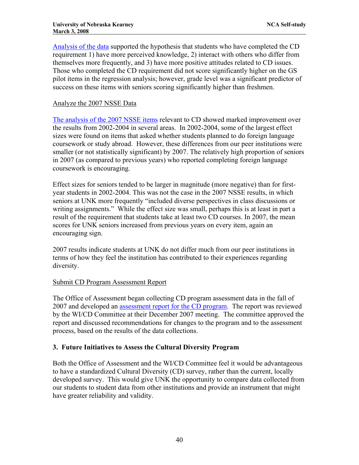[Analysis of the data](http://www.unk.edu/uploadedFiles/academicaffairs/Assessment/Department_Assessment/Reports/WICD/CD%20Survey%20analyses%20for%20website.pdf) supported the hypothesis that students who have completed the CD requirement 1) have more perceived knowledge, 2) interact with others who differ from themselves more frequently, and 3) have more positive attitudes related to CD issues. Those who completed the CD requirement did not score significantly higher on the GS pilot items in the regression analysis; however, grade level was a significant predictor of success on these items with seniors scoring significantly higher than freshmen.

## Analyze the 2007 NSSE Data

[The analysis of the 2007 NSSE items](http://www.unk.edu/uploadedFiles/academicaffairs/Assessment/Department_Assessment/Reports/WICD/NSSE%20Results%20on%20CD%20Related%20Items%20for%202002-2007.pdf) relevant to CD showed marked improvement over the results from 2002-2004 in several areas. In 2002-2004, some of the largest effect sizes were found on items that asked whether students planned to do foreign language coursework or study abroad. However, these differences from our peer institutions were smaller (or not statistically significant) by 2007. The relatively high proportion of seniors in 2007 (as compared to previous years) who reported completing foreign language coursework is encouraging.

Effect sizes for seniors tended to be larger in magnitude (more negative) than for firstyear students in 2002-2004. This was not the case in the 2007 NSSE results, in which seniors at UNK more frequently "included diverse perspectives in class discussions or writing assignments." While the effect size was small, perhaps this is at least in part a result of the requirement that students take at least two CD courses. In 2007, the mean scores for UNK seniors increased from previous years on every item, again an encouraging sign.

2007 results indicate students at UNK do not differ much from our peer institutions in terms of how they feel the institution has contributed to their experiences regarding diversity.

## Submit CD Program Assessment Report

The Office of Assessment began collecting CD program assessment data in the fall of 2007 and developed an [assessment report for the CD program.](http://www.unk.edu/academicaffairs/assessment/Academic/index.php?id=32342) The report was reviewed by the WI/CD Committee at their December 2007 meeting. The committee approved the report and discussed recommendations for changes to the program and to the assessment process, based on the results of the data collections.

## **3. Future Initiatives to Assess the Cultural Diversity Program**

Both the Office of Assessment and the WI/CD Committee feel it would be advantageous to have a standardized Cultural Diversity (CD) survey, rather than the current, locally developed survey. This would give UNK the opportunity to compare data collected from our students to student data from other institutions and provide an instrument that might have greater reliability and validity.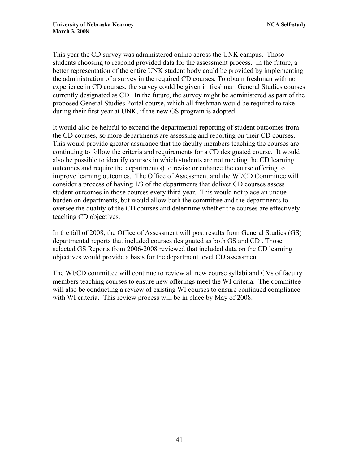This year the CD survey was administered online across the UNK campus. Those students choosing to respond provided data for the assessment process. In the future, a better representation of the entire UNK student body could be provided by implementing the administration of a survey in the required CD courses. To obtain freshman with no experience in CD courses, the survey could be given in freshman General Studies courses currently designated as CD. In the future, the survey might be administered as part of the proposed General Studies Portal course, which all freshman would be required to take during their first year at UNK, if the new GS program is adopted.

It would also be helpful to expand the departmental reporting of student outcomes from the CD courses, so more departments are assessing and reporting on their CD courses. This would provide greater assurance that the faculty members teaching the courses are continuing to follow the criteria and requirements for a CD designated course. It would also be possible to identify courses in which students are not meeting the CD learning outcomes and require the department(s) to revise or enhance the course offering to improve learning outcomes. The Office of Assessment and the WI/CD Committee will consider a process of having 1/3 of the departments that deliver CD courses assess student outcomes in those courses every third year. This would not place an undue burden on departments, but would allow both the committee and the departments to oversee the quality of the CD courses and determine whether the courses are effectively teaching CD objectives.

In the fall of 2008, the Office of Assessment will post results from General Studies (GS) departmental reports that included courses designated as both GS and CD . Those selected GS Reports from 2006-2008 reviewed that included data on the CD learning objectives would provide a basis for the department level CD assessment.

The WI/CD committee will continue to review all new course syllabi and CVs of faculty members teaching courses to ensure new offerings meet the WI criteria. The committee will also be conducting a review of existing WI courses to ensure continued compliance with WI criteria. This review process will be in place by May of 2008.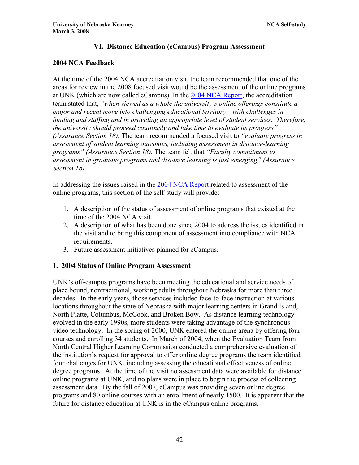## **VI. Distance Education (eCampus) Program Assessment**

## **2004 NCA Feedback**

At the time of the 2004 NCA accreditation visit, the team recommended that one of the areas for review in the 2008 focused visit would be the assessment of the online programs at UNK (which are now called eCampus). In the [2004 NCA Report](http://www.unk.edu/uploadedFiles/ncac_report.pdf), the accreditation team stated that, *"when viewed as a whole the university's online offerings constitute a major and recent move into challenging educational territory—with challenges in funding and staffing and in providing an appropriate level of student services. Therefore, the university should proceed cautiously and take time to evaluate its progress" (Assurance Section 18).* The team recommended a focused visit to *"evaluate progress in assessment of student learning outcomes, including assessment in distance-learning programs" (Assurance Section 18).* The team felt that *"Faculty commitment to assessment in graduate programs and distance learning is just emerging" (Assurance Section 18).* 

In addressing the issues raised in the [2004 NCA Report](http://www.unk.edu/uploadedFiles/ncac_report.pdf) related to assessment of the online programs, this section of the self-study will provide:

- 1. A description of the status of assessment of online programs that existed at the time of the 2004 NCA visit.
- 2. A description of what has been done since 2004 to address the issues identified in the visit and to bring this component of assessment into compliance with NCA requirements.
- 3. Future assessment initiatives planned for eCampus.

## **1. 2004 Status of Online Program Assessment**

UNK's off-campus programs have been meeting the educational and service needs of place bound, nontraditional, working adults throughout Nebraska for more than three decades. In the early years, those services included face-to-face instruction at various locations throughout the state of Nebraska with major learning centers in Grand Island, North Platte, Columbus, McCook, and Broken Bow. As distance learning technology evolved in the early 1990s, more students were taking advantage of the synchronous video technology. In the spring of 2000, UNK entered the online arena by offering four courses and enrolling 34 students. In March of 2004, when the Evaluation Team from North Central Higher Learning Commission conducted a comprehensive evaluation of the institution's request for approval to offer online degree programs the team identified four challenges for UNK, including assessing the educational effectiveness of online degree programs. At the time of the visit no assessment data were available for distance online programs at UNK, and no plans were in place to begin the process of collecting assessment data. By the fall of 2007, eCampus was providing seven online degree programs and 80 online courses with an enrollment of nearly 1500. It is apparent that the future for distance education at UNK is in the eCampus online programs.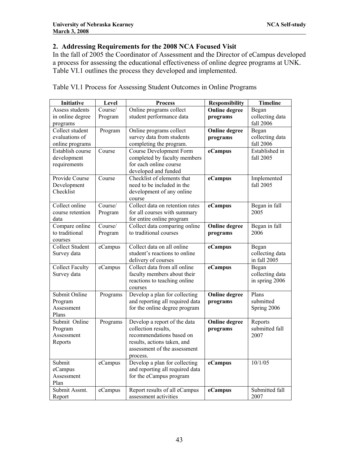# **2. Addressing Requirements for the 2008 NCA Focused Visit**

In the fall of 2005 the Coordinator of Assessment and the Director of eCampus developed a process for assessing the educational effectiveness of online degree programs at UNK. Table VI.1 outlines the process they developed and implemented.

| Initiative             | Level                      | <b>Process</b>                  | <b>Responsibility</b> | <b>Timeline</b> |
|------------------------|----------------------------|---------------------------------|-----------------------|-----------------|
| Assess students        | Course/                    | Online programs collect         | <b>Online degree</b>  | Began           |
| in online degree       | Program                    | student performance data        | programs              | collecting data |
| programs               |                            |                                 |                       | fall 2006       |
| Collect student        | Program                    | Online programs collect         | <b>Online</b> degree  | Began           |
| evaluations of         |                            | survey data from students       | programs              | collecting data |
| online programs        |                            | completing the program.         |                       | fall 2006       |
| Establish course       | Course                     | <b>Course Development Form</b>  | eCampus               | Established in  |
| development            |                            | completed by faculty members    |                       | fall 2005       |
| requirements           |                            | for each online course          |                       |                 |
|                        |                            | developed and funded            |                       |                 |
| Provide Course         | Course                     | Checklist of elements that      | eCampus               | Implemented     |
| Development            |                            | need to be included in the      |                       | fall 2005       |
| Checklist              |                            | development of any online       |                       |                 |
|                        |                            | course                          |                       |                 |
| Collect online         | $\overline{\text{Course}}$ | Collect data on retention rates | eCampus               | Began in fall   |
| course retention       | Program                    | for all courses with summary    |                       | 2005            |
| data                   |                            | for entire online program       |                       |                 |
| Compare online         | Course/                    | Collect data comparing online   | <b>Online</b> degree  | Began in fall   |
| to traditional         | Program                    | to traditional courses          | programs              | 2006            |
| courses                |                            |                                 |                       |                 |
| <b>Collect Student</b> | eCampus                    | Collect data on all online      | eCampus               | Began           |
| Survey data            |                            | student's reactions to online   |                       | collecting data |
|                        |                            | delivery of courses             |                       | in fall 2005    |
| <b>Collect Faculty</b> | eCampus                    | Collect data from all online    | eCampus               | Began           |
| Survey data            |                            | faculty members about their     |                       | collecting data |
|                        |                            | reactions to teaching online    |                       | in spring 2006  |
|                        |                            | courses                         |                       |                 |
| Submit Online          | Programs                   | Develop a plan for collecting   | <b>Online</b> degree  | Plans           |
| Program                |                            | and reporting all required data | programs              | submitted       |
| Assessment             |                            | for the online degree program   |                       | Spring 2006     |
| Plans                  |                            |                                 |                       |                 |
| Submit Online          | Programs                   | Develop a report of the data    | <b>Online</b> degree  | Reports         |
| Program                |                            | collection results,             | programs              | submitted fall  |
| Assessment             |                            | recommendations based on        |                       | 2007            |
| Reports                |                            | results, actions taken, and     |                       |                 |
|                        |                            | assessment of the assessment    |                       |                 |
|                        |                            | process.                        |                       |                 |
| Submit                 | eCampus                    | Develop a plan for collecting   | eCampus               | 10/1/05         |
| eCampus                |                            | and reporting all required data |                       |                 |
| Assessment             |                            | for the eCampus program         |                       |                 |
| Plan                   |                            |                                 |                       |                 |
| Submit Assmt.          | eCampus                    | Report results of all eCampus   | eCampus               | Submitted fall  |
| Report                 |                            | assessment activities           |                       | 2007            |

Table VI.1 Process for Assessing Student Outcomes in Online Programs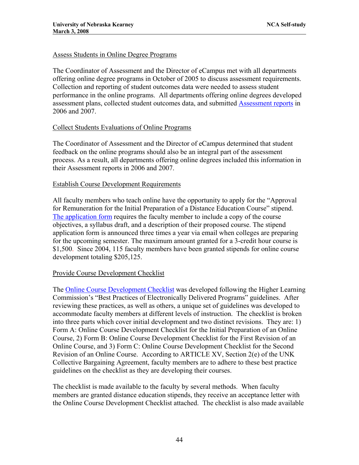## Assess Students in Online Degree Programs

The Coordinator of Assessment and the Director of eCampus met with all departments offering online degree programs in October of 2005 to discuss assessment requirements. Collection and reporting of student outcomes data were needed to assess student performance in the online programs. All departments offering online degrees developed assessment plans, collected student outcomes data, and submitted [Assessment reports](http://www.unk.edu/academicaffairs/assessment/Academic/index.php?id=9309) in 2006 and 2007.

## Collect Students Evaluations of Online Programs

The Coordinator of Assessment and the Director of eCampus determined that student feedback on the online programs should also be an integral part of the assessment process. As a result, all departments offering online degrees included this information in their Assessment reports in 2006 and 2007.

## Establish Course Development Requirements

All faculty members who teach online have the opportunity to apply for the "Approval for Remuneration for the Initial Preparation of a Distance Education Course" stipend. [The application form](http://www.unk.edu/acad/continuing_ed/faculty/index.php?id=6267) requires the faculty member to include a copy of the course objectives, a syllabus draft, and a description of their proposed course. The stipend application form is announced three times a year via email when colleges are preparing for the upcoming semester. The maximum amount granted for a 3-credit hour course is \$1,500. Since 2004, 115 faculty members have been granted stipends for online course development totaling \$205,125.

### Provide Course Development Checklist

The [Online Course Development Checklist](http://www.unk.edu/acad/continuing_ed/faculty/index.php?id=21456) was developed following the Higher Learning Commission's "Best Practices of Electronically Delivered Programs" guidelines. After reviewing these practices, as well as others, a unique set of guidelines was developed to accommodate faculty members at different levels of instruction. The checklist is broken into three parts which cover initial development and two distinct revisions. They are: 1) Form A: Online Course Development Checklist for the Initial Preparation of an Online Course, 2) Form B: Online Course Development Checklist for the First Revision of an Online Course, and 3) Form C: Online Course Development Checklist for the Second Revision of an Online Course. According to ARTICLE XV, Section 2(e) of the UNK Collective Bargaining Agreement, faculty members are to adhere to these best practice guidelines on the checklist as they are developing their courses.

The checklist is made available to the faculty by several methods. When faculty members are granted distance education stipends, they receive an acceptance letter with the Online Course Development Checklist attached. The checklist is also made available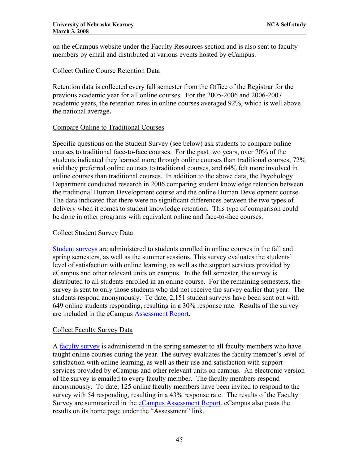on the eCampus website under the Faculty Resources section and is also sent to faculty members by email and distributed at various events hosted by eCampus.

### Collect Online Course Retention Data

Retention data is collected every fall semester from the Office of the Registrar for the previous academic year for all online courses. For the 2005-2006 and 2006-2007 academic years, the retention rates in online courses averaged 92%, which is well above the national average**.** 

### Compare Online to Traditional Courses

Specific questions on the Student Survey (see below) ask students to compare online courses to traditional face-to-face courses. For the past two years, over 70% of the students indicated they learned more through online courses than traditional courses, 72% said they preferred online courses to traditional courses, and 64% felt more involved in online courses than traditional courses. In addition to the above data, the Psychology Department conducted research in 2006 comparing student knowledge retention between the traditional Human Development course and the online Human Development course. The data indicated that there were no significant differences between the two types of delivery when it comes to student knowledge retention. This type of comparison could be done in other programs with equivalent online and face-to-face courses.

### Collect Student Survey Data

[Student surveys](http://www.unk.edu/academicaffairs/assessment/index.php?id=25182) are administered to students enrolled in online courses in the fall and spring semesters, as well as the summer sessions. This survey evaluates the students' level of satisfaction with online learning, as well as the support services provided by eCampus and other relevant units on campus. In the fall semester, the survey is distributed to all students enrolled in an online course. For the remaining semesters, the survey is sent to only those students who did not receive the survey earlier that year. The students respond anonymously. To date, 2,151 student surveys have been sent out with 649 online students responding, resulting in a 30% response rate. Results of the survey are included in the eCampus [Assessment Report.](http://www.unk.edu/uploadedFiles/academicaffairs/Assessment/Department_Assessment/MissionsPlansInstruments/DIST/distance%20ed%20report.pdf)

### Collect Faculty Survey Data

A [faculty survey](http://www.unk.edu/academicaffairs/assessment/index.php?id=25204) is administered in the spring semester to all faculty members who have taught online courses during the year. The survey evaluates the faculty member's level of satisfaction with online learning, as well as their use and satisfaction with support services provided by eCampus and other relevant units on campus. An electronic version of the survey is emailed to every faculty member. The faculty members respond anonymously. To date, 125 online faculty members have been invited to respond to the survey with 54 responding, resulting in a 43% response rate. The results of the Faculty Survey are summarized in the [eCampus Assessment Report](http://www.unk.edu/academicaffairs/assessment/index.php?id=20468). eCampus also posts the results on its home page under the "Assessment" link.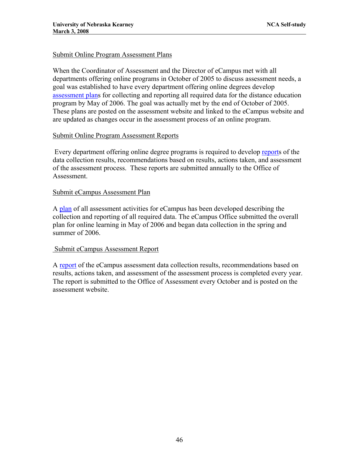### Submit Online Program Assessment Plans

When the Coordinator of Assessment and the Director of eCampus met with all departments offering online programs in October of 2005 to discuss assessment needs, a goal was established to have every department offering online degrees develop [assessment plans](http://www.unk.edu/academicaffairs/assessment/Academic/index.php?id=9309.) for collecting and reporting all required data for the distance education program by May of 2006. The goal was actually met by the end of October of 2005. These plans are posted on the assessment website and linked to the eCampus website and are updated as changes occur in the assessment process of an online program.

### Submit Online Program Assessment Reports

Every department offering online degree programs is required to develop [reports](http://www.unk.edu/academicaffairs/assessment/Academic/index.php?id=9309.) of the data collection results, recommendations based on results, actions taken, and assessment of the assessment process. These reports are submitted annually to the Office of Assessment.

### Submit eCampus Assessment Plan

A [plan](http://www.unk.edu/academicaffairs/assessment/index.php?id=25178) of all assessment activities for eCampus has been developed describing the collection and reporting of all required data. The eCampus Office submitted the overall plan for online learning in May of 2006 and began data collection in the spring and summer of 2006.

### Submit eCampus Assessment Report

A [report](http://www.unk.edu/academicaffairs/assessment/index.php?id=20468) of the eCampus assessment data collection results, recommendations based on results, actions taken, and assessment of the assessment process is completed every year. The report is submitted to the Office of Assessment every October and is posted on the assessment website.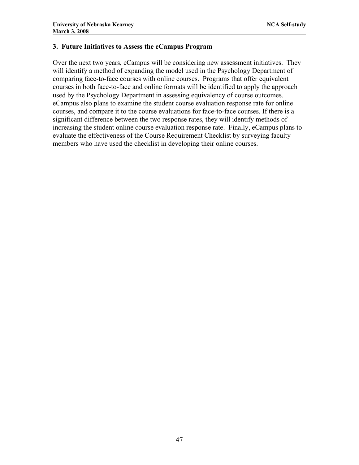### **3. Future Initiatives to Assess the eCampus Program**

Over the next two years, eCampus will be considering new assessment initiatives. They will identify a method of expanding the model used in the Psychology Department of comparing face-to-face courses with online courses. Programs that offer equivalent courses in both face-to-face and online formats will be identified to apply the approach used by the Psychology Department in assessing equivalency of course outcomes. eCampus also plans to examine the student course evaluation response rate for online courses, and compare it to the course evaluations for face-to-face courses. If there is a significant difference between the two response rates, they will identify methods of increasing the student online course evaluation response rate. Finally, eCampus plans to evaluate the effectiveness of the Course Requirement Checklist by surveying faculty members who have used the checklist in developing their online courses.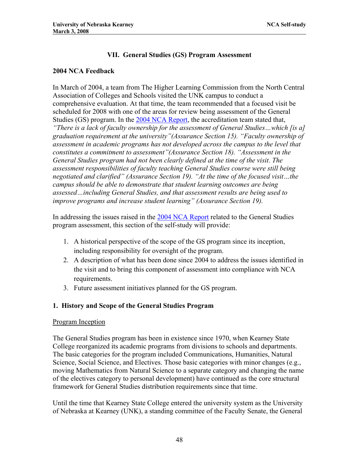# **VII. General Studies (GS) Program Assessment**

## **2004 NCA Feedback**

In March of 2004, a team from The Higher Learning Commission from the North Central Association of Colleges and Schools visited the UNK campus to conduct a comprehensive evaluation. At that time, the team recommended that a focused visit be scheduled for 2008 with one of the areas for review being assessment of the General Studies (GS) program. In the [2004 NCA Report,](http://www.unk.edu/uploadedFiles/ncac_report.pdf) the accreditation team stated that, *"There is a lack of faculty ownership for the assessment of General Studies…which [is a] graduation requirement at the university"(Assurance Section 15). "Faculty ownership of assessment in academic programs has not developed across the campus to the level that constitutes a commitment to assessment"(Assurance Section 18). "Assessment in the General Studies program had not been clearly defined at the time of the visit. The assessment responsibilities of faculty teaching General Studies course were still being negotiated and clarified" (Assurance Section 19). "At the time of the focused visit…the campus should be able to demonstrate that student learning outcomes are being assessed…including General Studies, and that assessment results are being used to improve programs and increase student learning" (Assurance Section 19).* 

In addressing the issues raised in the [2004 NCA Report](http://www.unk.edu/uploadedFiles/ncac_report.pdf) related to the General Studies program assessment, this section of the self-study will provide:

- 1. A historical perspective of the scope of the GS program since its inception, including responsibility for oversight of the program.
- 2. A description of what has been done since 2004 to address the issues identified in the visit and to bring this component of assessment into compliance with NCA requirements.
- 3. Future assessment initiatives planned for the GS program.

## **1. History and Scope of the General Studies Program**

## Program Inception

The General Studies program has been in existence since 1970, when Kearney State College reorganized its academic programs from divisions to schools and departments. The basic categories for the program included Communications, Humanities, Natural Science, Social Science, and Electives. Those basic categories with minor changes (e.g., moving Mathematics from Natural Science to a separate category and changing the name of the electives category to personal development) have continued as the core structural framework for General Studies distribution requirements since that time.

Until the time that Kearney State College entered the university system as the University of Nebraska at Kearney (UNK), a standing committee of the Faculty Senate, the General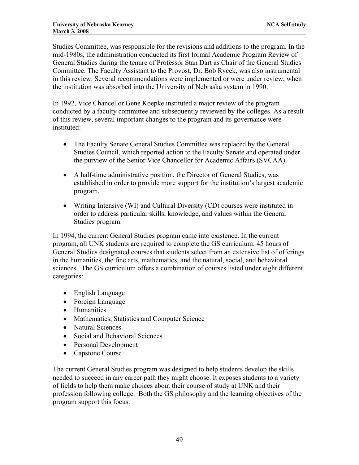Studies Committee, was responsible for the revisions and additions to the program. In the mid-1980s, the administration conducted its first formal Academic Program Review of General Studies during the tenure of Professor Stan Dart as Chair of the General Studies Committee. The Faculty Assistant to the Provost, Dr. Bob Rycek, was also instrumental in this review. Several recommendations were implemented or were under review, when the institution was absorbed into the University of Nebraska system in 1990.

In 1992, Vice Chancellor Gene Koepke instituted a major review of the program conducted by a faculty committee and subsequently reviewed by the colleges. As a result of this review, several important changes to the program and its governance were instituted:

- The Faculty Senate General Studies Committee was replaced by the General Studies Council, which reported action to the Faculty Senate and operated under the purview of the Senior Vice Chancellor for Academic Affairs (SVCAA).
- A half-time administrative position, the Director of General Studies, was established in order to provide more support for the institution's largest academic program.
- Writing Intensive (WI) and Cultural Diversity (CD) courses were instituted in order to address particular skills, knowledge, and values within the General Studies program.

In 1994, the current General Studies program came into existence. In the current program, all UNK students are required to complete the GS curriculum: 45 hours of General Studies designated courses that students select from an extensive list of offerings in the humanities, the fine arts, mathematics, and the natural, social, and behavioral sciences. The GS curriculum offers a combination of courses listed under eight different categories:

- English Language
- Foreign Language
- Humanities
- Mathematics, Statistics and Computer Science
- Natural Sciences
- Social and Behavioral Sciences
- Personal Development
- Capstone Course

The current General Studies program was designed to help students develop the skills needed to succeed in any career path they might choose. It exposes students to a variety of fields to help them make choices about their course of study at UNK and their profession following college. Both the GS philosophy and the learning objectives of the program support this focus.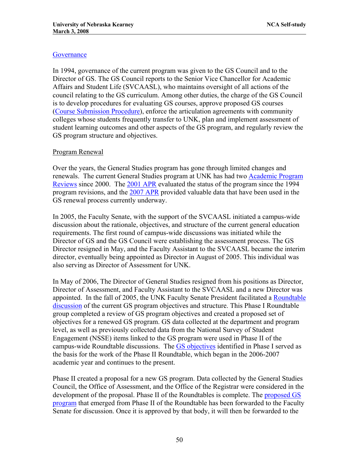## **Governance**

In 1994, governance of the current program was given to the GS Council and to the Director of GS. The GS Council reports to the Senior Vice Chancellor for Academic Affairs and Student Life (SVCAASL), who maintains oversight of all actions of the council relating to the GS curriculum. Among other duties, the charge of the GS Council is to develop procedures for evaluating GS courses, approve proposed GS courses ([Course Submission Procedure\)](http://www.unk.edu/academicaffairs/generalstudies/index.php?id=3621), enforce the articulation agreements with community colleges whose students frequently transfer to UNK, plan and implement assessment of student learning outcomes and other aspects of the GS program, and regularly review the GS program structure and objectives.

## Program Renewal

Over the years, the General Studies program has gone through limited changes and renewals. The current General Studies program at UNK has had two [Academic Program](http://www.unk.edu/academicaffairs/generalstudies/index.php?id=21438)  [Reviews](http://www.unk.edu/academicaffairs/generalstudies/index.php?id=21438) since 2000. The [2001 APR](http://www.unk.edu/academicaffairs/generalstudies/index.php?id=16434) evaluated the status of the program since the 1994 program revisions, and the [2007 APR](http://www.unk.edu/academicaffairs/generalstudies/index.php?id=23612) provided valuable data that have been used in the GS renewal process currently underway.

In 2005, the Faculty Senate, with the support of the SVCAASL initiated a campus-wide discussion about the rationale, objectives, and structure of the current general education requirements. The first round of campus-wide discussions was initiated while the Director of GS and the GS Council were establishing the assessment process. The GS Director resigned in May, and the Faculty Assistant to the SVCAASL became the interim director, eventually being appointed as Director in August of 2005. This individual was also serving as Director of Assessment for UNK.

In May of 2006, The Director of General Studies resigned from his positions as Director, Director of Assessment, and Faculty Assistant to the SVCAASL and a new Director was appointed. In the fall of 2005, the UNK Faculty Senate President facilitated a [Roundtable](http://www.unk.edu/academicaffairs/generalstudies/index.php?id=16436)  [discussion](http://www.unk.edu/academicaffairs/generalstudies/index.php?id=16436) of the current GS program objectives and structure. This Phase I Roundtable group completed a review of GS program objectives and created a proposed set of objectives for a renewed GS program. GS data collected at the department and program level, as well as previously collected data from the National Survey of Student Engagement (NSSE) items linked to the GS program were used in Phase II of the campus-wide Roundtable discussions. The [GS objectives](http://www.unk.edu/academicaffairs/generalstudies/index.php?id=17576) identified in Phase I served as the basis for the work of the Phase II Roundtable, which began in the 2006-2007 academic year and continues to the present.

Phase II created a proposal for a new GS program. Data collected by the General Studies Council, the Office of Assessment, and the Office of the Registrar were considered in the development of the proposal. Phase II of the Roundtables is complete. The [proposed GS](http://www.unk.edu/uploadedFiles/academicaffairs/generalstudies/roundtable/Core%20Curriculum_04022008.pdf)  [program](http://www.unk.edu/uploadedFiles/academicaffairs/generalstudies/roundtable/Core%20Curriculum_04022008.pdf) that emerged from Phase II of the Roundtable has been forwarded to the Faculty Senate for discussion. Once it is approved by that body, it will then be forwarded to the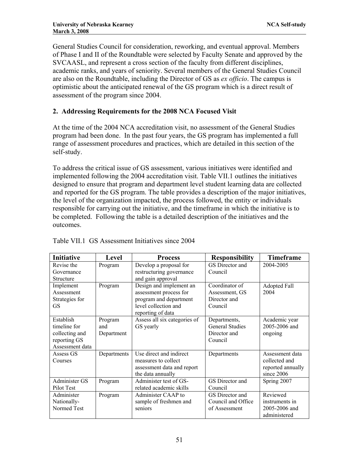General Studies Council for consideration, reworking, and eventual approval. Members of Phase I and II of the Roundtable were selected by Faculty Senate and approved by the SVCAASL, and represent a cross section of the faculty from different disciplines, academic ranks, and years of seniority. Several members of the General Studies Council are also on the Roundtable, including the Director of GS as *ex officio*. The campus is optimistic about the anticipated renewal of the GS program which is a direct result of assessment of the program since 2004.

# **2. Addressing Requirements for the 2008 NCA Focused Visit**

At the time of the 2004 NCA accreditation visit, no assessment of the General Studies program had been done. In the past four years, the GS program has implemented a full range of assessment procedures and practices, which are detailed in this section of the self-study.

To address the critical issue of GS assessment, various initiatives were identified and implemented following the 2004 accreditation visit. Table VII.1 outlines the initiatives designed to ensure that program and department level student learning data are collected and reported for the GS program. The table provides a description of the major initiatives, the level of the organization impacted, the process followed, the entity or individuals responsible for carrying out the initiative, and the timeframe in which the initiative is to be completed. Following the table is a detailed description of the initiatives and the outcomes.

| <b>Initiative</b> | Level       | <b>Process</b>               | <b>Responsibility</b>  | <b>Timeframe</b>  |
|-------------------|-------------|------------------------------|------------------------|-------------------|
| Revise the        | Program     | Develop a proposal for       | GS Director and        | 2004-2005         |
| Governance        |             | restructuring governance     | Council                |                   |
| Structure         |             | and gain approval            |                        |                   |
| Implement         | Program     | Design and implement an      | Coordinator of         | Adopted Fall      |
| Assessment        |             | assessment process for       | Assessment, GS         | 2004              |
| Strategies for    |             | program and department       | Director and           |                   |
| <b>GS</b>         |             | level collection and         | Council                |                   |
|                   |             | reporting of data            |                        |                   |
| Establish         | Program     | Assess all six categories of | Departments,           | Academic year     |
| timeline for      | and         | GS yearly                    | <b>General Studies</b> | 2005-2006 and     |
| collecting and    | Department  |                              | Director and           | ongoing           |
| reporting GS      |             |                              | Council                |                   |
| Assessment data   |             |                              |                        |                   |
| Assess GS         | Departments | Use direct and indirect      | Departments            | Assessment data   |
| Courses           |             | measures to collect          |                        | collected and     |
|                   |             | assessment data and report   |                        | reported annually |
|                   |             | the data annually            |                        | since 2006        |
| Administer GS     | Program     | Administer test of GS-       | GS Director and        | Spring 2007       |
| Pilot Test        |             | related academic skills      | Council                |                   |
| Administer        | Program     | Administer CAAP to           | GS Director and        | Reviewed          |
| Nationally-       |             | sample of freshmen and       | Council and Office     | instruments in    |
| Normed Test       |             | seniors                      | of Assessment          | 2005-2006 and     |
|                   |             |                              |                        | administered      |

| Table VII.1 GS Assessment Initiatives since 2004 |
|--------------------------------------------------|
|--------------------------------------------------|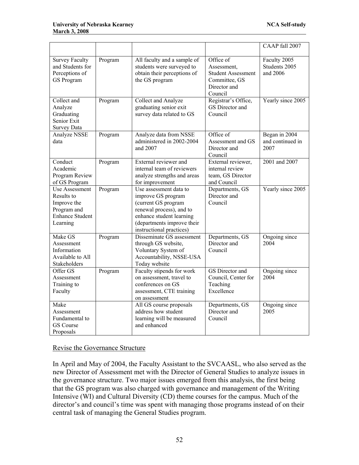|                                                                                                  |         |                                                                                                                                                                                       |                                                                                                   | CAAP fall 2007                            |
|--------------------------------------------------------------------------------------------------|---------|---------------------------------------------------------------------------------------------------------------------------------------------------------------------------------------|---------------------------------------------------------------------------------------------------|-------------------------------------------|
| <b>Survey Faculty</b><br>and Students for<br>Perceptions of<br>GS Program                        | Program | All faculty and a sample of<br>students were surveyed to<br>obtain their perceptions of<br>the GS program                                                                             | Office of<br>Assessment,<br><b>Student Assessment</b><br>Committee, GS<br>Director and<br>Council | Faculty 2005<br>Students 2005<br>and 2006 |
| Collect and<br>Analyze<br>Graduating<br>Senior Exit<br><b>Survey Data</b>                        | Program | Collect and Analyze<br>graduating senior exit<br>survey data related to GS                                                                                                            | Registrar's Office,<br>GS Director and<br>Council                                                 | Yearly since 2005                         |
| Analyze NSSE<br>data                                                                             | Program | Analyze data from NSSE<br>administered in 2002-2004<br>and 2007                                                                                                                       | Office of<br>Assessment and GS<br>Director and<br>Council                                         | Began in 2004<br>and continued in<br>2007 |
| Conduct<br>Academic<br>Program Review<br>of GS Program                                           | Program | External reviewer and<br>internal team of reviewers<br>analyze strengths and areas<br>for improvement                                                                                 | External reviewer,<br>internal review<br>team, GS Director<br>and Council                         | 2001 and 2007                             |
| Use Assessment<br>Results to<br>Improve the<br>Program and<br><b>Enhance Student</b><br>Learning | Program | Use assessment data to<br>improve GS program<br>(current GS program<br>renewal process), and to<br>enhance student learning<br>(departments improve their<br>instructional practices) | Departments, GS<br>Director and<br>Council                                                        | Yearly since 2005                         |
| Make GS<br>Assessment<br>Information<br>Available to All<br>Stakeholders                         | Program | Disseminate GS assessment<br>through GS website,<br>Voluntary System of<br>Accountability, NSSE-USA<br>Today website                                                                  | Departments, GS<br>Director and<br>Council                                                        | Ongoing since<br>2004                     |
| Offer GS<br>Assessment<br>Training to<br>Faculty                                                 | Program | Faculty stipends for work<br>on assessment, travel to<br>conferences on GS<br>assessment, CTE training<br>on assessment                                                               | GS Director and<br>Council, Center for<br>Teaching<br>Excellence                                  | Ongoing since<br>2004                     |
| Make<br>Assessment<br>Fundamental to<br>GS Course<br>Proposals                                   |         | All GS course proposals<br>address how student<br>learning will be measured<br>and enhanced                                                                                           | Departments, GS<br>Director and<br>Council                                                        | Ongoing since<br>2005                     |

## Revise the Governance Structure

In April and May of 2004, the Faculty Assistant to the SVCAASL, who also served as the new Director of Assessment met with the Director of General Studies to analyze issues in the governance structure. Two major issues emerged from this analysis, the first being that the GS program was also charged with governance and management of the Writing Intensive (WI) and Cultural Diversity (CD) theme courses for the campus. Much of the director's and council's time was spent with managing those programs instead of on their central task of managing the General Studies program.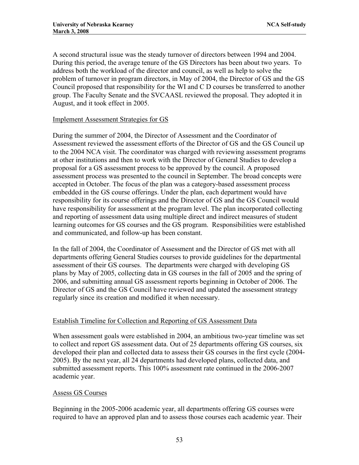A second structural issue was the steady turnover of directors between 1994 and 2004. During this period, the average tenure of the GS Directors has been about two years. To address both the workload of the director and council, as well as help to solve the problem of turnover in program directors, in May of 2004, the Director of GS and the GS Council proposed that responsibility for the WI and C D courses be transferred to another group. The Faculty Senate and the SVCAASL reviewed the proposal. They adopted it in August, and it took effect in 2005.

## Implement Assessment Strategies for GS

During the summer of 2004, the Director of Assessment and the Coordinator of Assessment reviewed the assessment efforts of the Director of GS and the GS Council up to the 2004 NCA visit. The coordinator was charged with reviewing assessment programs at other institutions and then to work with the Director of General Studies to develop a proposal for a GS assessment process to be approved by the council. A proposed assessment process was presented to the council in September. The broad concepts were accepted in October. The focus of the plan was a category-based assessment process embedded in the GS course offerings. Under the plan, each department would have responsibility for its course offerings and the Director of GS and the GS Council would have responsibility for assessment at the program level. The plan incorporated collecting and reporting of assessment data using multiple direct and indirect measures of student learning outcomes for GS courses and the GS program. Responsibilities were established and communicated, and follow-up has been constant.

In the fall of 2004, the Coordinator of Assessment and the Director of GS met with all departments offering General Studies courses to provide guidelines for the departmental assessment of their GS courses. The departments were charged with developing GS plans by May of 2005, collecting data in GS courses in the fall of 2005 and the spring of 2006, and submitting annual GS assessment reports beginning in October of 2006. The Director of GS and the GS Council have reviewed and updated the assessment strategy regularly since its creation and modified it when necessary.

## Establish Timeline for Collection and Reporting of GS Assessment Data

When assessment goals were established in 2004, an ambitious two-year timeline was set to collect and report GS assessment data. Out of 25 departments offering GS courses, six developed their plan and collected data to assess their GS courses in the first cycle (2004- 2005). By the next year, all 24 departments had developed plans, collected data, and submitted assessment reports. This 100% assessment rate continued in the 2006-2007 academic year.

## Assess GS Courses

Beginning in the 2005-2006 academic year, all departments offering GS courses were required to have an approved plan and to assess those courses each academic year. Their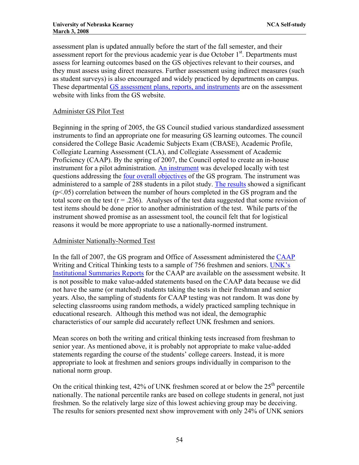assessment plan is updated annually before the start of the fall semester, and their assessment report for the previous academic year is due October  $1<sup>st</sup>$ . Departments must assess for learning outcomes based on the GS objectives relevant to their courses, and they must assess using direct measures. Further assessment using indirect measures (such as student surveys) is also encouraged and widely practiced by departments on campus. These departmental [GS assessment plans, reports, and instruments](http://www.unk.edu/academicaffairs/assessment/Academic/index.php?id=21154) are on the assessment website with links from the GS website.

## Administer GS Pilot Test

Beginning in the spring of 2005, the GS Council studied various standardized assessment instruments to find an appropriate one for measuring GS learning outcomes. The council considered the College Basic Academic Subjects Exam (CBASE), Academic Profile, Collegiate Learning Assessment (CLA), and Collegiate Assessment of Academic Proficiency (CAAP). By the spring of 2007, the Council opted to create an in-house instrument for a pilot administration. [An instrument](http://www.unk.edu/academicaffairs/generalstudies/index.php?id=33796) was developed locally with test questions addressing the [four overall objectives](http://aaunk.unk.edu/catalogs/current/gs/gsobj.asp) of the GS program. The instrument was administered to a sample of 288 students in a pilot study. [The results](http://www.unk.edu/uploadedFiles/academicaffairs/generalstudies/roundtable/General%20Studies%20Pilot%20Results%202-07.pdf) showed a significant (p<.05) correlation between the number of hours completed in the GS program and the total score on the test ( $r = .236$ ). Analyses of the test data suggested that some revision of test items should be done prior to another administration of the test. While parts of the instrument showed promise as an assessment tool, the council felt that for logistical reasons it would be more appropriate to use a nationally-normed instrument.

## Administer Nationally-Normed Test

In the fall of 2007, the GS program and Office of Assessment administered the [CAAP](http://www.act.org/caap/) Writing and Critical Thinking tests to a sample of 756 freshmen and seniors. [UNK's](http://www.unk.edu/academicaffairs/assessment/University-Wide/index.php?id=33330)  [Institutional Summaries Reports](http://www.unk.edu/academicaffairs/assessment/University-Wide/index.php?id=33330) for the CAAP are available on the assessment website. It is not possible to make value-added statements based on the CAAP data because we did not have the same (or matched) students taking the tests in their freshman and senior years. Also, the sampling of students for CAAP testing was not random. It was done by selecting classrooms using random methods, a widely practiced sampling technique in educational research. Although this method was not ideal, the demographic characteristics of our sample did accurately reflect UNK freshmen and seniors.

Mean scores on both the writing and critical thinking tests increased from freshman to senior year. As mentioned above, it is probably not appropriate to make value-added statements regarding the course of the students' college careers. Instead, it is more appropriate to look at freshmen and seniors groups individually in comparison to the national norm group.

On the critical thinking test, 42% of UNK freshmen scored at or below the  $25<sup>th</sup>$  percentile nationally. The national percentile ranks are based on college students in general, not just freshmen. So the relatively large size of this lowest achieving group may be deceiving. The results for seniors presented next show improvement with only 24% of UNK seniors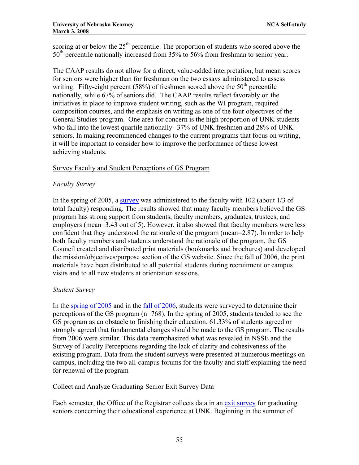scoring at or below the  $25<sup>th</sup>$  percentile. The proportion of students who scored above the 50<sup>th</sup> percentile nationally increased from 35% to 56% from freshman to senior year.

The CAAP results do not allow for a direct, value-added interpretation, but mean scores for seniors were higher than for freshman on the two essays administered to assess writing. Fifty-eight percent (58%) of freshmen scored above the  $50<sup>th</sup>$  percentile nationally, while 67% of seniors did. The CAAP results reflect favorably on the initiatives in place to improve student writing, such as the WI program, required composition courses, and the emphasis on writing as one of the four objectives of the General Studies program. One area for concern is the high proportion of UNK students who fall into the lowest quartile nationally--37% of UNK freshmen and 28% of UNK seniors. In making recommended changes to the current programs that focus on writing, it will be important to consider how to improve the performance of these lowest achieving students.

## Survey Faculty and Student Perceptions of GS Program

## *Faculty Survey*

In the spring of 2005, a [survey](http://www.unk.edu/uploadedFiles/academicaffairs/generalstudies/roundtable/Summary%20Report%20-%20Faculty%20Opinio%20Survey%20-%204%20colleges%20-%20Spring%2005.htm) was administered to the faculty with 102 (about 1/3 of total faculty) responding. The results showed that many faculty members believed the GS program has strong support from students, faculty members, graduates, trustees, and employers (mean=3.43 out of 5). However, it also showed that faculty members were less confident that they understood the rationale of the program (mean=2.87). In order to help both faculty members and students understand the rationale of the program, the GS Council created and distributed print materials (bookmarks and brochures) and developed the mission/objectives/purpose section of the GS website. Since the fall of 2006, the print materials have been distributed to all potential students during recruitment or campus visits and to all new students at orientation sessions.

## *Student Survey*

In the [spring of 2005](http://www.unk.edu/uploadedFiles/academicaffairs/generalstudies/roundtable/Summary%20Report%20-%20Student%20Opinio%20Survey%20-%20March%2005.pdf) and in the [fall of 2006,](http://www.unk.edu/uploadedFiles/academicaffairs/Assessment/Annual_Report/2006%20GS%20Student%20Survey.pdf) students were surveyed to determine their perceptions of the GS program  $(n=768)$ . In the spring of 2005, students tended to see the GS program as an obstacle to finishing their education. 61.33% of students agreed or strongly agreed that fundamental changes should be made to the GS program. The results from 2006 were similar. This data reemphasized what was revealed in NSSE and the Survey of Faculty Perceptions regarding the lack of clarity and cohesiveness of the existing program. Data from the student surveys were presented at numerous meetings on campus, including the two all-campus forums for the faculty and staff explaining the need for renewal of the program

## Collect and Analyze Graduating Senior Exit Survey Data

Each semester, the Office of the Registrar collects data in an [exit survey](http://www.unk.edu/academicaffairs/assessment/University-Wide/index.php?id=16844) for graduating seniors concerning their educational experience at UNK. Beginning in the summer of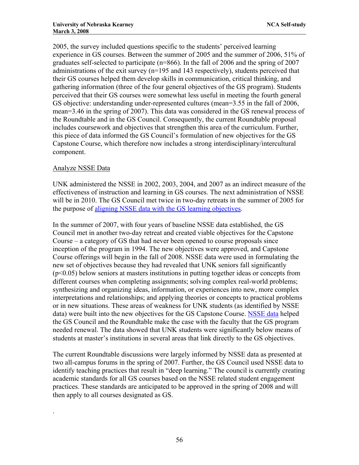2005, the survey included questions specific to the students' perceived learning experience in GS courses. Between the summer of 2005 and the summer of 2006, 51% of graduates self-selected to participate (n=866). In the fall of 2006 and the spring of 2007 administrations of the exit survey  $(n=195 \text{ and } 143 \text{ respectively})$ , students perceived that their GS courses helped them develop skills in communication, critical thinking, and gathering information (three of the four general objectives of the GS program). Students perceived that their GS courses were somewhat less useful in meeting the fourth general GS objective: understanding under-represented cultures (mean=3.55 in the fall of 2006, mean=3.46 in the spring of 2007). This data was considered in the GS renewal process of the Roundtable and in the GS Council. Consequently, the current Roundtable proposal includes coursework and objectives that strengthen this area of the curriculum. Further, this piece of data informed the GS Council's formulation of new objectives for the GS Capstone Course, which therefore now includes a strong interdisciplinary/intercultural component.

## Analyze NSSE Data

.

UNK administered the NSSE in 2002, 2003, 2004, and 2007 as an indirect measure of the effectiveness of instruction and learning in GS courses. The next administration of NSSE will be in 2010. The GS Council met twice in two-day retreats in the summer of 2005 for the purpose of [aligning NSSE data with the GS learning objectives.](http://www.unk.edu/uploadedFiles/academicaffairs/generalstudies/roundtable/percentages(1).pdf)

In the summer of 2007, with four years of baseline NSSE data established, the GS Council met in another two-day retreat and created viable objectives for the Capstone Course – a category of GS that had never been opened to course proposals since inception of the program in 1994. The new objectives were approved, and Capstone Course offerings will begin in the fall of 2008. NSSE data were used in formulating the new set of objectives because they had revealed that UNK seniors fall significantly  $(p<0.05)$  below seniors at masters institutions in putting together ideas or concepts from different courses when completing assignments; solving complex real-world problems; synthesizing and organizing ideas, information, or experiences into new, more complex interpretations and relationships; and applying theories or concepts to practical problems or in new situations. These areas of weakness for UNK students (as identified by NSSE data) were built into the new objectives for the GS Capstone Course. [NSSE data](http://www.unk.edu/uploadedFiles/academicaffairs/generalstudies/General%20Education%20Reform%20at%20UNK2.ppt) helped the GS Council and the Roundtable make the case with the faculty that the GS program needed renewal. The data showed that UNK students were significantly below means of students at master's institutions in several areas that link directly to the GS objectives.

The current Roundtable discussions were largely informed by NSSE data as presented at two all-campus forums in the spring of 2007. Further, the GS Council used NSSE data to identify teaching practices that result in "deep learning." The council is currently creating academic standards for all GS courses based on the NSSE related student engagement practices. These standards are anticipated to be approved in the spring of 2008 and will then apply to all courses designated as GS.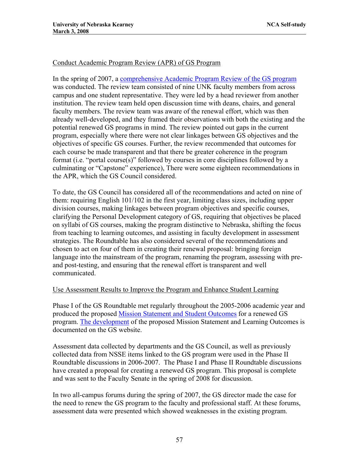## Conduct Academic Program Review (APR) of GS Program

In the spring of 2007, a [comprehensive Academic Program Review of the GS program](http://www.unk.edu/academicaffairs/generalstudies/index.php?id=21438) was conducted. The review team consisted of nine UNK faculty members from across campus and one student representative. They were led by a head reviewer from another institution. The review team held open discussion time with deans, chairs, and general faculty members. The review team was aware of the renewal effort, which was then already well-developed, and they framed their observations with both the existing and the potential renewed GS programs in mind. The review pointed out gaps in the current program, especially where there were not clear linkages between GS objectives and the objectives of specific GS courses. Further, the review recommended that outcomes for each course be made transparent and that there be greater coherence in the program format (i.e. "portal course(s)" followed by courses in core disciplines followed by a culminating or "Capstone" experience), There were some eighteen recommendations in the APR, which the GS Council considered.

To date, the GS Council has considered all of the recommendations and acted on nine of them: requiring English 101/102 in the first year, limiting class sizes, including upper division courses, making linkages between program objectives and specific courses, clarifying the Personal Development category of GS, requiring that objectives be placed on syllabi of GS courses, making the program distinctive to Nebraska, shifting the focus from teaching to learning outcomes, and assisting in faculty development in assessment strategies. The Roundtable has also considered several of the recommendations and chosen to act on four of them in creating their renewal proposal: bringing foreign language into the mainstream of the program, renaming the program, assessing with preand post-testing, and ensuring that the renewal effort is transparent and well communicated.

### Use Assessment Results to Improve the Program and Enhance Student Learning

Phase I of the GS Roundtable met regularly throughout the 2005-2006 academic year and produced the proposed [Mission Statement and Student Outcomes](http://www.unk.edu/academicaffairs/generalstudies/index.php?id=17576) for a renewed GS program. [The development](http://www.unk.edu/academicaffairs/generalstudies/index.php?id=18356) of the proposed Mission Statement and Learning Outcomes is documented on the GS website.

Assessment data collected by departments and the GS Council, as well as previously collected data from NSSE items linked to the GS program were used in the Phase II Roundtable discussions in 2006-2007. The Phase I and Phase II Roundtable discussions have created a proposal for creating a renewed GS program. This proposal is complete and was sent to the Faculty Senate in the spring of 2008 for discussion.

In two all-campus forums during the spring of 2007, the GS director made the case for the need to renew the GS program to the faculty and professional staff. At these forums, assessment data were presented which showed weaknesses in the existing program.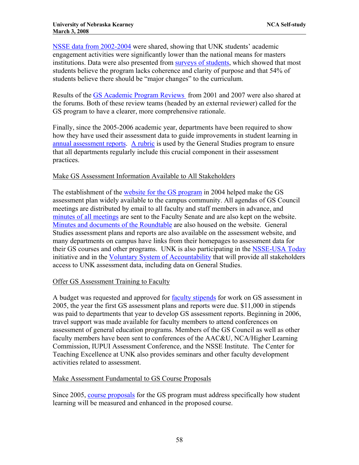[NSSE data from 2002-2004](http://www.unk.edu/uploadedFiles/academicaffairs/generalstudies/General%20Education%20Reform%20at%20UNK2.ppt) were shared, showing that UNK students' academic engagement activities were significantly lower than the national means for masters institutions. Data were also presented from [surveys of students,](http://www.unk.edu/academicaffairs/generalstudies/index.php?id=21442) which showed that most students believe the program lacks coherence and clarity of purpose and that 54% of students believe there should be "major changes" to the curriculum.

Results of the [GS Academic Program Reviews](http://www.unk.edu/academicaffairs/generalstudies/index.php?id=21438) from 2001 and 2007 were also shared at the forums. Both of these review teams (headed by an external reviewer) called for the GS program to have a clearer, more comprehensive rationale.

Finally, since the 2005-2006 academic year, departments have been required to show how they have used their assessment data to guide improvements in student learning in [annual assessment reports.](http://www.unk.edu/academicaffairs/assessment/Academic/index.php?id=21154) [A rubric](http://www.unk.edu/uploadedFiles/academicaffairs/generalstudies/facadmininfo/guidelines%20and%20rubric%2006-07.pdf) is used by the General Studies program to ensure that all departments regularly include this crucial component in their assessment practices.

## Make GS Assessment Information Available to All Stakeholders

The establishment of the [website for the GS program](http://www.unk.edu/academicaffairs/generalstudies/index.php?id=14844) in 2004 helped make the GS assessment plan widely available to the campus community. All agendas of GS Council meetings are distributed by email to all faculty and staff members in advance, and [minutes of all meetings](http://www.unk.edu/academicaffairs/generalstudies/index.php?id=3711) are sent to the Faculty Senate and are also kept on the website. [Minutes and documents of the Roundtable](http://www.unk.edu/academicaffairs/generalstudies/index.php?id=18356) are also housed on the website. General Studies assessment plans and reports are also available on the assessment website, and many departments on campus have links from their homepages to assessment data for their GS courses and other programs. UNK is also participating in the [NSSE-USA Today](http://www.usatoday.com/news/education/2007-11-04-nsse-how-to_N.htm) initiative and in the [Voluntary System of Accountability](http://www.voluntarysystem.org/) that will provide all stakeholders access to UNK assessment data, including data on General Studies.

### Offer GS Assessment Training to Faculty

A budget was requested and approved for [faculty stipends](http://www.unk.edu/academicaffairs/assessment/about/index.php?id=22386) for work on GS assessment in 2005, the year the first GS assessment plans and reports were due. \$11,000 in stipends was paid to departments that year to develop GS assessment reports. Beginning in 2006, travel support was made available for faculty members to attend conferences on assessment of general education programs. Members of the GS Council as well as other faculty members have been sent to conferences of the AAC&U, NCA/Higher Learning Commission, IUPUI Assessment Conference, and the NSSE Institute. The Center for Teaching Excellence at UNK also provides seminars and other faculty development activities related to assessment.

## Make Assessment Fundamental to GS Course Proposals

Since 2005, [course proposals](http://www.unk.edu/uploadedFiles/academicaffairs/generalstudies/facadmininfo/GS%20Course%20Approval%20Form.doc) for the GS program must address specifically how student learning will be measured and enhanced in the proposed course.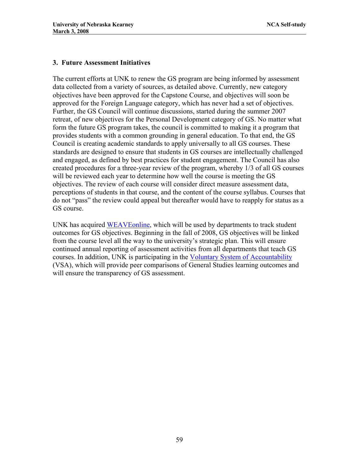## **3. Future Assessment Initiatives**

The current efforts at UNK to renew the GS program are being informed by assessment data collected from a variety of sources, as detailed above. Currently, new category objectives have been approved for the Capstone Course, and objectives will soon be approved for the Foreign Language category, which has never had a set of objectives. Further, the GS Council will continue discussions, started during the summer 2007 retreat, of new objectives for the Personal Development category of GS. No matter what form the future GS program takes, the council is committed to making it a program that provides students with a common grounding in general education. To that end, the GS Council is creating academic standards to apply universally to all GS courses. These standards are designed to ensure that students in GS courses are intellectually challenged and engaged, as defined by best practices for student engagement. The Council has also created procedures for a three-year review of the program, whereby 1/3 of all GS courses will be reviewed each year to determine how well the course is meeting the GS objectives. The review of each course will consider direct measure assessment data, perceptions of students in that course, and the content of the course syllabus. Courses that do not "pass" the review could appeal but thereafter would have to reapply for status as a GS course.

UNK has acquired [WEAVEonline,](http://www.weaveonline.com/) which will be used by departments to track student outcomes for GS objectives. Beginning in the fall of 2008, GS objectives will be linked from the course level all the way to the university's strategic plan. This will ensure continued annual reporting of assessment activities from all departments that teach GS courses. In addition, UNK is participating in the [Voluntary System of Accountability](http://www.voluntarysystem.org/) (VSA), which will provide peer comparisons of General Studies learning outcomes and will ensure the transparency of GS assessment.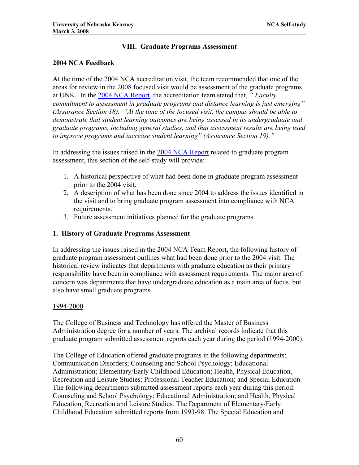## **VIII. Graduate Programs Assessment**

## **2004 NCA Feedback**

At the time of the 2004 NCA accreditation visit, the team recommended that one of the areas for review in the 2008 focused visit would be assessment of the graduate programs at UNK. In the [2004 NCA Report](http://www.unk.edu/uploadedFiles/ncac_report.pdf), the accreditation team stated that, *" Faculty commitment to assessment in graduate programs and distance learning is just emerging" (Assurance Section 18). "At the time of the focused visit, the campus should be able to demonstrate that student learning outcomes are being assessed in its undergraduate and graduate programs, including general studies, and that assessment results are being used to improve programs and increase student learning" (Assurance Section 19)."*

In addressing the issues raised in the [2004 NCA Report](http://www.unk.edu/uploadedFiles/ncac_report.pdf) related to graduate program assessment, this section of the self-study will provide:

- 1. A historical perspective of what had been done in graduate program assessment prior to the 2004 visit.
- 2. A description of what has been done since 2004 to address the issues identified in the visit and to bring graduate program assessment into compliance with NCA requirements.
- 3. Future assessment initiatives planned for the graduate programs.

## **1. History of Graduate Programs Assessment**

In addressing the issues raised in the 2004 NCA Team Report, the following history of graduate program assessment outlines what had been done prior to the 2004 visit. The historical review indicates that departments with graduate education as their primary responsibility have been in compliance with assessment requirements. The major area of concern was departments that have undergraduate education as a main area of focus, but also have small graduate programs.

### 1994-2000

The College of Business and Technology has offered the Master of Business Administration degree for a number of years. The archival records indicate that this graduate program submitted assessment reports each year during the period (1994-2000).

The College of Education offered graduate programs in the following departments: Communication Disorders; Counseling and School Psychology; Educational Administration; Elementary/Early Childhood Education; Health, Physical Education, Recreation and Leisure Studies; Professional Teacher Education; and Special Education. The following departments submitted assessment reports each year during this period: Counseling and School Psychology; Educational Administration; and Health, Physical Education, Recreation and Leisure Studies. The Department of Elementary/Early Childhood Education submitted reports from 1993-98. The Special Education and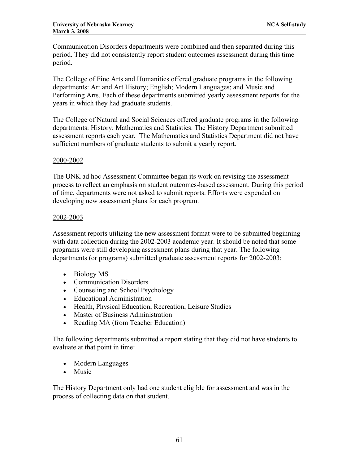Communication Disorders departments were combined and then separated during this period. They did not consistently report student outcomes assessment during this time period.

The College of Fine Arts and Humanities offered graduate programs in the following departments: Art and Art History; English; Modern Languages; and Music and Performing Arts. Each of these departments submitted yearly assessment reports for the years in which they had graduate students.

The College of Natural and Social Sciences offered graduate programs in the following departments: History; Mathematics and Statistics. The History Department submitted assessment reports each year. The Mathematics and Statistics Department did not have sufficient numbers of graduate students to submit a yearly report.

## 2000-2002

The UNK ad hoc Assessment Committee began its work on revising the assessment process to reflect an emphasis on student outcomes-based assessment. During this period of time, departments were not asked to submit reports. Efforts were expended on developing new assessment plans for each program.

## 2002-2003

Assessment reports utilizing the new assessment format were to be submitted beginning with data collection during the 2002-2003 academic year. It should be noted that some programs were still developing assessment plans during that year. The following departments (or programs) submitted graduate assessment reports for 2002-2003:

- Biology MS
- Communication Disorders
- Counseling and School Psychology
- Educational Administration
- Health, Physical Education, Recreation, Leisure Studies
- Master of Business Administration
- Reading MA (from Teacher Education)

The following departments submitted a report stating that they did not have students to evaluate at that point in time:

- Modern Languages
- Music

The History Department only had one student eligible for assessment and was in the process of collecting data on that student.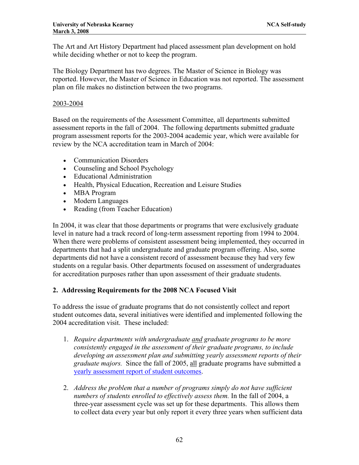The Art and Art History Department had placed assessment plan development on hold while deciding whether or not to keep the program.

The Biology Department has two degrees. The Master of Science in Biology was reported. However, the Master of Science in Education was not reported. The assessment plan on file makes no distinction between the two programs.

## 2003-2004

Based on the requirements of the Assessment Committee, all departments submitted assessment reports in the fall of 2004. The following departments submitted graduate program assessment reports for the 2003-2004 academic year, which were available for review by the NCA accreditation team in March of 2004:

- Communication Disorders
- Counseling and School Psychology
- Educational Administration
- Health, Physical Education, Recreation and Leisure Studies
- MBA Program
- Modern Languages
- Reading (from Teacher Education)

In 2004, it was clear that those departments or programs that were exclusively graduate level in nature had a track record of long-term assessment reporting from 1994 to 2004. When there were problems of consistent assessment being implemented, they occurred in departments that had a split undergraduate and graduate program offering. Also, some departments did not have a consistent record of assessment because they had very few students on a regular basis. Other departments focused on assessment of undergraduates for accreditation purposes rather than upon assessment of their graduate students.

## **2. Addressing Requirements for the 2008 NCA Focused Visit**

To address the issue of graduate programs that do not consistently collect and report student outcomes data, several initiatives were identified and implemented following the 2004 accreditation visit. These included:

- 1. *Require departments with undergraduate and graduate programs to be more consistently engaged in the assessment of their graduate programs, to include developing an assessment plan and submitting yearly assessment reports of their graduate majors.* Since the fall of 2005, all graduate programs have submitted a [yearly assessment report of student outcomes](http://www.unk.edu/academicaffairs/assessment/Academic/index.php?id=9193).
- 2. *Address the problem that a number of programs simply do not have sufficient numbers of students enrolled to effectively assess them.* In the fall of 2004, a three-year assessment cycle was set up for these departments. This allows them to collect data every year but only report it every three years when sufficient data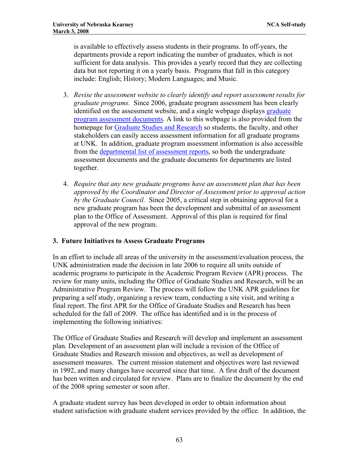is available to effectively assess students in their programs. In off-years, the departments provide a report indicating the number of graduates, which is not sufficient for data analysis. This provides a yearly record that they are collecting data but not reporting it on a yearly basis. Programs that fall in this category include: English; History; Modern Languages; and Music.

- 3. *Revise the assessment website to clearly identify and report assessment results for graduate programs.* Since 2006, graduate program assessment has been clearly identified on the assessment website, and a single webpage displays [graduate](http://www.unk.edu/academicaffairs/assessment/Academic/index.php?id=9193)  [program assessment documents.](http://www.unk.edu/academicaffairs/assessment/Academic/index.php?id=9193) A link to this webpage is also provided from the homepage for [Graduate Studies and Research](http://www.unk.edu/acad/gradstudies/) so students, the faculty, and other stakeholders can easily access assessment information for all graduate programs at UNK. In addition, graduate program assessment information is also accessible from the [departmental list of assessment reports,](http://www.unk.edu/academicaffairs/assessment/Academic/index.php?id=4605) so both the undergraduate assessment documents and the graduate documents for departments are listed together.
- 4. *Require that any new graduate programs have an assessment plan that has been approved by the Coordinator and Director of Assessment prior to approval action by the Graduate Council.* Since 2005, a critical step in obtaining approval for a new graduate program has been the development and submittal of an assessment plan to the Office of Assessment. Approval of this plan is required for final approval of the new program.

## **3. Future Initiatives to Assess Graduate Programs**

In an effort to include all areas of the university in the assessment/evaluation process, the UNK administration made the decision in late 2006 to require all units outside of academic programs to participate in the Academic Program Review (APR) process. The review for many units, including the Office of Graduate Studies and Research, will be an Administrative Program Review. The process will follow the UNK APR guidelines for preparing a self study, organizing a review team, conducting a site visit, and writing a final report. The first APR for the Office of Graduate Studies and Research has been scheduled for the fall of 2009. The office has identified and is in the process of implementing the following initiatives:

The Office of Graduate Studies and Research will develop and implement an assessment plan*.* Development of an assessment plan will include a revision of the Office of Graduate Studies and Research mission and objectives, as well as development of assessment measures. The current mission statement and objectives were last reviewed in 1992, and many changes have occurred since that time. A first draft of the document has been written and circulated for review. Plans are to finalize the document by the end of the 2008 spring semester or soon after.

A graduate student survey has been developed in order to obtain information about student satisfaction with graduate student services provided by the office. In addition, the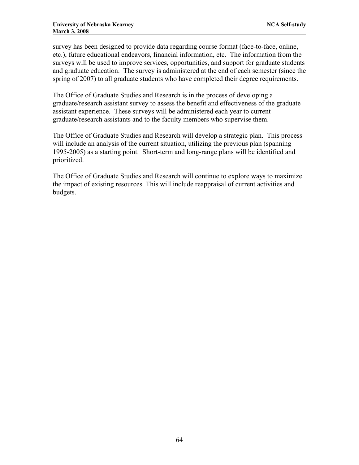survey has been designed to provide data regarding course format (face-to-face, online, etc.), future educational endeavors, financial information, etc. The information from the surveys will be used to improve services, opportunities, and support for graduate students and graduate education. The survey is administered at the end of each semester (since the spring of 2007) to all graduate students who have completed their degree requirements.

The Office of Graduate Studies and Research is in the process of developing a graduate/research assistant survey to assess the benefit and effectiveness of the graduate assistant experience. These surveys will be administered each year to current graduate/research assistants and to the faculty members who supervise them.

The Office of Graduate Studies and Research will develop a strategic plan. This process will include an analysis of the current situation, utilizing the previous plan (spanning) 1995-2005) as a starting point. Short-term and long-range plans will be identified and prioritized.

The Office of Graduate Studies and Research will continue to explore ways to maximize the impact of existing resources. This will include reappraisal of current activities and budgets.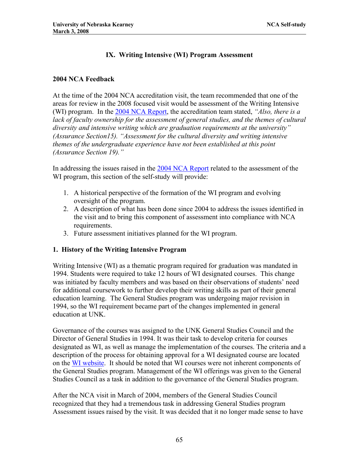# **IX. Writing Intensive (WI) Program Assessment**

## **2004 NCA Feedback**

At the time of the 2004 NCA accreditation visit, the team recommended that one of the areas for review in the 2008 focused visit would be assessment of the Writing Intensive (WI) program. In the [2004 NCA Report,](http://www.unk.edu/uploadedFiles/ncac_report.pdf) the accreditation team stated, *"Also, there is a*  lack of faculty ownership for the assessment of general studies, and the themes of cultural *diversity and intensive writing which are graduation requirements at the university" (Assurance Section15). "Assessment for the cultural diversity and writing intensive themes of the undergraduate experience have not been established at this point (Assurance Section 19)."* 

In addressing the issues raised in the [2004 NCA Report](http://www.unk.edu/uploadedFiles/ncac_report.pdf) related to the assessment of the WI program, this section of the self-study will provide:

- 1. A historical perspective of the formation of the WI program and evolving oversight of the program.
- 2. A description of what has been done since 2004 to address the issues identified in the visit and to bring this component of assessment into compliance with NCA requirements.
- 3. Future assessment initiatives planned for the WI program.

## **1. History of the Writing Intensive Program**

Writing Intensive (WI) as a thematic program required for graduation was mandated in 1994. Students were required to take 12 hours of WI designated courses. This change was initiated by faculty members and was based on their observations of students' need for additional coursework to further develop their writing skills as part of their general education learning. The General Studies program was undergoing major revision in 1994, so the WI requirement became part of the changes implemented in general education at UNK.

Governance of the courses was assigned to the UNK General Studies Council and the Director of General Studies in 1994. It was their task to develop criteria for courses designated as WI, as well as manage the implementation of the courses. The criteria and a description of the process for obtaining approval for a WI designated course are located on the [WI website.](http://www.unk.edu/academicaffairs/WI/index.php?id=2966) It should be noted that WI courses were not inherent components of the General Studies program. Management of the WI offerings was given to the General Studies Council as a task in addition to the governance of the General Studies program.

After the NCA visit in March of 2004, members of the General Studies Council recognized that they had a tremendous task in addressing General Studies program Assessment issues raised by the visit. It was decided that it no longer made sense to have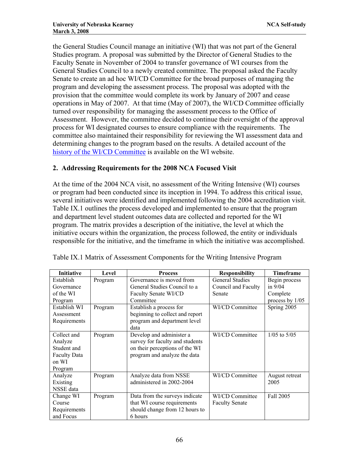the General Studies Council manage an initiative (WI) that was not part of the General Studies program. A proposal was submitted by the Director of General Studies to the Faculty Senate in November of 2004 to transfer governance of WI courses from the General Studies Council to a newly created committee. The proposal asked the Faculty Senate to create an ad hoc WI/CD Committee for the broad purposes of managing the program and developing the assessment process. The proposal was adopted with the provision that the committee would complete its work by January of 2007 and cease operations in May of 2007. At that time (May of 2007), the WI/CD Committee officially turned over responsibility for managing the assessment process to the Office of Assessment. However, the committee decided to continue their oversight of the approval process for WI designated courses to ensure compliance with the requirements. The committee also maintained their responsibility for reviewing the WI assessment data and determining changes to the program based on the results. A detailed account of the [history of the WI/CD Committee](http://www.unk.edu/academicaffairs/WI/index.php?id=32146) is available on the WI website.

## **2. Addressing Requirements for the 2008 NCA Focused Visit**

At the time of the 2004 NCA visit, no assessment of the Writing Intensive (WI) courses or program had been conducted since its inception in 1994. To address this critical issue, several initiatives were identified and implemented following the 2004 accreditation visit. Table IX.1 outlines the process developed and implemented to ensure that the program and department level student outcomes data are collected and reported for the WI program. The matrix provides a description of the initiative, the level at which the initiative occurs within the organization, the process followed, the entity or individuals responsible for the initiative, and the timeframe in which the initiative was accomplished.

| <b>Initiative</b>   | Level   | <b>Process</b>                  | <b>Responsibility</b>  | <b>Timeframe</b> |
|---------------------|---------|---------------------------------|------------------------|------------------|
| Establish           | Program | Governance is moved from        | <b>General Studies</b> | Begin process    |
| Governance          |         | General Studies Council to a    | Council and Faculty    | in $9/04$        |
| of the WI           |         | Faculty Senate WI/CD            | Senate                 | Complete         |
| Program             |         | Committee                       |                        | process by 1/05  |
| Establish WI        | Program | Establish a process for         | WI/CD Committee        | Spring 2005      |
| Assessment          |         | beginning to collect and report |                        |                  |
| Requirements        |         | program and department level    |                        |                  |
|                     |         | data                            |                        |                  |
| Collect and         | Program | Develop and administer a        | WI/CD Committee        | $1/05$ to $5/05$ |
| Analyze             |         | survey for faculty and students |                        |                  |
| Student and         |         | on their perceptions of the WI  |                        |                  |
| <b>Faculty Data</b> |         | program and analyze the data    |                        |                  |
| on WI               |         |                                 |                        |                  |
| Program             |         |                                 |                        |                  |
| Analyze             | Program | Analyze data from NSSE          | WI/CD Committee        | August retreat   |
| Existing            |         | administered in 2002-2004       |                        | 2005             |
| NSSE data           |         |                                 |                        |                  |
| Change WI           | Program | Data from the surveys indicate  | WI/CD Committee        | Fall 2005        |
| Course              |         | that WI course requirements     | <b>Faculty Senate</b>  |                  |
| Requirements        |         | should change from 12 hours to  |                        |                  |
| and Focus           |         | 6 hours                         |                        |                  |

Table IX.1 Matrix of Assessment Components for the Writing Intensive Program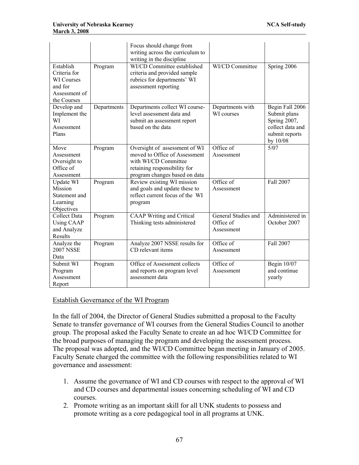|                                                                                           |             | Focus should change from<br>writing across the curriculum to<br>writing in the discipline                                                               |                                                |                                                                                                   |
|-------------------------------------------------------------------------------------------|-------------|---------------------------------------------------------------------------------------------------------------------------------------------------------|------------------------------------------------|---------------------------------------------------------------------------------------------------|
| Establish<br>Criteria for<br><b>WI</b> Courses<br>and for<br>Assessment of<br>the Courses | Program     | WI/CD Committee established<br>criteria and provided sample<br>rubrics for departments' WI<br>assessment reporting                                      | WI/CD Committee                                | Spring 2006                                                                                       |
| Develop and<br>Implement the<br>WI<br>Assessment<br>Plans                                 | Departments | Departments collect WI course-<br>level assessment data and<br>submit an assessment report<br>based on the data                                         | Departments with<br>WI courses                 | Begin Fall 2006<br>Submit plans<br>Spring 2007,<br>collect data and<br>submit reports<br>by 10/08 |
| Move<br>Assessment<br>Oversight to<br>Office of<br>Assessment                             | Program     | Oversight of assessment of WI<br>moved to Office of Assessment<br>with WI/CD Committee<br>retaining responsibility for<br>program changes based on data | Office of<br>Assessment                        | 5/07                                                                                              |
| Update WI<br>Mission<br>Statement and<br>Learning<br>Objectives                           | Program     | Review existing WI mission<br>and goals and update these to<br>reflect current focus of the WI<br>program                                               | Office of<br>Assessment                        | Fall 2007                                                                                         |
| <b>Collect Data</b><br><b>Using CAAP</b><br>and Analyze<br>Results                        | Program     | <b>CAAP</b> Writing and Critical<br>Thinking tests administered                                                                                         | General Studies and<br>Office of<br>Assessment | Administered in<br>October 2007                                                                   |
| Analyze the<br><b>2007 NSSE</b><br>Data                                                   | Program     | Analyze 2007 NSSE results for<br>CD relevant items                                                                                                      | Office of<br>Assessment                        | Fall 2007                                                                                         |
| Submit WI<br>Program<br>Assessment<br>Report                                              | Program     | Office of Assessment collects<br>and reports on program level<br>assessment data                                                                        | Office of<br>Assessment                        | Begin 10/07<br>and continue<br>yearly                                                             |

### Establish Governance of the WI Program

In the fall of 2004, the Director of General Studies submitted a proposal to the Faculty Senate to transfer governance of WI courses from the General Studies Council to another group. The proposal asked the Faculty Senate to create an ad hoc WI/CD Committee for the broad purposes of managing the program and developing the assessment process. The proposal was adopted, and the WI/CD Committee began meeting in January of 2005. Faculty Senate charged the committee with the following responsibilities related to WI governance and assessment:

- 1. Assume the governance of WI and CD courses with respect to the approval of WI and CD courses and departmental issues concerning scheduling of WI and CD courses.
- 2. Promote writing as an important skill for all UNK students to possess and promote writing as a core pedagogical tool in all programs at UNK.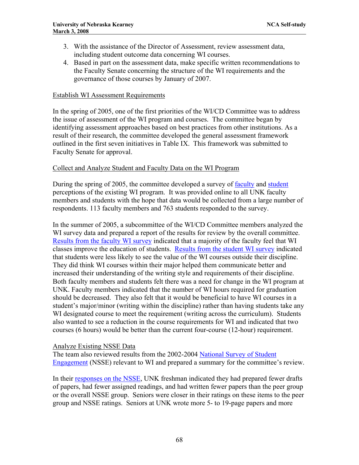- 3. With the assistance of the Director of Assessment, review assessment data, including student outcome data concerning WI courses.
- 4. Based in part on the assessment data, make specific written recommendations to the Faculty Senate concerning the structure of the WI requirements and the governance of those courses by January of 2007.

### Establish WI Assessment Requirements

In the spring of 2005, one of the first priorities of the WI/CD Committee was to address the issue of assessment of the WI program and courses. The committee began by identifying assessment approaches based on best practices from other institutions. As a result of their research, the committee developed the general assessment framework outlined in the first seven initiatives in Table IX. This framework was submitted to Faculty Senate for approval.

#### Collect and Analyze Student and Faculty Data on the WI Program

During the spring of 2005, the committee developed a survey of [faculty](http://www.unk.edu/uploadedFiles/academicaffairs/Assessment/Department_Assessment/MissionsPlansInstruments/WICD/Faculty%20WI&CD%20sp05%20-%20WI(1).pdf) and [student](http://www.unk.edu/uploadedFiles/academicaffairs/Assessment/Department_Assessment/MissionsPlansInstruments/WICD/Student%20WI&CD%20sp05%20-%20WI.pdf) perceptions of the existing WI program. It was provided online to all UNK faculty members and students with the hope that data would be collected from a large number of respondents. 113 faculty members and 763 students responded to the survey.

In the summer of 2005, a subcommittee of the WI/CD Committee members analyzed the WI survey data and prepared a report of the results for review by the overall committee. [Results from the faculty WI survey](http://www.unk.edu/uploadedFiles/academicaffairs/Assessment/Department_Assessment/Reports/WICD/WI%20Faculty%20Survey%20Results.pdf) indicated that a majority of the faculty feel that WI classes improve the education of students. [Results from the student WI survey](http://www.unk.edu/uploadedFiles/academicaffairs/Assessment/Department_Assessment/Reports/WICD/WI%20Student%20Survey%20Results.pdf) indicated that students were less likely to see the value of the WI courses outside their discipline. They did think WI courses within their major helped them communicate better and increased their understanding of the writing style and requirements of their discipline. Both faculty members and students felt there was a need for change in the WI program at UNK. Faculty members indicated that the number of WI hours required for graduation should be decreased. They also felt that it would be beneficial to have WI courses in a student's major/minor (writing within the discipline) rather than having students take any WI designated course to meet the requirement (writing across the curriculum). Students also wanted to see a reduction in the course requirements for WI and indicated that two courses (6 hours) would be better than the current four-course (12-hour) requirement.

### Analyze Existing NSSE Data

The team also reviewed results from the 2002-2004 [National Survey of Student](http://nsse.iub.edu/pdf/NSSE2007_US_English_paper.pdf)  [Engagement](http://nsse.iub.edu/pdf/NSSE2007_US_English_paper.pdf) (NSSE) relevant to WI and prepared a summary for the committee's review.

In their [responses on the NSSE,](http://www.unk.edu/uploadedFiles/academicaffairs/Assessment/Department_Assessment/Reports/WICD/WI%20NSSE%20Data.pdf) UNK freshman indicated they had prepared fewer drafts of papers, had fewer assigned readings, and had written fewer papers than the peer group or the overall NSSE group. Seniors were closer in their ratings on these items to the peer group and NSSE ratings. Seniors at UNK wrote more 5- to 19-page papers and more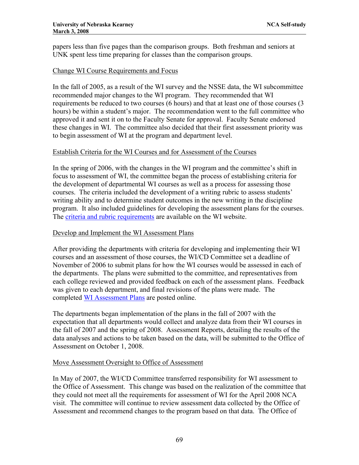papers less than five pages than the comparison groups. Both freshman and seniors at UNK spent less time preparing for classes than the comparison groups.

### Change WI Course Requirements and Focus

In the fall of 2005, as a result of the WI survey and the NSSE data, the WI subcommittee recommended major changes to the WI program. They recommended that WI requirements be reduced to two courses (6 hours) and that at least one of those courses (3 hours) be within a student's major. The recommendation went to the full committee who approved it and sent it on to the Faculty Senate for approval. Faculty Senate endorsed these changes in WI. The committee also decided that their first assessment priority was to begin assessment of WI at the program and department level.

## Establish Criteria for the WI Courses and for Assessment of the Courses

In the spring of 2006, with the changes in the WI program and the committee's shift in focus to assessment of WI, the committee began the process of establishing criteria for the development of departmental WI courses as well as a process for assessing those courses. The criteria included the development of a writing rubric to assess students' writing ability and to determine student outcomes in the new writing in the discipline program. It also included guidelines for developing the assessment plans for the courses. The [criteria and rubric requirements](http://www.unk.edu/uploadedFiles/academicaffairs/WI/WI%20Objectives%20and%20Assessment%20Plan%20Packet_0806.doc) are available on the WI website.

### Develop and Implement the WI Assessment Plans

After providing the departments with criteria for developing and implementing their WI courses and an assessment of those courses, the WI/CD Committee set a deadline of November of 2006 to submit plans for how the WI courses would be assessed in each of the departments. The plans were submitted to the committee, and representatives from each college reviewed and provided feedback on each of the assessment plans. Feedback was given to each department, and final revisions of the plans were made. The completed [WI Assessment Plans](http://www.unk.edu/academicaffairs/assessment/Academic/index.php?id=21990) are posted online.

The departments began implementation of the plans in the fall of 2007 with the expectation that all departments would collect and analyze data from their WI courses in the fall of 2007 and the spring of 2008. Assessment Reports, detailing the results of the data analyses and actions to be taken based on the data, will be submitted to the Office of Assessment on October 1, 2008.

### Move Assessment Oversight to Office of Assessment

In May of 2007, the WI/CD Committee transferred responsibility for WI assessment to the Office of Assessment. This change was based on the realization of the committee that they could not meet all the requirements for assessment of WI for the April 2008 NCA visit. The committee will continue to review assessment data collected by the Office of Assessment and recommend changes to the program based on that data. The Office of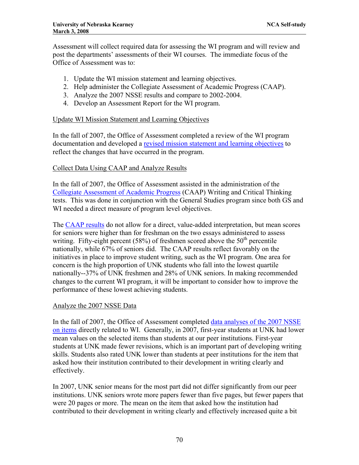Assessment will collect required data for assessing the WI program and will review and post the departments' assessments of their WI courses. The immediate focus of the Office of Assessment was to:

- 1. Update the WI mission statement and learning objectives.
- 2. Help administer the Collegiate Assessment of Academic Progress (CAAP).
- 3. Analyze the 2007 NSSE results and compare to 2002-2004.
- 4. Develop an Assessment Report for the WI program.

### Update WI Mission Statement and Learning Objectives

In the fall of 2007, the Office of Assessment completed a review of the WI program documentation and developed a [revised mission statement and learning objectives](http://www.unk.edu/academicaffairs/assessment/index.php?id=28994) to reflect the changes that have occurred in the program.

## Collect Data Using CAAP and Analyze Results

In the fall of 2007, the Office of Assessment assisted in the administration of the [Collegiate Assessment of Academic Progress](http://www.act.org/caap/sample/) (CAAP) Writing and Critical Thinking tests. This was done in conjunction with the General Studies program since both GS and WI needed a direct measure of program level objectives.

The [CAAP results](http://www.unk.edu/academicaffairs/assessment/University-Wide/index.php?id=33330) do not allow for a direct, value-added interpretation, but mean scores for seniors were higher than for freshman on the two essays administered to assess writing. Fifty-eight percent (58%) of freshmen scored above the  $50<sup>th</sup>$  percentile nationally, while 67% of seniors did. The CAAP results reflect favorably on the initiatives in place to improve student writing, such as the WI program. One area for concern is the high proportion of UNK students who fall into the lowest quartile nationally--37% of UNK freshmen and 28% of UNK seniors. In making recommended changes to the current WI program, it will be important to consider how to improve the performance of these lowest achieving students.

### Analyze the 2007 NSSE Data

In the fall of 2007, the Office of Assessment completed [data analyses of the 2007 NSSE](http://www.unk.edu/uploadedFiles/academicaffairs/Assessment/Department_Assessment/Reports/WICD/WI%20NSSE%20Data.pdf)  [on items](http://www.unk.edu/uploadedFiles/academicaffairs/Assessment/Department_Assessment/Reports/WICD/WI%20NSSE%20Data.pdf) directly related to WI. Generally, in 2007, first-year students at UNK had lower mean values on the selected items than students at our peer institutions. First-year students at UNK made fewer revisions, which is an important part of developing writing skills. Students also rated UNK lower than students at peer institutions for the item that asked how their institution contributed to their development in writing clearly and effectively.

In 2007, UNK senior means for the most part did not differ significantly from our peer institutions. UNK seniors wrote more papers fewer than five pages, but fewer papers that were 20 pages or more. The mean on the item that asked how the institution had contributed to their development in writing clearly and effectively increased quite a bit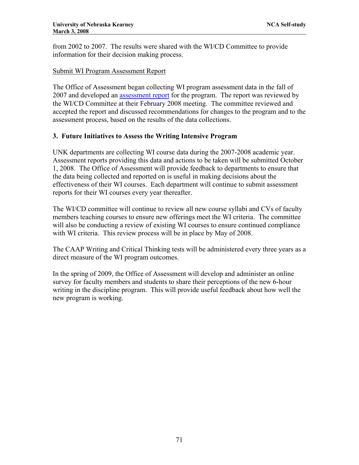from 2002 to 2007. The results were shared with the WI/CD Committee to provide information for their decision making process.

## Submit WI Program Assessment Report

The Office of Assessment began collecting WI program assessment data in the fall of 2007 and developed an [assessment report](http://www.unk.edu/academicaffairs/assessment/Academic/index.php?id=33242) for the program. The report was reviewed by the WI/CD Committee at their February 2008 meeting. The committee reviewed and accepted the report and discussed recommendations for changes to the program and to the assessment process, based on the results of the data collections.

## **3. Future Initiatives to Assess the Writing Intensive Program**

UNK departments are collecting WI course data during the 2007-2008 academic year. Assessment reports providing this data and actions to be taken will be submitted October 1, 2008. The Office of Assessment will provide feedback to departments to ensure that the data being collected and reported on is useful in making decisions about the effectiveness of their WI courses. Each department will continue to submit assessment reports for their WI courses every year thereafter.

The WI/CD committee will continue to review all new course syllabi and CVs of faculty members teaching courses to ensure new offerings meet the WI criteria. The committee will also be conducting a review of existing WI courses to ensure continued compliance with WI criteria. This review process will be in place by May of 2008.

The CAAP Writing and Critical Thinking tests will be administered every three years as a direct measure of the WI program outcomes.

In the spring of 2009, the Office of Assessment will develop and administer an online survey for faculty members and students to share their perceptions of the new 6-hour writing in the discipline program. This will provide useful feedback about how well the new program is working.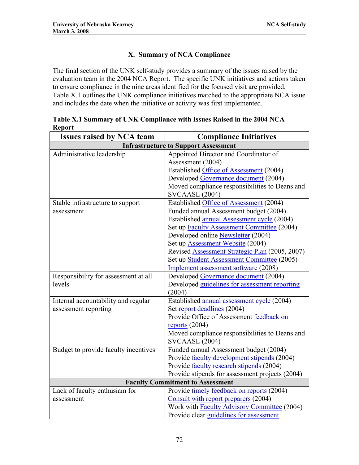# **X. Summary of NCA Compliance**

The final section of the UNK self-study provides a summary of the issues raised by the evaluation team in the 2004 NCA Report. The specific UNK initiatives and actions taken to ensure compliance in the nine areas identified for the focused visit are provided. Table X.1 outlines the UNK compliance initiatives matched to the appropriate NCA issue and includes the date when the initiative or activity was first implemented.

| <b>Issues raised by NCA team</b>            | <b>Compliance Initiatives</b>                      |  |  |
|---------------------------------------------|----------------------------------------------------|--|--|
| <b>Infrastructure to Support Assessment</b> |                                                    |  |  |
| Administrative leadership                   | Appointed Director and Coordinator of              |  |  |
|                                             | Assessment (2004)                                  |  |  |
|                                             | Established Office of Assessment (2004)            |  |  |
|                                             | Developed Governance document (2004)               |  |  |
|                                             | Moved compliance responsibilities to Deans and     |  |  |
|                                             | <b>SVCAASL (2004)</b>                              |  |  |
| Stable infrastructure to support            | Established Office of Assessment (2004)            |  |  |
| assessment                                  | Funded annual Assessment budget (2004)             |  |  |
|                                             | Established annual Assessment cycle (2004)         |  |  |
|                                             | Set up Faculty Assessment Committee (2004)         |  |  |
|                                             | Developed online Newsletter (2004)                 |  |  |
|                                             | Set up <b>Assessment Website</b> (2004)            |  |  |
|                                             | Revised Assessment Strategic Plan (2005, 2007)     |  |  |
|                                             | Set up Student Assessment Committee (2005)         |  |  |
|                                             | Implement assessment software (2008)               |  |  |
| Responsibility for assessment at all        | Developed Governance document (2004)               |  |  |
| levels                                      | Developed guidelines for assessment reporting      |  |  |
|                                             | (2004)                                             |  |  |
| Internal accountability and regular         | Established annual assessment cycle (2004)         |  |  |
| assessment reporting                        | Set report deadlines (2004)                        |  |  |
|                                             | Provide Office of Assessment feedback on           |  |  |
|                                             | reports $(2004)$                                   |  |  |
|                                             | Moved compliance responsibilities to Deans and     |  |  |
|                                             | <b>SVCAASL (2004)</b>                              |  |  |
| Budget to provide faculty incentives        | Funded annual Assessment budget (2004)             |  |  |
|                                             | Provide faculty development stipends (2004)        |  |  |
|                                             | Provide faculty research stipends (2004)           |  |  |
|                                             | Provide stipends for assessment projects (2004)    |  |  |
|                                             | <b>Faculty Commitment to Assessment</b>            |  |  |
| Lack of faculty enthusiam for               | Provide timely feedback on reports (2004)          |  |  |
| assessment                                  | Consult with report preparers (2004)               |  |  |
|                                             | Work with <b>Faculty Advisory Committee</b> (2004) |  |  |
|                                             | Provide clear guidelines for assessment            |  |  |

**Table X.1 Summary of UNK Compliance with Issues Raised in the 2004 NCA Report**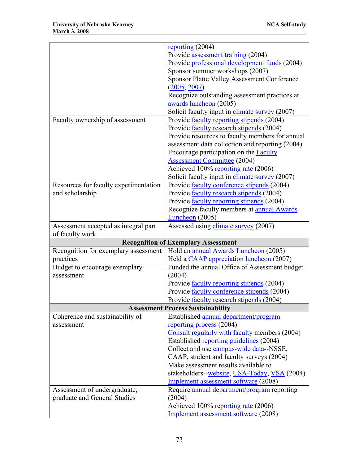|                                          | reporting $(2004)$                                 |  |
|------------------------------------------|----------------------------------------------------|--|
|                                          | Provide assessment training (2004)                 |  |
|                                          | Provide professional development funds (2004)      |  |
|                                          | Sponsor summer workshops (2007)                    |  |
|                                          | <b>Sponsor Platte Valley Assessment Conference</b> |  |
|                                          | (2005, 2007)                                       |  |
|                                          | Recognize outstanding assessment practices at      |  |
|                                          | awards luncheon (2005)                             |  |
|                                          | Solicit faculty input in climate survey (2007)     |  |
| Faculty ownership of assessment          | Provide <u>faculty reporting stipends</u> (2004)   |  |
|                                          | Provide <u>faculty research stipends</u> (2004)    |  |
|                                          | Provide resources to faculty members for annual    |  |
|                                          | assessment data collection and reporting (2004)    |  |
|                                          | Encourage participation on the <b>Faculty</b>      |  |
|                                          | <b>Assessment Committee</b> (2004)                 |  |
|                                          | Achieved 100% reporting rate (2006)                |  |
|                                          | Solicit faculty input in climate survey (2007)     |  |
| Resources for faculty experimentation    | Provide faculty conference stipends (2004)         |  |
| and scholarship                          | Provide faculty research stipends (2004)           |  |
|                                          | Provide faculty reporting stipends (2004)          |  |
|                                          | Recognize faculty members at <b>annual Awards</b>  |  |
|                                          | Luncheon (2005)                                    |  |
| Assessment accepted as integral part     | Assessed using climate survey (2007)               |  |
| of faculty work                          |                                                    |  |
|                                          | <b>Recognition of Exemplary Assessment</b>         |  |
| Recognition for exemplary assessment     | Hold an annual Awards Luncheon (2005)              |  |
| practices                                | Held a CAAP appreciation luncheon (2007)           |  |
| Budget to encourage exemplary            | Funded the annual Office of Assessment budget      |  |
| assessment                               | (2004)                                             |  |
|                                          | Provide <u>faculty reporting stipends</u> (2004)   |  |
|                                          | Provide faculty conference stipends (2004)         |  |
|                                          | Provide <u>faculty</u> research stipends (2004)    |  |
| <b>Assessment Process Sustainability</b> |                                                    |  |
| Coherence and sustainability of          | Established annual department/program              |  |
| assessment                               | reporting process (2004)                           |  |
|                                          | Consult regularly with faculty members (2004)      |  |
|                                          | Established reporting guidelines (2004)            |  |
|                                          | Collect and use campus-wide data--NSSE,            |  |
|                                          | CAAP, student and faculty surveys (2004)           |  |
|                                          | Make assessment results available to               |  |
|                                          | stakeholders-website, USA-Today, VSA (2004)        |  |
|                                          | Implement assessment software (2008)               |  |
| Assessment of undergraduate,             | Require annual department/program reporting        |  |
| graduate and General Studies             | (2004)                                             |  |
|                                          | Achieved 100% reporting rate (2006)                |  |
|                                          | Implement assessment software (2008)               |  |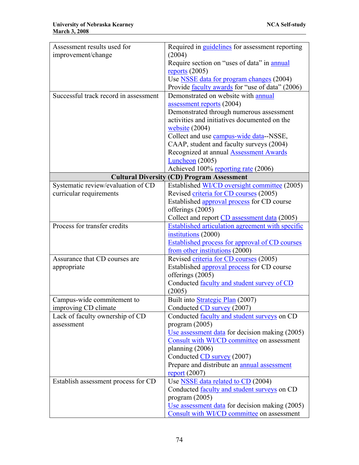| Assessment results used for           | Required in <i>guidelines</i> for assessment reporting         |
|---------------------------------------|----------------------------------------------------------------|
| improvement/change                    | (2004)                                                         |
|                                       | Require section on "uses of data" in <b>annual</b>             |
|                                       | reports $(2005)$                                               |
|                                       | Use <b>NSSE</b> data for program changes (2004)                |
|                                       | Provide faculty awards for "use of data" (2006)                |
| Successful track record in assessment | Demonstrated on website with annual                            |
|                                       | assessment reports (2004)                                      |
|                                       | Demonstrated through numerous assessment                       |
|                                       | activities and initiatives documented on the                   |
|                                       | $website (2004)$                                               |
|                                       | Collect and use campus-wide data--NSSE,                        |
|                                       | CAAP, student and faculty surveys (2004)                       |
|                                       | Recognized at annual <b>Assessment Awards</b>                  |
|                                       | $Luncheon$ (2005)                                              |
|                                       | Achieved 100% reporting rate (2006)                            |
|                                       | <b>Cultural Diversity (CD) Program Assessment</b>              |
| Systematic review/evaluation of CD    | Established WI/CD oversight committee (2005)                   |
| curricular requirements               | Revised criteria for CD courses (2005)                         |
|                                       | Established approval process for CD course                     |
|                                       | offerings (2005)                                               |
|                                       | Collect and report CD assessment data (2005)                   |
| Process for transfer credits          | <b>Established articulation agreement with specific</b>        |
|                                       | institutions (2000)                                            |
|                                       | <b>Established process for approval of CD courses</b>          |
|                                       | from other institutions (2000)                                 |
| Assurance that CD courses are         | Revised criteria for CD courses (2005)                         |
| appropriate                           | Established approval process for CD course<br>offerings (2005) |
|                                       | Conducted faculty and student survey of CD                     |
|                                       | (2005)                                                         |
| Campus-wide commitement to            | Built into Strategic Plan (2007)                               |
| improving CD climate                  | Conducted CD survey (2007)                                     |
| Lack of faculty ownership of CD       | Conducted <u>faculty</u> and student surveys on CD             |
| assessment                            | program $(2005)$                                               |
|                                       | Use assessment data for decision making (2005)                 |
|                                       | Consult with WI/CD committee on assessment                     |
|                                       | planning $(2006)$                                              |
|                                       | Conducted CD survey (2007)                                     |
|                                       | Prepare and distribute an <b>annual</b> assessment             |
|                                       | $report (2007)$                                                |
| Establish assessment process for CD   | Use <b>NSSE</b> data related to CD (2004)                      |
|                                       | Conducted faculty and student surveys on CD                    |
|                                       | program $(2005)$                                               |
|                                       | Use assessment data for decision making (2005)                 |
|                                       | Consult with WI/CD committee on assessment                     |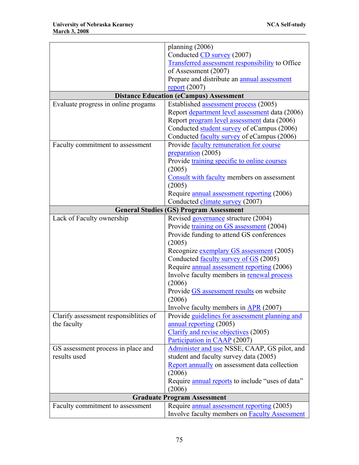|                                        | planning $(2006)$                                      |
|----------------------------------------|--------------------------------------------------------|
|                                        | Conducted CD survey (2007)                             |
|                                        | <b>Transferred assessment responsibility to Office</b> |
|                                        | of Assessment (2007)                                   |
|                                        | Prepare and distribute an annual assessment            |
|                                        | $report (2007)$                                        |
|                                        | <b>Distance Education (eCampus) Assessment</b>         |
| Evaluate progress in online progams    | Established assessment process (2005)                  |
|                                        | Report department level assessment data (2006)         |
|                                        | Report program level assessment data (2006)            |
|                                        | Conducted student survey of eCampus (2006)             |
|                                        | Conducted <b>faculty survey</b> of eCampus (2006)      |
| Faculty commitment to assessment       | Provide faculty remuneration for course                |
|                                        | preparation (2005)                                     |
|                                        | Provide training specific to online courses            |
|                                        | (2005)                                                 |
|                                        | Consult with faculty members on assessment             |
|                                        | (2005)                                                 |
|                                        | Require <u>annual assessment reporting</u> (2006)      |
|                                        | Conducted climate survey (2007)                        |
|                                        | <b>General Studies (GS) Program Assessment</b>         |
| Lack of Faculty ownership              | Revised governance structure (2004)                    |
|                                        | Provide training on GS assessment (2004)               |
|                                        | Provide funding to attend GS conferences               |
|                                        | (2005)                                                 |
|                                        | Recognize exemplary GS assessment (2005)               |
|                                        | Conducted <u>faculty survey of GS</u> (2005)           |
|                                        | Require annual assessment reporting (2006)             |
|                                        | Involve faculty members in renewal process             |
|                                        | (2006)                                                 |
|                                        | Provide GS assessment results on website               |
|                                        | (2006)                                                 |
|                                        | Involve faculty members in APR (2007)                  |
| Clarify assessment responsibilities of | Provide guidelines for assessment planning and         |
| the faculty                            | annual reporting (2005)                                |
|                                        | Clarify and revise objectives (2005)                   |
|                                        | Participation in CAAP (2007)                           |
| GS assessment process in place and     | Administer and use NSSE, CAAP, GS pilot, and           |
| results used                           | student and faculty survey data (2005)                 |
|                                        | Report annually on assessment data collection          |
|                                        | (2006)                                                 |
|                                        | Require annual reports to include "uses of data"       |
|                                        | (2006)                                                 |
| <b>Graduate Program Assessment</b>     |                                                        |
| Faculty commitment to assessment       | Require <u>annual assessment reporting</u> (2005)      |
|                                        | Involve faculty members on <b>Faculty Assessment</b>   |